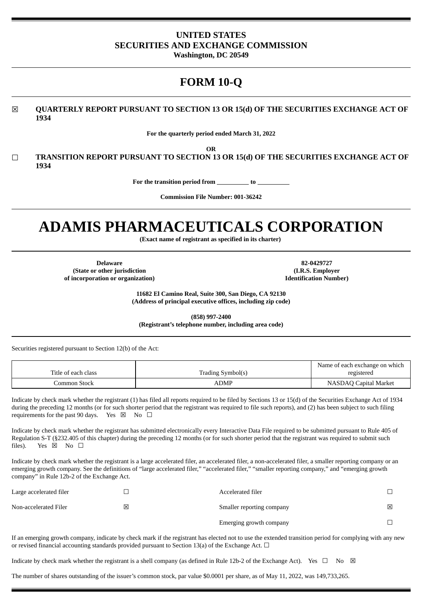# **UNITED STATES SECURITIES AND EXCHANGE COMMISSION**

**Washington, DC 20549**

# **FORM 10-Q**

☒ **QUARTERLY REPORT PURSUANT TO SECTION 13 OR 15(d) OF THE SECURITIES EXCHANGE ACT OF 1934**

**For the quarterly period ended March 31, 2022**

**OR**

☐ **TRANSITION REPORT PURSUANT TO SECTION 13 OR 15(d) OF THE SECURITIES EXCHANGE ACT OF 1934**

**For the transition period from to**

**Commission File Number: 001-36242**

# **ADAMIS PHARMACEUTICALS CORPORATION**

**(Exact name of registrant as specified in its charter)**

**Delaware 82-0429727 (State or other jurisdiction of incorporation or organization)**

**(I.R.S. Employer Identification Number)**

**11682 El Camino Real, Suite 300, San Diego, CA 92130 (Address of principal executive offices, including zip code)**

**(858) 997-2400 (Registrant's telephone number, including area code)**

Securities registered pursuant to Section 12(b) of the Act:

|                     |                   | Name of each exchange on which |
|---------------------|-------------------|--------------------------------|
| Title of each class | Trading Symbol(s) | registered                     |
| Common Stock        | <b>ADMP</b>       | NASDAQ Capital Market          |

Indicate by check mark whether the registrant (1) has filed all reports required to be filed by Sections 13 or 15(d) of the Securities Exchange Act of 1934 during the preceding 12 months (or for such shorter period that the registrant was required to file such reports), and (2) has been subject to such filing requirements for the past 90 days. Yes  $\boxtimes$  No  $\Box$ 

Indicate by check mark whether the registrant has submitted electronically every Interactive Data File required to be submitted pursuant to Rule 405 of Regulation S-T (§232.405 of this chapter) during the preceding 12 months (or for such shorter period that the registrant was required to submit such files). Yes  $\boxtimes$  No  $\square$ 

Indicate by check mark whether the registrant is a large accelerated filer, an accelerated filer, a non-accelerated filer, a smaller reporting company or an emerging growth company. See the definitions of "large accelerated filer," "accelerated filer," "smaller reporting company," and "emerging growth company" in Rule 12b-2 of the Exchange Act.

| Large accelerated filer |   | Accelerated filer         |   |
|-------------------------|---|---------------------------|---|
| Non-accelerated Filer   | 図 | Smaller reporting company | 区 |
|                         |   | Emerging growth company   |   |

If an emerging growth company, indicate by check mark if the registrant has elected not to use the extended transition period for complying with any new or revised financial accounting standards provided pursuant to Section 13(a) of the Exchange Act.  $\Box$ 

Indicate by check mark whether the registrant is a shell company (as defined in Rule 12b-2 of the Exchange Act). Yes  $\Box$  No  $\boxtimes$ 

The number of shares outstanding of the issuer's common stock, par value \$0.0001 per share, as of May 11, 2022, was 149,733,265.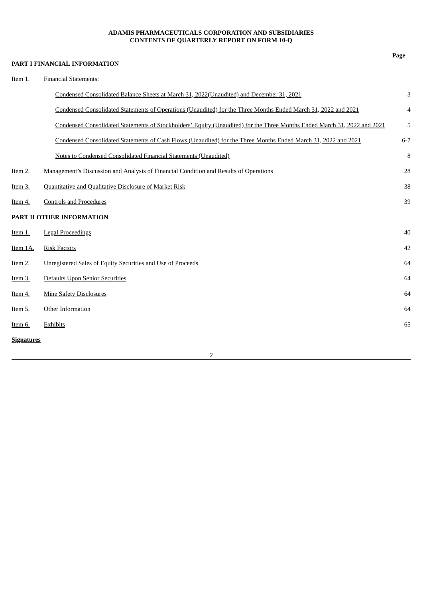# **ADAMIS PHARMACEUTICALS CORPORATION AND SUBSIDIARIES CONTENTS OF QUARTERLY REPORT ON FORM 10-Q**

# **Page PART I FINANCIAL INFORMATION** Item 1. Financial Statements: Condensed Consolidated Balance Sheets at March 31, 2022(Unaudited) and December 31, 2021 3 Condensed Consolidated Statements of Operations (Unaudited) for the Three Months Ended March 31, 2022 and 2021 4 Condensed Consolidated Statements of Stockholders' Equity (Unaudited) for the Three Months Ended March 31, 2022 and 2021 5 Condensed Consolidated Statements of Cash Flows (Unaudited) for the Three Months Ended March 31, 2022 and 2021 6-7 Notes to Condensed Consolidated Financial Statements (Unaudited) 8 Item 2. Management's Discussion and Analysis of Financial Condition and Results of Operations 28 Item 3. Quantitative and Qualitative Disclosure of Market Risk 38 Item 4. Controls and Procedures 39 **PART II OTHER INFORMATION Item 1. Legal Proceedings** 40 Item 1A. Risk Factors 42 Item 2. Unregistered Sales of Equity Securities and Use of Proceeds 64 Item 3. Defaults Upon Senior Securities 64 Item 4. Mine Safety Disclosures 64 **Item 5. Other Information** 64 **Item 6. Exhibits** 65 **Signatures**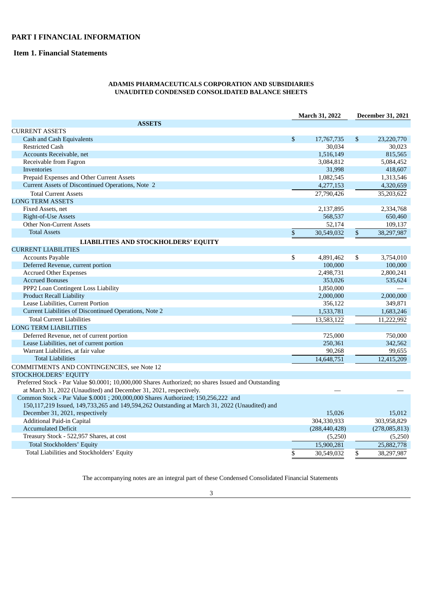# **PART I FINANCIAL INFORMATION**

# **Item 1. Financial Statements**

# **ADAMIS PHARMACEUTICALS CORPORATION AND SUBSIDIARIES UNAUDITED CONDENSED CONSOLIDATED BALANCE SHEETS**

|                                                                                                      | <b>March 31, 2022</b> |                 |                | <b>December 31, 2021</b> |  |  |
|------------------------------------------------------------------------------------------------------|-----------------------|-----------------|----------------|--------------------------|--|--|
| <b>ASSETS</b>                                                                                        |                       |                 |                |                          |  |  |
| <b>CURRENT ASSETS</b>                                                                                |                       |                 |                |                          |  |  |
| <b>Cash and Cash Equivalents</b>                                                                     | \$                    | 17,767,735      | $\mathfrak{S}$ | 23,220,770               |  |  |
| <b>Restricted Cash</b>                                                                               |                       | 30,034          |                | 30,023                   |  |  |
| Accounts Receivable, net                                                                             |                       | 1,516,149       |                | 815,565                  |  |  |
| Receivable from Fagron                                                                               |                       | 3,084,812       |                | 5,084,452                |  |  |
| Inventories                                                                                          |                       | 31,998          |                | 418,607                  |  |  |
| Prepaid Expenses and Other Current Assets                                                            |                       | 1,082,545       |                | 1,313,546                |  |  |
| Current Assets of Discontinued Operations, Note 2                                                    |                       | 4,277,153       |                | 4,320,659                |  |  |
| <b>Total Current Assets</b>                                                                          |                       | 27,790,426      |                | 35,203,622               |  |  |
| <b>LONG TERM ASSETS</b>                                                                              |                       |                 |                |                          |  |  |
| Fixed Assets, net                                                                                    |                       | 2,137,895       |                | 2,334,768                |  |  |
| Right-of-Use Assets                                                                                  |                       | 568,537         |                | 650,460                  |  |  |
| <b>Other Non-Current Assets</b>                                                                      |                       | 52,174          |                | 109,137                  |  |  |
| <b>Total Assets</b>                                                                                  | \$                    | 30,549,032      | \$             | 38,297,987               |  |  |
| <b>LIABILITIES AND STOCKHOLDERS' EQUITY</b>                                                          |                       |                 |                |                          |  |  |
| <b>CURRENT LIABILITIES</b>                                                                           |                       |                 |                |                          |  |  |
| <b>Accounts Payable</b>                                                                              | \$                    | 4,891,462       | \$             | 3,754,010                |  |  |
| Deferred Revenue, current portion                                                                    |                       | 100,000         |                | 100,000                  |  |  |
| <b>Accrued Other Expenses</b>                                                                        |                       | 2,498,731       |                | 2,800,241                |  |  |
| <b>Accrued Bonuses</b>                                                                               |                       | 353,026         |                | 535,624                  |  |  |
| PPP2 Loan Contingent Loss Liability                                                                  |                       | 1,850,000       |                |                          |  |  |
| <b>Product Recall Liability</b>                                                                      |                       | 2,000,000       |                | 2,000,000                |  |  |
| Lease Liabilities, Current Portion                                                                   |                       | 356,122         |                | 349,871                  |  |  |
| Current Liabilities of Discontinued Operations, Note 2                                               |                       | 1,533,781       |                | 1,683,246                |  |  |
| <b>Total Current Liabilities</b>                                                                     |                       | 13,583,122      |                | 11,222,992               |  |  |
| <b>LONG TERM LIABILITIES</b>                                                                         |                       |                 |                |                          |  |  |
| Deferred Revenue, net of current portion                                                             |                       | 725,000         |                | 750,000                  |  |  |
| Lease Liabilities, net of current portion                                                            |                       | 250,361         |                | 342,562                  |  |  |
| Warrant Liabilities, at fair value                                                                   |                       | 90,268          |                | 99,655                   |  |  |
| <b>Total Liabilities</b>                                                                             |                       | 14,648,751      |                | 12,415,209               |  |  |
| <b>COMMITMENTS AND CONTINGENCIES, see Note 12</b>                                                    |                       |                 |                |                          |  |  |
| STOCKHOLDERS' EQUITY                                                                                 |                       |                 |                |                          |  |  |
| Preferred Stock - Par Value \$0.0001; 10,000,000 Shares Authorized; no shares Issued and Outstanding |                       |                 |                |                          |  |  |
| at March 31, 2022 (Unaudited) and December 31, 2021, respectively.                                   |                       |                 |                |                          |  |  |
| Common Stock - Par Value \$.0001; 200,000,000 Shares Authorized; 150,256,222 and                     |                       |                 |                |                          |  |  |
| 150,117,219 Issued, 149,733,265 and 149,594,262 Outstanding at March 31, 2022 (Unaudited) and        |                       |                 |                |                          |  |  |
| December 31, 2021, respectively                                                                      |                       | 15,026          |                | 15,012                   |  |  |
| Additional Paid-in Capital                                                                           |                       | 304,330,933     |                | 303,958,829              |  |  |
| <b>Accumulated Deficit</b>                                                                           |                       | (288, 440, 428) |                | (278,085,813)            |  |  |
| Treasury Stock - 522,957 Shares, at cost                                                             |                       | (5,250)         |                | (5,250)                  |  |  |
| <b>Total Stockholders' Equity</b>                                                                    |                       | 15,900,281      |                | 25,882,778               |  |  |
| Total Liabilities and Stockholders' Equity                                                           | \$                    | 30,549,032      | \$             | 38,297,987               |  |  |

The accompanying notes are an integral part of these Condensed Consolidated Financial Statements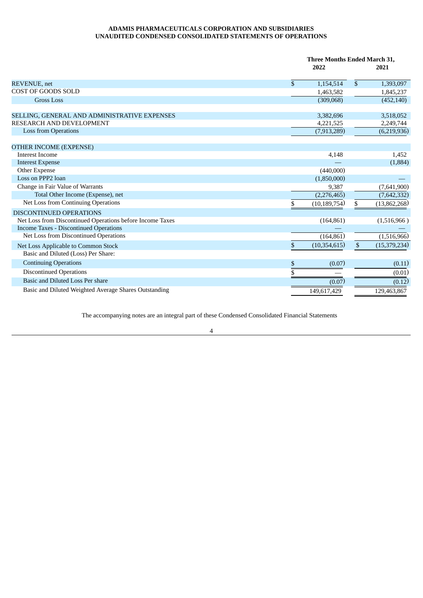# **ADAMIS PHARMACEUTICALS CORPORATION AND SUBSIDIARIES UNAUDITED CONDENSED CONSOLIDATED STATEMENTS OF OPERATIONS**

|                                                           |                | <b>Three Months Ended March 31,</b> |                |                |  |
|-----------------------------------------------------------|----------------|-------------------------------------|----------------|----------------|--|
|                                                           |                | 2022                                |                | 2021           |  |
| <b>REVENUE</b> , net                                      | $\mathfrak{L}$ | 1,154,514                           | $\mathbb{S}$   | 1,393,097      |  |
| COST OF GOODS SOLD                                        |                | 1,463,582                           |                | 1,845,237      |  |
| <b>Gross Loss</b>                                         |                | (309,068)                           |                | (452, 140)     |  |
| SELLING, GENERAL AND ADMINISTRATIVE EXPENSES              |                | 3,382,696                           |                | 3,518,052      |  |
| RESEARCH AND DEVELOPMENT                                  |                | 4,221,525                           |                | 2,249,744      |  |
| <b>Loss from Operations</b>                               |                | (7,913,289)                         |                | (6,219,936)    |  |
| <b>OTHER INCOME (EXPENSE)</b>                             |                |                                     |                |                |  |
| <b>Interest Income</b>                                    |                | 4,148                               |                | 1,452          |  |
| <b>Interest Expense</b>                                   |                |                                     |                | (1,884)        |  |
| Other Expense                                             |                | (440,000)                           |                |                |  |
| Loss on PPP2 loan                                         |                | (1,850,000)                         |                |                |  |
| Change in Fair Value of Warrants                          |                | 9,387                               |                | (7,641,900)    |  |
| Total Other Income (Expense), net                         |                | (2,276,465)                         |                | (7,642,332)    |  |
| Net Loss from Continuing Operations                       | \$             | (10, 189, 754)                      | \$             | (13,862,268)   |  |
| DISCONTINUED OPERATIONS                                   |                |                                     |                |                |  |
| Net Loss from Discontinued Operations before Income Taxes |                | (164, 861)                          |                | (1,516,966)    |  |
| <b>Income Taxes - Discontinued Operations</b>             |                |                                     |                |                |  |
| Net Loss from Discontinued Operations                     |                | (164, 861)                          |                | (1,516,966)    |  |
| Net Loss Applicable to Common Stock                       | \$             | (10, 354, 615)                      | $\mathfrak{S}$ | (15, 379, 234) |  |
| Basic and Diluted (Loss) Per Share:                       |                |                                     |                |                |  |
| <b>Continuing Operations</b>                              | \$             | (0.07)                              |                | (0.11)         |  |
| <b>Discontinued Operations</b>                            | \$             |                                     |                | (0.01)         |  |
| Basic and Diluted Loss Per share                          |                | (0.07)                              |                | (0.12)         |  |
| Basic and Diluted Weighted Average Shares Outstanding     |                | 149,617,429                         |                | 129,463,867    |  |

The accompanying notes are an integral part of these Condensed Consolidated Financial Statements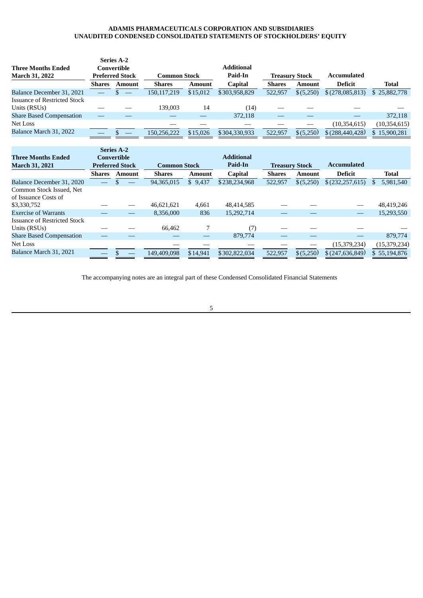# **ADAMIS PHARMACEUTICALS CORPORATION AND SUBSIDIARIES UNAUDITED CONDENSED CONSOLIDATED STATEMENTS OF STOCKHOLDERS' EQUITY**

| <b>Three Months Ended</b><br><b>March 31, 2022</b> | <b>Series A-2</b><br>Convertible<br><b>Preferred Stock</b> |                          | <b>Common Stock</b> |               | <b>Additional</b><br>Paid-In<br><b>Treasury Stock</b> |               |            | Accumulated       |                |
|----------------------------------------------------|------------------------------------------------------------|--------------------------|---------------------|---------------|-------------------------------------------------------|---------------|------------|-------------------|----------------|
|                                                    | <b>Shares</b>                                              | Amount                   | <b>Shares</b>       | <b>Amount</b> | <b>Capital</b>                                        | <b>Shares</b> | Amount     | <b>Deficit</b>    | <b>Total</b>   |
| Balance December 31, 2021                          |                                                            |                          | 150, 117, 219       | \$15,012      | \$303,958,829                                         | 522,957       | \$ (5,250) | \$(278,085,813)   | \$25,882,778   |
| Issuance of Restricted Stock                       |                                                            |                          |                     |               |                                                       |               |            |                   |                |
| Units (RSUs)                                       |                                                            |                          | 139.003             | 14            | (14)                                                  |               |            |                   |                |
| <b>Share Based Compensation</b>                    |                                                            |                          |                     |               | 372,118                                               |               |            |                   | 372,118        |
| Net Loss                                           |                                                            |                          |                     |               |                                                       |               |            | (10, 354, 615)    | (10, 354, 615) |
| Balance March 31, 2022                             |                                                            | $\overline{\phantom{a}}$ | 150.256.222         | \$15,026      | \$304,330,933                                         | 522.957       | \$(5,250)  | \$(288, 440, 428) | \$15,900,281   |
|                                                    |                                                            |                          |                     |               |                                                       |               |            |                   |                |

|                                     |        | <b>Series A-2</b>      |                     |               |                   |               |                       |                    |              |
|-------------------------------------|--------|------------------------|---------------------|---------------|-------------------|---------------|-----------------------|--------------------|--------------|
| <b>Three Months Ended</b>           |        | <b>Convertible</b>     |                     |               | <b>Additional</b> |               |                       |                    |              |
| <b>March 31, 2021</b>               |        | <b>Preferred Stock</b> | <b>Common Stock</b> |               | Paid-In           |               | <b>Treasury Stock</b> | <b>Accumulated</b> |              |
|                                     | Shares | <b>Amount</b>          | <b>Shares</b>       | <b>Amount</b> | <b>Capital</b>    | <b>Shares</b> | <b>Amount</b>         | <b>Deficit</b>     | <b>Total</b> |
| Balance December 31, 2020           |        |                        | 94,365,015          | \$9,437       | \$238,234,968     | 522,957       | \$ (5,250)            | \$(232, 257, 615)  | 5,981,540    |
| Common Stock Issued, Net            |        |                        |                     |               |                   |               |                       |                    |              |
| of Issuance Costs of                |        |                        |                     |               |                   |               |                       |                    |              |
| \$3,330,752                         |        | __                     | 46,621,621          | 4.661         | 48.414.585        |               |                       |                    | 48,419,246   |
| <b>Exercise of Warrants</b>         |        |                        | 8.356.000           | 836           | 15,292,714        |               |                       |                    | 15,293,550   |
| <b>Issuance of Restricted Stock</b> |        |                        |                     |               |                   |               |                       |                    |              |
| Units (RSUs)                        |        |                        | 66.462              |               | (7)               |               |                       |                    |              |
| <b>Share Based Compensation</b>     |        |                        |                     |               | 879,774           |               |                       |                    | 879,774      |
| Net Loss                            |        |                        |                     |               |                   |               |                       | (15, 379, 234)     | (15,379,234) |
| Balance March 31, 2021              |        |                        | 149,409,098         | \$14,941      | \$302,822,034     | 522,957       | \$(5,250)             | \$(247,636,849)    | \$55,194,876 |

The accompanying notes are an integral part of these Condensed Consolidated Financial Statements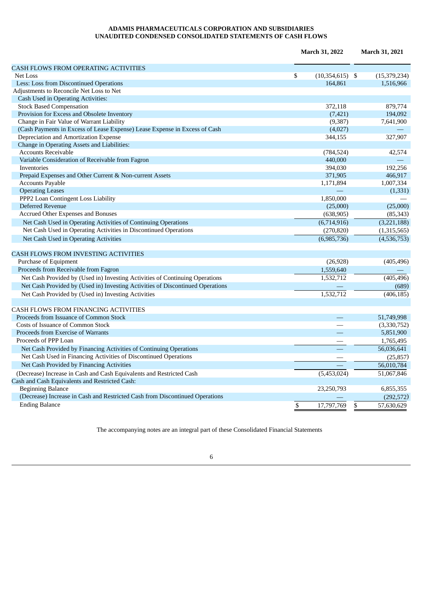# **ADAMIS PHARMACEUTICALS CORPORATION AND SUBSIDIARIES UNAUDITED CONDENSED CONSOLIDATED STATEMENTS OF CASH FLOWS**

|                                                                                | March 31, 2022          | March 31, 2021 |              |
|--------------------------------------------------------------------------------|-------------------------|----------------|--------------|
| <b>CASH FLOWS FROM OPERATING ACTIVITIES</b>                                    |                         |                |              |
| Net Loss                                                                       | \$<br>$(10,354,615)$ \$ |                | (15,379,234) |
| Less: Loss from Discontinued Operations                                        | 164,861                 |                | 1,516,966    |
| Adjustments to Reconcile Net Loss to Net                                       |                         |                |              |
| <b>Cash Used in Operating Activities:</b>                                      |                         |                |              |
| <b>Stock Based Compensation</b>                                                | 372,118                 |                | 879,774      |
| Provision for Excess and Obsolete Inventory                                    | (7, 421)                |                | 194,092      |
| Change in Fair Value of Warrant Liability                                      | (9, 387)                |                | 7,641,900    |
| (Cash Payments in Excess of Lease Expense) Lease Expense in Excess of Cash     | (4,027)                 |                |              |
| Depreciation and Amortization Expense                                          | 344,155                 |                | 327,907      |
| Change in Operating Assets and Liabilities:                                    |                         |                |              |
| <b>Accounts Receivable</b>                                                     | (784, 524)              |                | 42,574       |
| Variable Consideration of Receivable from Fagron                               | 440,000                 |                |              |
| Inventories                                                                    | 394,030                 |                | 192.256      |
| Prepaid Expenses and Other Current & Non-current Assets                        | 371,905                 |                | 466,917      |
| <b>Accounts Payable</b>                                                        | 1,171,894               |                | 1,007,334    |
| <b>Operating Leases</b>                                                        |                         |                | (1, 331)     |
| PPP2 Loan Contingent Loss Liability                                            | 1,850,000               |                |              |
| Deferred Revenue                                                               | (25,000)                |                | (25,000)     |
| Accrued Other Expenses and Bonuses                                             | (638, 905)              |                | (85, 343)    |
| Net Cash Used in Operating Activities of Continuing Operations                 | (6,714,916)             |                | (3,221,188)  |
| Net Cash Used in Operating Activities in Discontinued Operations               | (270, 820)              |                | (1,315,565)  |
| Net Cash Used in Operating Activities                                          | (6,985,736)             |                | (4,536,753)  |
| CASH FLOWS FROM INVESTING ACTIVITIES                                           |                         |                |              |
| Purchase of Equipment                                                          | (26, 928)               |                | (405, 496)   |
| Proceeds from Receivable from Fagron                                           | 1,559,640               |                |              |
| Net Cash Provided by (Used in) Investing Activities of Continuing Operations   | 1,532,712               |                | (405, 496)   |
| Net Cash Provided by (Used in) Investing Activities of Discontinued Operations |                         |                | (689)        |
| Net Cash Provided by (Used in) Investing Activities                            | 1,532,712               |                | (406, 185)   |
| <b>CASH FLOWS FROM FINANCING ACTIVITIES</b>                                    |                         |                |              |
| Proceeds from Issuance of Common Stock                                         |                         |                | 51,749,998   |
| Costs of Issuance of Common Stock                                              |                         |                | (3,330,752)  |
| Proceeds from Exercise of Warrants                                             |                         |                | 5,851,900    |
| Proceeds of PPP Loan                                                           |                         |                | 1,765,495    |
| Net Cash Provided by Financing Activities of Continuing Operations             |                         |                | 56,036,641   |
| Net Cash Used in Financing Activities of Discontinued Operations               |                         |                | (25, 857)    |
| Net Cash Provided by Financing Activities                                      |                         |                | 56,010,784   |
| (Decrease) Increase in Cash and Cash Equivalents and Restricted Cash           | (5,453,024)             |                | 51,067,846   |
| Cash and Cash Equivalents and Restricted Cash:                                 |                         |                |              |
| <b>Beginning Balance</b>                                                       | 23,250,793              |                | 6,855,355    |
| (Decrease) Increase in Cash and Restricted Cash from Discontinued Operations   |                         |                | (292, 572)   |
| <b>Ending Balance</b>                                                          | \$<br>17,797,769        | \$             | 57,630,629   |
|                                                                                |                         |                |              |

The accompanying notes are an integral part of these Consolidated Financial Statements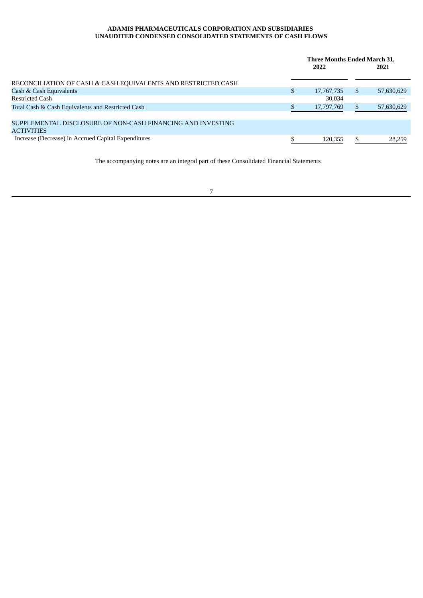# **ADAMIS PHARMACEUTICALS CORPORATION AND SUBSIDIARIES UNAUDITED CONDENSED CONSOLIDATED STATEMENTS OF CASH FLOWS**

|                                                                                  | Three Months Ended March 31, |   |            |  |
|----------------------------------------------------------------------------------|------------------------------|---|------------|--|
|                                                                                  | 2022                         |   | 2021       |  |
| RECONCILIATION OF CASH & CASH EQUIVALENTS AND RESTRICTED CASH                    |                              |   |            |  |
| Cash & Cash Equivalents                                                          | \$<br>17,767,735             | S | 57,630,629 |  |
| Restricted Cash                                                                  | 30,034                       |   |            |  |
| Total Cash & Cash Equivalents and Restricted Cash                                | 17,797,769                   |   | 57,630,629 |  |
| SUPPLEMENTAL DISCLOSURE OF NON-CASH FINANCING AND INVESTING<br><b>ACTIVITIES</b> |                              |   |            |  |
| Increase (Decrease) in Accrued Capital Expenditures                              | 120,355                      |   | 28,259     |  |

The accompanying notes are an integral part of these Consolidated Financial Statements

7

<u> 1989 - Johann Barn, mars eta bainar eta idazlea (</u>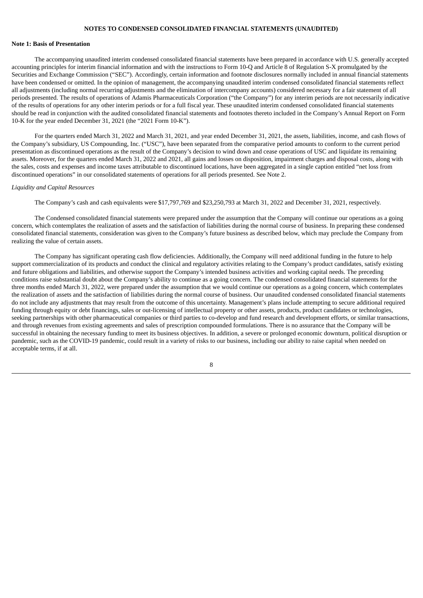# **NOTES TO CONDENSED CONSOLIDATED FINANCIAL STATEMENTS (UNAUDITED)**

#### **Note 1: Basis of Presentation**

The accompanying unaudited interim condensed consolidated financial statements have been prepared in accordance with U.S. generally accepted accounting principles for interim financial information and with the instructions to Form 10-Q and Article 8 of Regulation S-X promulgated by the Securities and Exchange Commission ("SEC"). Accordingly, certain information and footnote disclosures normally included in annual financial statements have been condensed or omitted. In the opinion of management, the accompanying unaudited interim condensed consolidated financial statements reflect all adjustments (including normal recurring adjustments and the elimination of intercompany accounts) considered necessary for a fair statement of all periods presented. The results of operations of Adamis Pharmaceuticals Corporation ("the Company") for any interim periods are not necessarily indicative of the results of operations for any other interim periods or for a full fiscal year. These unaudited interim condensed consolidated financial statements should be read in conjunction with the audited consolidated financial statements and footnotes thereto included in the Company's Annual Report on Form 10-K for the year ended December 31, 2021 (the "2021 Form 10-K").

For the quarters ended March 31, 2022 and March 31, 2021, and year ended December 31, 2021, the assets, liabilities, income, and cash flows of the Company's subsidiary, US Compounding, Inc. ("USC"), have been separated from the comparative period amounts to conform to the current period presentation as discontinued operations as the result of the Company's decision to wind down and cease operations of USC and liquidate its remaining assets. Moreover, for the quarters ended March 31, 2022 and 2021, all gains and losses on disposition, impairment charges and disposal costs, along with the sales, costs and expenses and income taxes attributable to discontinued locations, have been aggregated in a single caption entitled "net loss from discontinued operations" in our consolidated statements of operations for all periods presented. See Note 2.

#### *Liquidity and Capital Resources*

The Company's cash and cash equivalents were \$17,797,769 and \$23,250,793 at March 31, 2022 and December 31, 2021, respectively.

The Condensed consolidated financial statements were prepared under the assumption that the Company will continue our operations as a going concern, which contemplates the realization of assets and the satisfaction of liabilities during the normal course of business. In preparing these condensed consolidated financial statements, consideration was given to the Company's future business as described below, which may preclude the Company from realizing the value of certain assets.

The Company has significant operating cash flow deficiencies. Additionally, the Company will need additional funding in the future to help support commercialization of its products and conduct the clinical and regulatory activities relating to the Company's product candidates, satisfy existing and future obligations and liabilities, and otherwise support the Company's intended business activities and working capital needs. The preceding conditions raise substantial doubt about the Company's ability to continue as a going concern. The condensed consolidated financial statements for the three months ended March 31, 2022, were prepared under the assumption that we would continue our operations as a going concern, which contemplates the realization of assets and the satisfaction of liabilities during the normal course of business. Our unaudited condensed consolidated financial statements do not include any adjustments that may result from the outcome of this uncertainty. Management's plans include attempting to secure additional required funding through equity or debt financings, sales or out-licensing of intellectual property or other assets, products, product candidates or technologies, seeking partnerships with other pharmaceutical companies or third parties to co-develop and fund research and development efforts, or similar transactions, and through revenues from existing agreements and sales of prescription compounded formulations. There is no assurance that the Company will be successful in obtaining the necessary funding to meet its business objectives. In addition, a severe or prolonged economic downturn, political disruption or pandemic, such as the COVID-19 pandemic, could result in a variety of risks to our business, including our ability to raise capital when needed on acceptable terms, if at all.

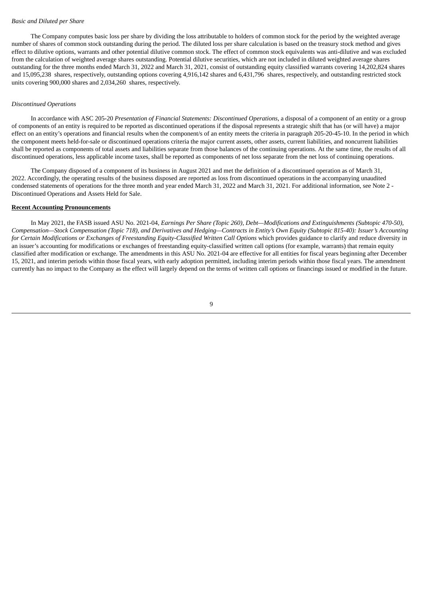#### *Basic and Diluted per Share*

The Company computes basic loss per share by dividing the loss attributable to holders of common stock for the period by the weighted average number of shares of common stock outstanding during the period. The diluted loss per share calculation is based on the treasury stock method and gives effect to dilutive options, warrants and other potential dilutive common stock. The effect of common stock equivalents was anti-dilutive and was excluded from the calculation of weighted average shares outstanding. Potential dilutive securities, which are not included in diluted weighted average shares outstanding for the three months ended March 31, 2022 and March 31, 2021, consist of outstanding equity classified warrants covering 14,202,824 shares and 15,095,238 shares, respectively, outstanding options covering 4,916,142 shares and 6,431,796 shares, respectively, and outstanding restricted stock units covering 900,000 shares and 2,034,260 shares, respectively.

#### *Discontinued Operations*

In accordance with ASC 205-20 *Presentation of Financial Statements: Discontinued Operations*, a disposal of a component of an entity or a group of components of an entity is required to be reported as discontinued operations if the disposal represents a strategic shift that has (or will have) a major effect on an entity's operations and financial results when the component/s of an entity meets the criteria in paragraph 205-20-45-10. In the period in which the component meets held-for-sale or discontinued operations criteria the major current assets, other assets, current liabilities, and noncurrent liabilities shall be reported as components of total assets and liabilities separate from those balances of the continuing operations. At the same time, the results of all discontinued operations, less applicable income taxes, shall be reported as components of net loss separate from the net loss of continuing operations.

The Company disposed of a component of its business in August 2021 and met the definition of a discontinued operation as of March 31, 2022. Accordingly, the operating results of the business disposed are reported as loss from discontinued operations in the accompanying unaudited condensed statements of operations for the three month and year ended March 31, 2022 and March 31, 2021. For additional information, see Note 2 - Discontinued Operations and Assets Held for Sale.

#### **Recent Accounting Pronouncements**

In May 2021, the FASB issued ASU No. 2021-04, *Earnings Per Share (Topic 260), Debt—Modifications and Extinguishments (Subtopic 470-50),* Compensation—Stock Compensation (Topic 718), and Derivatives and Hedging—Contracts in Entity's Own Equity (Subtopic 815-40): Issuer's Accounting for Certain Modifications or Exchanges of Freestanding Equity-Classified Written Call Options which provides guidance to clarify and reduce diversity in an issuer's accounting for modifications or exchanges of freestanding equity-classified written call options (for example, warrants) that remain equity classified after modification or exchange. The amendments in this ASU No. 2021-04 are effective for all entities for fiscal years beginning after December 15, 2021, and interim periods within those fiscal years, with early adoption permitted, including interim periods within those fiscal years. The amendment currently has no impact to the Company as the effect will largely depend on the terms of written call options or financings issued or modified in the future.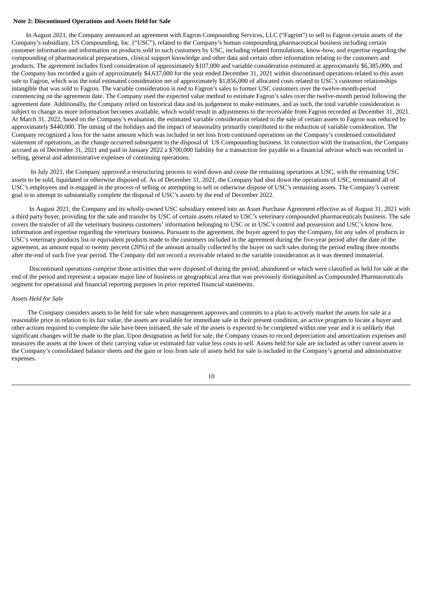#### **Note 2: Discontinued Operations and Assets Held for Sale**

In August 2021, the Company announced an agreement with Fagron Compounding Services, LLC ("Fagron") to sell to Fagron certain assets of the Company's subsidiary, US Compounding, Inc. ("USC"), related to the Company's human compounding pharmaceutical business including certain customer information and information on products sold to such customers by USC, including related formulations, know-how, and expertise regarding the compounding of pharmaceutical preparations, clinical support knowledge and other data and certain other information relating to the customers and products. The agreement includes fixed consideration of approximately \$107,000 and variable consideration estimated at approximately \$6,385,000, and the Company has recorded a gain of approximately \$4,637,000 for the year ended December 31, 2021 within discontinued operations related to this asset sale to Fagron, which was the total estimated consideration net of approximately \$1,856,000 of allocated costs related to USC's customer relationships intangible that was sold to Fagron. The variable consideration is tied to Fagron's sales to former USC customers over the twelve-month-period commencing on the agreement date. The Company used the expected value method to estimate Fagron's sales over the twelve-month period following the agreement date. Additionally, the Company relied on historical data and its judgement to make estimates, and as such, the total variable consideration is subject to change as more information becomes available, which would result in adjustments to the receivable from Fagron recorded at December 31, 2021. At March 31, 2022, based on the Company's evaluation, the estimated variable consideration related to the sale of certain assets to Fagron was reduced by approximately \$440,000. The timing of the holidays and the impact of seasonality primarily contributed to the reduction of variable consideration. The Company recognized a loss for the same amount which was included in net loss from continued operations on the Company's condensed consolidated statement of operations, as the change occurred subsequent to the disposal of US Compounding business. In connection with the transaction, the Company accrued as of December 31, 2021 and paid in January 2022 a \$700,000 liability for a transaction fee payable to a financial advisor which was recorded in selling, general and administrative expenses of continuing operations.

In July 2021, the Company approved a restructuring process to wind down and cease the remaining operations at USC, with the remaining USC assets to be sold, liquidated or otherwise disposed of. As of December 31, 2021, the Company had shut down the operations of USC, terminated all of USC's employees and is engaged in the process of selling or attempting to sell or otherwise dispose of USC's remaining assets. The Company's current goal is to attempt to substantially complete the disposal of USC's assets by the end of December 2022.

In August 2021, the Company and its wholly-owned USC subsidiary entered into an Asset Purchase Agreement effective as of August 31, 2021 with a third party buyer, providing for the sale and transfer by USC of certain assets related to USC's veterinary compounded pharmaceuticals business. The sale covers the transfer of all the veterinary business customers' information belonging to USC or in USC's control and possession and USC's know how, information and expertise regarding the veterinary business. Pursuant to the agreement, the buyer agreed to pay the Company, for any sales of products in USC's veterinary products list or equivalent products made to the customers included in the agreement during the five-year period after the date of the agreement, an amount equal to twenty percent (20%) of the amount actually collected by the buyer on such sales during the period ending three months after the end of such five year period. The Company did not record a receivable related to the variable consideration as it was deemed immaterial.

Discontinued operations comprise those activities that were disposed of during the period, abandoned or which were classified as held for sale at the end of the period and represent a separate major line of business or geographical area that was previously distinguished as Compounded Pharmaceuticals segment for operational and financial reporting purposes in prior reported financial statements.

#### *Assets Held for Sale*

The Company considers assets to be held for sale when management approves and commits to a plan to actively market the assets for sale at a reasonable price in relation to its fair value, the assets are available for immediate sale in their present condition, an active program to locate a buyer and other actions required to complete the sale have been initiated, the sale of the assets is expected to be completed within one year and it is unlikely that significant changes will be made to the plan. Upon designation as held for sale, the Company ceases to record depreciation and amortization expenses and measures the assets at the lower of their carrying value or estimated fair value less costs to sell. Assets held for sale are included as other current assets in the Company's consolidated balance sheets and the gain or loss from sale of assets held for sale is included in the Company's general and administrative expenses.

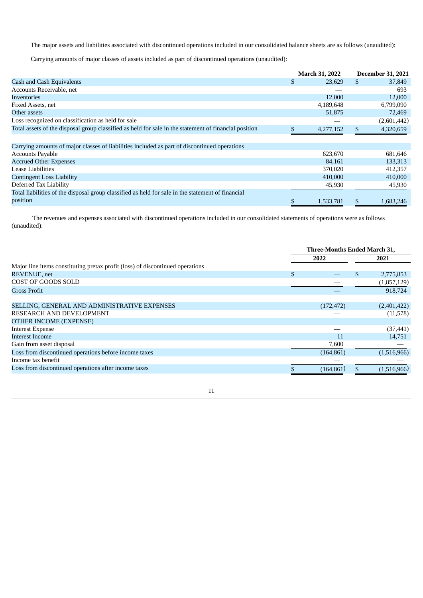The major assets and liabilities associated with discontinued operations included in our consolidated balance sheets are as follows (unaudited):

Carrying amounts of major classes of assets included as part of discontinued operations (unaudited):

|                                                                                                       | <b>March 31, 2022</b> |     | <b>December 31, 2021</b> |
|-------------------------------------------------------------------------------------------------------|-----------------------|-----|--------------------------|
| <b>Cash and Cash Equivalents</b>                                                                      | 23,629                | \$. | 37,849                   |
| Accounts Receivable, net                                                                              |                       |     | 693                      |
| Inventories                                                                                           | 12,000                |     | 12,000                   |
| Fixed Assets, net                                                                                     | 4,189,648             |     | 6,799,090                |
| Other assets                                                                                          | 51,875                |     | 72,469                   |
| Loss recognized on classification as held for sale                                                    |                       |     | (2,601,442)              |
| Total assets of the disposal group classified as held for sale in the statement of financial position | 4,277,152             |     | 4,320,659                |
| Carrying amounts of major classes of liabilities included as part of discontinued operations          |                       |     |                          |
| <b>Accounts Payable</b>                                                                               | 623,670               |     | 681,646                  |
| <b>Accrued Other Expenses</b>                                                                         | 84,161                |     | 133,313                  |
| <b>Lease Liabilities</b>                                                                              | 370,020               |     | 412,357                  |
| <b>Contingent Loss Liability</b>                                                                      | 410,000               |     | 410,000                  |
| Deferred Tax Liability                                                                                | 45,930                |     | 45,930                   |
| Total liabilities of the disposal group classified as held for sale in the statement of financial     |                       |     |                          |
| position                                                                                              | 1,533,781             |     | 1,683,246                |
|                                                                                                       |                       |     |                          |

The revenues and expenses associated with discontinued operations included in our consolidated statements of operations were as follows (unaudited):

|                                                                               | <b>Three-Months Ended March 31,</b> |            |  |             |
|-------------------------------------------------------------------------------|-------------------------------------|------------|--|-------------|
|                                                                               |                                     | 2022       |  | 2021        |
| Major line items constituting pretax profit (loss) of discontinued operations |                                     |            |  |             |
| REVENUE, net                                                                  | <sup>\$</sup>                       |            |  | 2,775,853   |
| COST OF GOODS SOLD                                                            |                                     |            |  | (1,857,129) |
| <b>Gross Profit</b>                                                           |                                     |            |  | 918,724     |
|                                                                               |                                     |            |  |             |
| SELLING, GENERAL AND ADMINISTRATIVE EXPENSES                                  |                                     | (172, 472) |  | (2,401,422) |
| RESEARCH AND DEVELOPMENT                                                      |                                     |            |  | (11,578)    |
| <b>OTHER INCOME (EXPENSE)</b>                                                 |                                     |            |  |             |
| <b>Interest Expense</b>                                                       |                                     |            |  | (37, 441)   |
| <b>Interest Income</b>                                                        |                                     | 11         |  | 14,751      |
| Gain from asset disposal                                                      |                                     | 7,600      |  |             |
| Loss from discontinued operations before income taxes                         |                                     | (164, 861) |  | (1,516,966) |
| Income tax benefit                                                            |                                     |            |  |             |
| Loss from discontinued operations after income taxes                          |                                     | (164, 861) |  | (1,516,966) |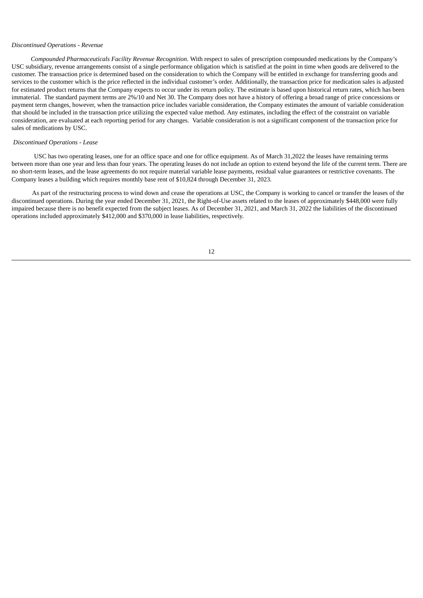#### *Discontinued Operations - Revenue*

*Compounded Pharmaceuticals Facility Revenue Recognition.* With respect to sales of prescription compounded medications by the Company's USC subsidiary, revenue arrangements consist of a single performance obligation which is satisfied at the point in time when goods are delivered to the customer. The transaction price is determined based on the consideration to which the Company will be entitled in exchange for transferring goods and services to the customer which is the price reflected in the individual customer's order. Additionally, the transaction price for medication sales is adjusted for estimated product returns that the Company expects to occur under its return policy. The estimate is based upon historical return rates, which has been immaterial. The standard payment terms are 2%/10 and Net 30. The Company does not have a history of offering a broad range of price concessions or payment term changes, however, when the transaction price includes variable consideration, the Company estimates the amount of variable consideration that should be included in the transaction price utilizing the expected value method. Any estimates, including the effect of the constraint on variable consideration, are evaluated at each reporting period for any changes. Variable consideration is not a significant component of the transaction price for sales of medications by USC.

#### *Discontinued Operations - Lease*

USC has two operating leases, one for an office space and one for office equipment. As of March 31,2022 the leases have remaining terms between more than one year and less than four years. The operating leases do not include an option to extend beyond the life of the current term. There are no short-term leases, and the lease agreements do not require material variable lease payments, residual value guarantees or restrictive covenants. The Company leases a building which requires monthly base rent of \$10,824 through December 31, 2023.

As part of the restructuring process to wind down and cease the operations at USC, the Company is working to cancel or transfer the leases of the discontinued operations. During the year ended December 31, 2021, the Right-of-Use assets related to the leases of approximately \$448,000 were fully impaired because there is no benefit expected from the subject leases. As of December 31, 2021, and March 31, 2022 the liabilities of the discontinued operations included approximately \$412,000 and \$370,000 in lease liabilities, respectively.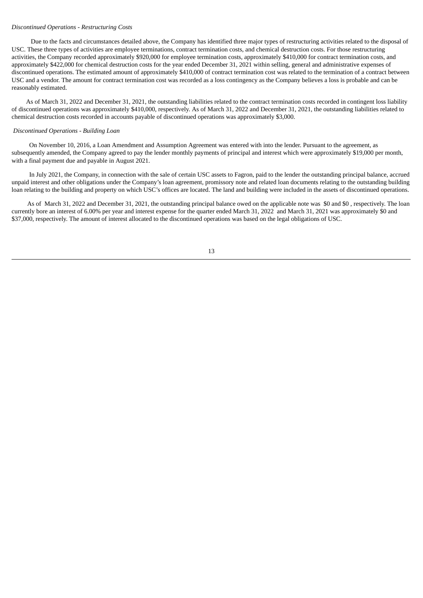#### *Discontinued Operations - Restructuring Costs*

Due to the facts and circumstances detailed above, the Company has identified three major types of restructuring activities related to the disposal of USC. These three types of activities are employee terminations, contract termination costs, and chemical destruction costs. For those restructuring activities, the Company recorded approximately \$920,000 for employee termination costs, approximately \$410,000 for contract termination costs, and approximately \$422,000 for chemical destruction costs for the year ended December 31, 2021 within selling, general and administrative expenses of discontinued operations. The estimated amount of approximately \$410,000 of contract termination cost was related to the termination of a contract between USC and a vendor. The amount for contract termination cost was recorded as a loss contingency as the Company believes a loss is probable and can be reasonably estimated.

As of March 31, 2022 and December 31, 2021, the outstanding liabilities related to the contract termination costs recorded in contingent loss liability of discontinued operations was approximately \$410,000, respectively. As of March 31, 2022 and December 31, 2021, the outstanding liabilities related to chemical destruction costs recorded in accounts payable of discontinued operations was approximately \$3,000.

#### *Discontinued Operations - Building Loan*

On November 10, 2016, a Loan Amendment and Assumption Agreement was entered with into the lender. Pursuant to the agreement, as subsequently amended, the Company agreed to pay the lender monthly payments of principal and interest which were approximately \$19,000 per month, with a final payment due and payable in August 2021.

In July 2021, the Company, in connection with the sale of certain USC assets to Fagron, paid to the lender the outstanding principal balance, accrued unpaid interest and other obligations under the Company's loan agreement, promissory note and related loan documents relating to the outstanding building loan relating to the building and property on which USC's offices are located. The land and building were included in the assets of discontinued operations.

As of March 31, 2022 and December 31, 2021, the outstanding principal balance owed on the applicable note was \$0 and \$0 , respectively. The loan currently bore an interest of 6.00% per year and interest expense for the quarter ended March 31, 2022 and March 31, 2021 was approximately \$0 and \$37,000, respectively. The amount of interest allocated to the discontinued operations was based on the legal obligations of USC.

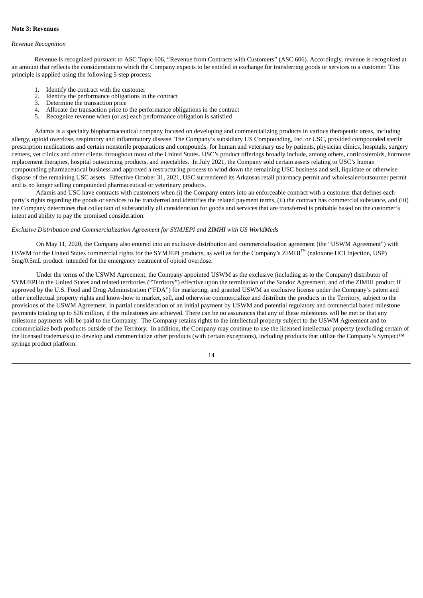#### **Note 3: Revenues**

#### *Revenue Recognition*

Revenue is recognized pursuant to ASC Topic 606, "Revenue from Contracts with Customers" (ASC 606). Accordingly, revenue is recognized at an amount that reflects the consideration to which the Company expects to be entitled in exchange for transferring goods or services to a customer. This principle is applied using the following 5-step process:

- 1. Identify the contract with the customer
- 2. Identify the performance obligations in the contract
- 3. Determine the transaction price
- 4. Allocate the transaction price to the performance obligations in the contract
- 5. Recognize revenue when (or as) each performance obligation is satisfied

Adamis is a specialty biopharmaceutical company focused on developing and commercializing products in various therapeutic areas, including allergy, opioid overdose, respiratory and inflammatory disease. The Company's subsidiary US Compounding, Inc. or USC, provided compounded sterile prescription medications and certain nonsterile preparations and compounds, for human and veterinary use by patients, physician clinics, hospitals, surgery centers, vet clinics and other clients throughout most of the United States. USC's product offerings broadly include, among others, corticosteroids, hormone replacement therapies, hospital outsourcing products, and injectables. In July 2021, the Company sold certain assets relating to USC's human compounding pharmaceutical business and approved a restructuring process to wind down the remaining USC business and sell, liquidate or otherwise dispose of the remaining USC assets. Effective October 31, 2021, USC surrendered its Arkansas retail pharmacy permit and wholesaler/outsourcer permit and is no longer selling compounded pharmaceutical or veterinary products.

Adamis and USC have contracts with customers when (i) the Company enters into an enforceable contract with a customer that defines each party's rights regarding the goods or services to be transferred and identifies the related payment terms, (ii) the contract has commercial substance, and (iii) the Company determines that collection of substantially all consideration for goods and services that are transferred is probable based on the customer's intent and ability to pay the promised consideration.

# *Exclusive Distribution and Commercialization Agreement for SYMJEPI and ZIMHI with US WorldMeds*

On May 11, 2020, the Company also entered into an exclusive distribution and commercialization agreement (the "USWM Agreement") with USWM for the United States commercial rights for the SYMJEPI products, as well as for the Company's ZIMHI™ (naloxone HCI Injection, USP) 5mg/0.5mL product intended for the emergency treatment of opioid overdose.

Under the terms of the USWM Agreement, the Company appointed USWM as the exclusive (including as to the Company) distributor of SYMJEPI in the United States and related territories ("Territory") effective upon the termination of the Sandoz Agreement, and of the ZIMHI product if approved by the U.S. Food and Drug Administration ("FDA") for marketing, and granted USWM an exclusive license under the Company's patent and other intellectual property rights and know-how to market, sell, and otherwise commercialize and distribute the products in the Territory, subject to the provisions of the USWM Agreement, in partial consideration of an initial payment by USWM and potential regulatory and commercial based milestone payments totaling up to \$26 million, if the milestones are achieved. There can be no assurances that any of these milestones will be met or that any milestone payments will be paid to the Company. The Company retains rights to the intellectual property subject to the USWM Agreement and to commercialize both products outside of the Territory. In addition, the Company may continue to use the licensed intellectual property (excluding certain of the licensed trademarks) to develop and commercialize other products (with certain exceptions), including products that utilize the Company's Symject™ syringe product platform.

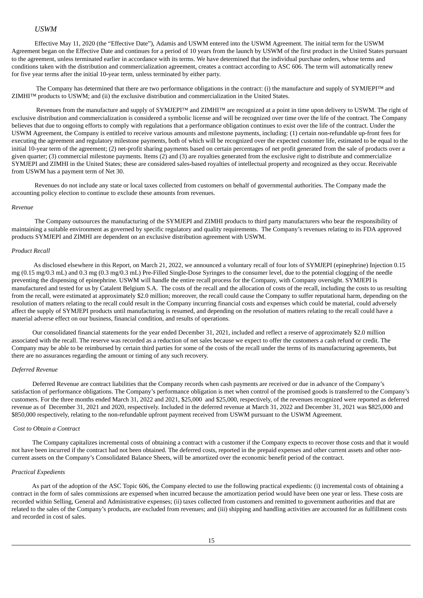# *USWM*

Effective May 11, 2020 (the "Effective Date"), Adamis and USWM entered into the USWM Agreement. The initial term for the USWM Agreement began on the Effective Date and continues for a period of 10 years from the launch by USWM of the first product in the United States pursuant to the agreement, unless terminated earlier in accordance with its terms. We have determined that the individual purchase orders, whose terms and conditions taken with the distribution and commercialization agreement, creates a contract according to ASC 606. The term will automatically renew for five year terms after the initial 10-year term, unless terminated by either party.

The Company has determined that there are two performance obligations in the contract: (i) the manufacture and supply of SYMJEPI™ and ZIMHI™ products to USWM; and (ii) the exclusive distribution and commercialization in the United States.

Revenues from the manufacture and supply of SYMJEPI™ and ZIMHI™ are recognized at a point in time upon delivery to USWM. The right of exclusive distribution and commercialization is considered a symbolic license and will be recognized over time over the life of the contract. The Company believes that due to ongoing efforts to comply with regulations that a performance obligation continues to exist over the life of the contract. Under the USWM Agreement, the Company is entitled to receive various amounts and milestone payments, including: (1) certain non-refundable up-front fees for executing the agreement and regulatory milestone payments, both of which will be recognized over the expected customer life, estimated to be equal to the initial 10-year term of the agreement; (2) net-profit sharing payments based on certain percentages of net profit generated from the sale of products over a given quarter; (3) commercial milestone payments. Items (2) and (3) are royalties generated from the exclusive right to distribute and commercialize SYMJEPI and ZIMHI in the United States; these are considered sales-based royalties of intellectual property and recognized as they occur. Receivable from USWM has a payment term of Net 30.

Revenues do not include any state or local taxes collected from customers on behalf of governmental authorities. The Company made the accounting policy election to continue to exclude these amounts from revenues.

#### *Revenue*

The Company outsources the manufacturing of the SYMJEPI and ZIMHI products to third party manufacturers who bear the responsibility of maintaining a suitable environment as governed by specific regulatory and quality requirements. The Company's revenues relating to its FDA approved products SYMJEPI and ZIMHI are dependent on an exclusive distribution agreement with USWM.

#### *Product Recall*

As disclosed elsewhere in this Report, on March 21, 2022, we announced a voluntary recall of four lots of SYMJEPI (epinephrine) Injection 0.15 mg (0.15 mg/0.3 mL) and 0.3 mg (0.3 mg/0.3 mL) Pre-Filled Single-Dose Syringes to the consumer level, due to the potential clogging of the needle preventing the dispensing of epinephrine. USWM will handle the entire recall process for the Company, with Company oversight. SYMJEPI is manufactured and tested for us by Catalent Belgium S.A. The costs of the recall and the allocation of costs of the recall, including the costs to us resulting from the recall, were estimated at approximately \$2.0 million; moreover, the recall could cause the Company to suffer reputational harm, depending on the resolution of matters relating to the recall could result in the Company incurring financial costs and expenses which could be material, could adversely affect the supply of SYMJEPI products until manufacturing is resumed, and depending on the resolution of matters relating to the recall could have a material adverse effect on our business, financial condition, and results of operations.

Our consolidated financial statements for the year ended December 31, 2021, included and reflect a reserve of approximately \$2.0 million associated with the recall. The reserve was recorded as a reduction of net sales because we expect to offer the customers a cash refund or credit. The Company may be able to be reimbursed by certain third parties for some of the costs of the recall under the terms of its manufacturing agreements, but there are no assurances regarding the amount or timing of any such recovery.

#### *Deferred Revenue*

Deferred Revenue are contract liabilities that the Company records when cash payments are received or due in advance of the Company's satisfaction of performance obligations. The Company's performance obligation is met when control of the promised goods is transferred to the Company's customers. For the three months ended March 31, 2022 and 2021, \$25,000 and \$25,000, respectively, of the revenues recognized were reported as deferred revenue as of December 31, 2021 and 2020, respectively. Included in the deferred revenue at March 31, 2022 and December 31, 2021 was \$825,000 and \$850,000 respectively, relating to the non-refundable upfront payment received from USWM pursuant to the USWM Agreement.

#### *Cost to Obtain a Contract*

The Company capitalizes incremental costs of obtaining a contract with a customer if the Company expects to recover those costs and that it would not have been incurred if the contract had not been obtained. The deferred costs, reported in the prepaid expenses and other current assets and other noncurrent assets on the Company's Consolidated Balance Sheets, will be amortized over the economic benefit period of the contract.

#### *Practical Expedients*

As part of the adoption of the ASC Topic 606, the Company elected to use the following practical expedients: (i) incremental costs of obtaining a contract in the form of sales commissions are expensed when incurred because the amortization period would have been one year or less. These costs are recorded within Selling, General and Administrative expenses; (ii) taxes collected from customers and remitted to government authorities and that are related to the sales of the Company's products, are excluded from revenues; and (iii) shipping and handling activities are accounted for as fulfillment costs and recorded in cost of sales.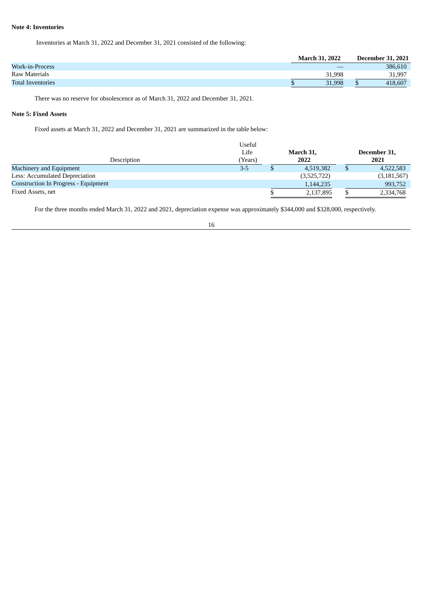# **Note 4: Inventories**

Inventories at March 31, 2022 and December 31, 2021 consisted of the following:

|                          | <b>March 31, 2022</b> | <b>December 31, 2021</b> |  |
|--------------------------|-----------------------|--------------------------|--|
| Work-in-Process          |                       | 386,610                  |  |
| Raw Materials            | 31,998                | 31,997                   |  |
| <b>Total Inventories</b> | 31,998                | 418.607                  |  |

There was no reserve for obsolescence as of March 31, 2022 and December 31, 2021.

# **Note 5: Fixed Assets**

Fixed assets at March 31, 2022 and December 31, 2021 are summarized in the table below:

|                                             | Useful  |             |               |
|---------------------------------------------|---------|-------------|---------------|
|                                             | Life    | March 31,   | December 31,  |
| Description                                 | (Years) | 2022        | 2021          |
| Machinery and Equipment                     | $3-5$   | 4,519,382   | 4,522,583     |
| Less: Accumulated Depreciation              |         | (3,525,722) | (3, 181, 567) |
| <b>Construction In Progress - Equipment</b> |         | 1,144,235   | 993,752       |
| Fixed Assets, net                           |         | 2,137,895   | 2,334,768     |

For the three months ended March 31, 2022 and 2021, depreciation expense was approximately \$344,000 and \$328,000, respectively.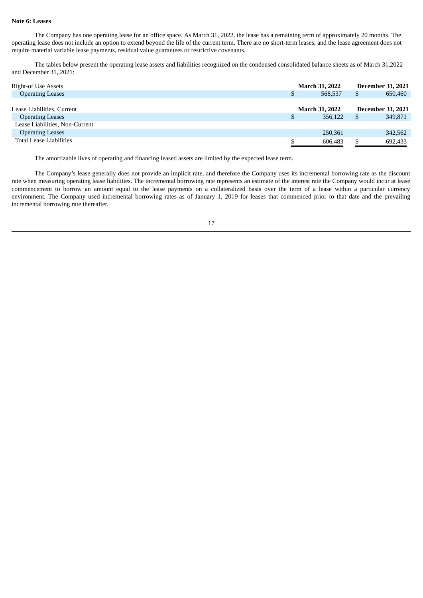#### **Note 6: Leases**

The Company has one operating lease for an office space. As March 31, 2022, the lease has a remaining term of approximately 20 months. The operating lease does not include an option to extend beyond the life of the current term. There are no short-term leases, and the lease agreement does not require material variable lease payments, residual value guarantees or restrictive covenants.

The tables below present the operating lease assets and liabilities recognized on the condensed consolidated balance sheets as of March 31,2022 and December 31, 2021:

| <b>Right-of Use Assets</b>     |    | <b>March 31, 2022</b> | <b>December 31, 2021</b> |
|--------------------------------|----|-----------------------|--------------------------|
| <b>Operating Leases</b>        | \$ | 568,537               | 650,460                  |
|                                |    |                       |                          |
| Lease Liabilities, Current     |    | <b>March 31, 2022</b> | <b>December 31, 2021</b> |
| <b>Operating Leases</b>        | S  | 356,122               | 349,871                  |
| Lease Liabilities, Non-Current |    |                       |                          |
| <b>Operating Leases</b>        |    | 250,361               | 342,562                  |
| <b>Total Lease Liabilities</b> |    | 606,483               | 692,433                  |

The amortizable lives of operating and financing leased assets are limited by the expected lease term.

The Company's lease generally does not provide an implicit rate, and therefore the Company uses its incremental borrowing rate as the discount rate when measuring operating lease liabilities. The incremental borrowing rate represents an estimate of the interest rate the Company would incur at lease commencement to borrow an amount equal to the lease payments on a collateralized basis over the term of a lease within a particular currency environment. The Company used incremental borrowing rates as of January 1, 2019 for leases that commenced prior to that date and the prevailing incremental borrowing rate thereafter.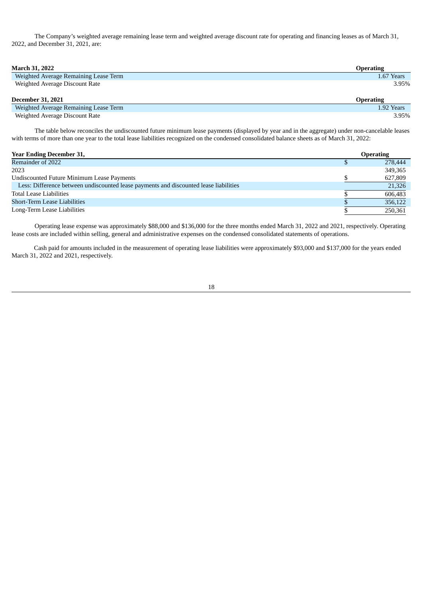The Company's weighted average remaining lease term and weighted average discount rate for operating and financing leases as of March 31, 2022, and December 31, 2021, are:

| <b>March 31, 2022</b>                 | <b>Operating</b> |
|---------------------------------------|------------------|
| Weighted Average Remaining Lease Term | 1.67 Years       |
| Weighted Average Discount Rate        | 3.95%            |
| <b>December 31, 2021</b>              | <b>Operating</b> |
| Weighted Average Remaining Lease Term | 1.92 Years       |

The table below reconciles the undiscounted future minimum lease payments (displayed by year and in the aggregate) under non-cancelable leases with terms of more than one year to the total lease liabilities recognized on the condensed consolidated balance sheets as of March 31, 2022:

Weighted Average Discount Rate 3.95%

| <b>Year Ending December 31,</b>                                                       | <b>Operating</b> |
|---------------------------------------------------------------------------------------|------------------|
| Remainder of 2022                                                                     | 278,444          |
| 2023                                                                                  | 349,365          |
| Undiscounted Future Minimum Lease Payments                                            | 627,809          |
| Less: Difference between undiscounted lease payments and discounted lease liabilities | 21,326           |
| Total Lease Liabilities                                                               | 606,483          |
| <b>Short-Term Lease Liabilities</b>                                                   | 356,122          |
| Long-Term Lease Liabilities                                                           | 250,361          |

Operating lease expense was approximately \$88,000 and \$136,000 for the three months ended March 31, 2022 and 2021, respectively. Operating lease costs are included within selling, general and administrative expenses on the condensed consolidated statements of operations.

Cash paid for amounts included in the measurement of operating lease liabilities were approximately \$93,000 and \$137,000 for the years ended March 31, 2022 and 2021, respectively.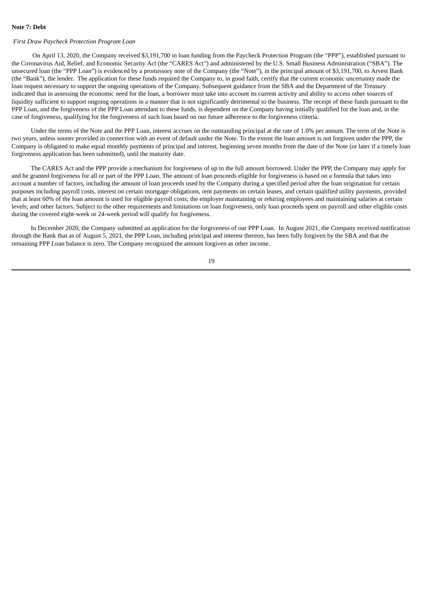### **Note 7: Debt**

#### *First Draw Paycheck Protection Program Loan*

On April 13, 2020, the Company received \$3,191,700 in loan funding from the Paycheck Protection Program (the "PPP"), established pursuant to the Coronavirus Aid, Relief, and Economic Security Act (the "CARES Act") and administered by the U.S. Small Business Administration ("SBA"). The unsecured loan (the "PPP Loan") is evidenced by a promissory note of the Company (the "Note"), in the principal amount of \$3,191,700, to Arvest Bank (the "Bank"), the lender. The application for these funds required the Company to, in good faith, certify that the current economic uncertainty made the loan request necessary to support the ongoing operations of the Company. Subsequent guidance from the SBA and the Department of the Treasury indicated that in assessing the economic need for the loan, a borrower must take into account its current activity and ability to access other sources of liquidity sufficient to support ongoing operations in a manner that is not significantly detrimental to the business. The receipt of these funds pursuant to the PPP Loan, and the forgiveness of the PPP Loan attendant to these funds, is dependent on the Company having initially qualified for the loan and, in the case of forgiveness, qualifying for the forgiveness of such loan based on our future adherence to the forgiveness criteria.

Under the terms of the Note and the PPP Loan, interest accrues on the outstanding principal at the rate of 1.0% per annum. The term of the Note is two years, unless sooner provided in connection with an event of default under the Note. To the extent the loan amount is not forgiven under the PPP, the Company is obligated to make equal monthly payments of principal and interest, beginning seven months from the date of the Note (or later if a timely loan forgiveness application has been submitted), until the maturity date.

The CARES Act and the PPP provide a mechanism for forgiveness of up to the full amount borrowed. Under the PPP, the Company may apply for and be granted forgiveness for all or part of the PPP Loan. The amount of loan proceeds eligible for forgiveness is based on a formula that takes into account a number of factors, including the amount of loan proceeds used by the Company during a specified period after the loan origination for certain purposes including payroll costs, interest on certain mortgage obligations, rent payments on certain leases, and certain qualified utility payments, provided that at least 60% of the loan amount is used for eligible payroll costs; the employer maintaining or rehiring employees and maintaining salaries at certain levels; and other factors. Subject to the other requirements and limitations on loan forgiveness, only loan proceeds spent on payroll and other eligible costs during the covered eight-week or 24-week period will qualify for forgiveness.

In December 2020, the Company submitted an application for the forgiveness of our PPP Loan. In August 2021, the Company received notification through the Bank that as of August 5, 2021, the PPP Loan, including principal and interest thereon, has been fully forgiven by the SBA and that the remaining PPP Loan balance is zero. The Company recognized the amount forgiven as other income.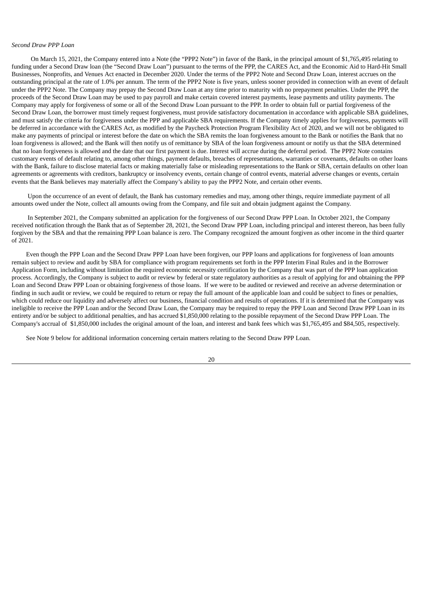#### *Second Draw PPP Loan*

On March 15, 2021, the Company entered into a Note (the "PPP2 Note") in favor of the Bank, in the principal amount of \$1,765,495 relating to funding under a Second Draw loan (the "Second Draw Loan") pursuant to the terms of the PPP, the CARES Act, and the Economic Aid to Hard-Hit Small Businesses, Nonprofits, and Venues Act enacted in December 2020. Under the terms of the PPP2 Note and Second Draw Loan, interest accrues on the outstanding principal at the rate of 1.0% per annum. The term of the PPP2 Note is five years, unless sooner provided in connection with an event of default under the PPP2 Note. The Company may prepay the Second Draw Loan at any time prior to maturity with no prepayment penalties. Under the PPP, the proceeds of the Second Draw Loan may be used to pay payroll and make certain covered interest payments, lease payments and utility payments. The Company may apply for forgiveness of some or all of the Second Draw Loan pursuant to the PPP. In order to obtain full or partial forgiveness of the Second Draw Loan, the borrower must timely request forgiveness, must provide satisfactory documentation in accordance with applicable SBA guidelines, and must satisfy the criteria for forgiveness under the PPP and applicable SBA requirements. If the Company timely applies for forgiveness, payments will be deferred in accordance with the CARES Act, as modified by the Paycheck Protection Program Flexibility Act of 2020, and we will not be obligated to make any payments of principal or interest before the date on which the SBA remits the loan forgiveness amount to the Bank or notifies the Bank that no loan forgiveness is allowed; and the Bank will then notify us of remittance by SBA of the loan forgiveness amount or notify us that the SBA determined that no loan forgiveness is allowed and the date that our first payment is due. Interest will accrue during the deferral period. The PPP2 Note contains customary events of default relating to, among other things, payment defaults, breaches of representations, warranties or covenants, defaults on other loans with the Bank, failure to disclose material facts or making materially false or misleading representations to the Bank or SBA, certain defaults on other loan agreements or agreements with creditors, bankruptcy or insolvency events, certain change of control events, material adverse changes or events, certain events that the Bank believes may materially affect the Company's ability to pay the PPP2 Note, and certain other events.

Upon the occurrence of an event of default, the Bank has customary remedies and may, among other things, require immediate payment of all amounts owed under the Note, collect all amounts owing from the Company, and file suit and obtain judgment against the Company.

In September 2021, the Company submitted an application for the forgiveness of our Second Draw PPP Loan. In October 2021, the Company received notification through the Bank that as of September 28, 2021, the Second Draw PPP Loan, including principal and interest thereon, has been fully forgiven by the SBA and that the remaining PPP Loan balance is zero. The Company recognized the amount forgiven as other income in the third quarter of 2021.

Even though the PPP Loan and the Second Draw PPP Loan have been forgiven, our PPP loans and applications for forgiveness of loan amounts remain subject to review and audit by SBA for compliance with program requirements set forth in the PPP Interim Final Rules and in the Borrower Application Form, including without limitation the required economic necessity certification by the Company that was part of the PPP loan application process. Accordingly, the Company is subject to audit or review by federal or state regulatory authorities as a result of applying for and obtaining the PPP Loan and Second Draw PPP Loan or obtaining forgiveness of those loans. If we were to be audited or reviewed and receive an adverse determination or finding in such audit or review, we could be required to return or repay the full amount of the applicable loan and could be subject to fines or penalties, which could reduce our liquidity and adversely affect our business, financial condition and results of operations. If it is determined that the Company was ineligible to receive the PPP Loan and/or the Second Draw Loan, the Company may be required to repay the PPP Loan and Second Draw PPP Loan in its entirety and/or be subject to additional penalties, and has accrued \$1,850,000 relating to the possible repayment of the Second Draw PPP Loan. The Company's accrual of \$1,850,000 includes the original amount of the loan, and interest and bank fees which was \$1,765,495 and \$84,505, respectively.

See Note 9 below for additional information concerning certain matters relating to the Second Draw PPP Loan.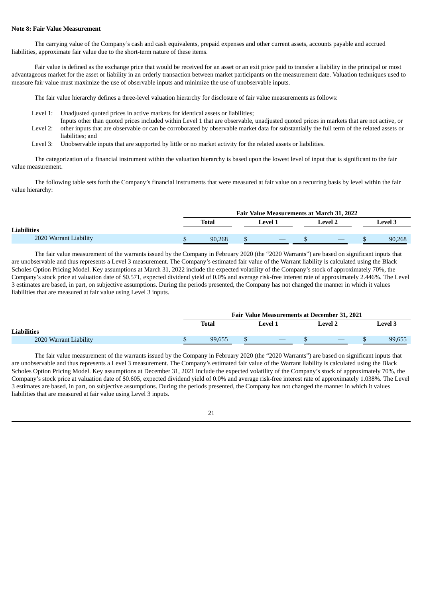# **Note 8: Fair Value Measurement**

The carrying value of the Company's cash and cash equivalents, prepaid expenses and other current assets, accounts payable and accrued liabilities, approximate fair value due to the short-term nature of these items.

Fair value is defined as the exchange price that would be received for an asset or an exit price paid to transfer a liability in the principal or most advantageous market for the asset or liability in an orderly transaction between market participants on the measurement date. Valuation techniques used to measure fair value must maximize the use of observable inputs and minimize the use of unobservable inputs.

The fair value hierarchy defines a three-level valuation hierarchy for disclosure of fair value measurements as follows:

- Level 1: Unadjusted quoted prices in active markets for identical assets or liabilities;
- Level 2: Inputs other than quoted prices included within Level 1 that are observable, unadjusted quoted prices in markets that are not active, or other inputs that are observable or can be corroborated by observable market data for substantially the full term of the related assets or liabilities; and
- Level 3: Unobservable inputs that are supported by little or no market activity for the related assets or liabilities.

The categorization of a financial instrument within the valuation hierarchy is based upon the lowest level of input that is significant to the fair value measurement.

The following table sets forth the Company's financial instruments that were measured at fair value on a recurring basis by level within the fair value hierarchy:

|                        | <b>Fair Value Measurements at March 31, 2022</b> |         |  |         |  |         |        |
|------------------------|--------------------------------------------------|---------|--|---------|--|---------|--------|
|                        | Total                                            | evel 1. |  | ⊑evel 2 |  | ∟evel 3 |        |
| <b>Liabilities</b>     |                                                  |         |  |         |  |         |        |
| 2020 Warrant Liability | 90,268                                           |         |  |         |  |         | 90,268 |

The fair value measurement of the warrants issued by the Company in February 2020 (the "2020 Warrants") are based on significant inputs that are unobservable and thus represents a Level 3 measurement. The Company's estimated fair value of the Warrant liability is calculated using the Black Scholes Option Pricing Model. Key assumptions at March 31, 2022 include the expected volatility of the Company's stock of approximately 70%, the Company's stock price at valuation date of \$0.571, expected dividend yield of 0.0% and average risk-free interest rate of approximately 2.446%. The Level 3 estimates are based, in part, on subjective assumptions. During the periods presented, the Company has not changed the manner in which it values liabilities that are measured at fair value using Level 3 inputs.

|                        | <b>Fair Value Measurements at December 31, 2021</b> |  |           |  |                                           |  |         |
|------------------------|-----------------------------------------------------|--|-----------|--|-------------------------------------------|--|---------|
|                        | <b>Total</b>                                        |  | ' .evel . |  | <b>Level</b> $\angle$                     |  | Level 3 |
| <b>Liabilities</b>     |                                                     |  |           |  |                                           |  |         |
| 2020 Warrant Liability | 99.655                                              |  |           |  | $\qquad \qquad \overline{\qquad \qquad }$ |  | 99,655  |

The fair value measurement of the warrants issued by the Company in February 2020 (the "2020 Warrants") are based on significant inputs that are unobservable and thus represents a Level 3 measurement. The Company's estimated fair value of the Warrant liability is calculated using the Black Scholes Option Pricing Model. Key assumptions at December 31, 2021 include the expected volatility of the Company's stock of approximately 70%, the Company's stock price at valuation date of \$0.605, expected dividend yield of 0.0% and average risk-free interest rate of approximately 1.038%. The Level 3 estimates are based, in part, on subjective assumptions. During the periods presented, the Company has not changed the manner in which it values liabilities that are measured at fair value using Level 3 inputs.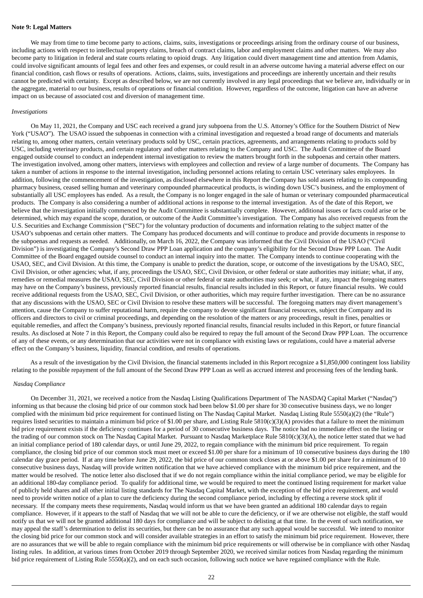#### **Note 9: Legal Matters**

We may from time to time become party to actions, claims, suits, investigations or proceedings arising from the ordinary course of our business, including actions with respect to intellectual property claims, breach of contract claims, labor and employment claims and other matters. We may also become party to litigation in federal and state courts relating to opioid drugs. Any litigation could divert management time and attention from Adamis, could involve significant amounts of legal fees and other fees and expenses, or could result in an adverse outcome having a material adverse effect on our financial condition, cash flows or results of operations. Actions, claims, suits, investigations and proceedings are inherently uncertain and their results cannot be predicted with certainty. Except as described below, we are not currently involved in any legal proceedings that we believe are, individually or in the aggregate, material to our business, results of operations or financial condition. However, regardless of the outcome, litigation can have an adverse impact on us because of associated cost and diversion of management time.

#### *Investigations*

On May 11, 2021, the Company and USC each received a grand jury subpoena from the U.S. Attorney's Office for the Southern District of New York ("USAO"). The USAO issued the subpoenas in connection with a criminal investigation and requested a broad range of documents and materials relating to, among other matters, certain veterinary products sold by USC, certain practices, agreements, and arrangements relating to products sold by USC, including veterinary products, and certain regulatory and other matters relating to the Company and USC. The Audit Committee of the Board engaged outside counsel to conduct an independent internal investigation to review the matters brought forth in the subpoenas and certain other matters. The investigation involved, among other matters, interviews with employees and collection and review of a large number of documents. The Company has taken a number of actions in response to the internal investigation, including personnel actions relating to certain USC veterinary sales employees. In addition, following the commencement of the investigation, as disclosed elsewhere in this Report the Company has sold assets relating to its compounding pharmacy business, ceased selling human and veterinary compounded pharmaceutical products, is winding down USC's business, and the employment of substantially all USC employees has ended. As a result, the Company is no longer engaged in the sale of human or veterinary compounded pharmaceutical products. The Company is also considering a number of additional actions in response to the internal investigation. As of the date of this Report, we believe that the investigation initially commenced by the Audit Committee is substantially complete. However, additional issues or facts could arise or be determined, which may expand the scope, duration, or outcome of the Audit Committee's investigation. The Company has also received requests from the U.S. Securities and Exchange Commission ("SEC") for the voluntary production of documents and information relating to the subject matter of the USAO's subpoenas and certain other matters. The Company has produced documents and will continue to produce and provide documents in response to the subpoenas and requests as needed. Additionally, on March 16, 2022, the Company was informed that the Civil Division of the USAO ("Civil Division") is investigating the Company's Second Draw PPP Loan application and the company's eligibility for the Second Draw PPP Loan. The Audit Committee of the Board engaged outside counsel to conduct an internal inquiry into the matter. The Company intends to continue cooperating with the USAO, SEC, and Civil Division. At this time, the Company is unable to predict the duration, scope, or outcome of the investigations by the USAO, SEC, Civil Division, or other agencies; what, if any, proceedings the USAO, SEC, Civil Division, or other federal or state authorities may initiate; what, if any, remedies or remedial measures the USAO, SEC, Civil Division or other federal or state authorities may seek; or what, if any, impact the foregoing matters may have on the Company's business, previously reported financial results, financial results included in this Report, or future financial results. We could receive additional requests from the USAO, SEC, Civil Division, or other authorities, which may require further investigation. There can be no assurance that any discussions with the USAO, SEC or Civil Division to resolve these matters will be successful. The foregoing matters may divert management's attention, cause the Company to suffer reputational harm, require the company to devote significant financial resources, subject the Company and its officers and directors to civil or criminal proceedings, and depending on the resolution of the matters or any proceedings, result in fines, penalties or equitable remedies, and affect the Company's business, previously reported financial results, financial results included in this Report, or future financial results. As disclosed at Note 7 in this Report, the Company could also be required to repay the full amount of the Second Draw PPP Loan. The occurrence of any of these events, or any determination that our activities were not in compliance with existing laws or regulations, could have a material adverse effect on the Company's business, liquidity, financial condition, and results of operations.

As a result of the investigation by the Civil Division, the financial statements included in this Report recognize a \$1,850,000 contingent loss liability relating to the possible repayment of the full amount of the Second Draw PPP Loan as well as accrued interest and processing fees of the lending bank.

#### *Nasdaq Compliance*

On December 31, 2021, we received a notice from the Nasdaq Listing Qualifications Department of The NASDAQ Capital Market ("Nasdaq") informing us that because the closing bid price of our common stock had been below \$1.00 per share for 30 consecutive business days, we no longer complied with the minimum bid price requirement for continued listing on The Nasdaq Capital Market. Nasdaq Listing Rule 5550(a)(2) (the "Rule") requires listed securities to maintain a minimum bid price of \$1.00 per share, and Listing Rule 5810(c)(3)(A) provides that a failure to meet the minimum bid price requirement exists if the deficiency continues for a period of 30 consecutive business days. The notice had no immediate effect on the listing or the trading of our common stock on The Nasdaq Capital Market. Pursuant to Nasdaq Marketplace Rule 5810(c)(3)(A), the notice letter stated that we had an initial compliance period of 180 calendar days, or until June 29, 2022, to regain compliance with the minimum bid price requirement. To regain compliance, the closing bid price of our common stock must meet or exceed \$1.00 per share for a minimum of 10 consecutive business days during the 180 calendar day grace period. If at any time before June 29, 2022, the bid price of our common stock closes at or above \$1.00 per share for a minimum of 10 consecutive business days, Nasdaq will provide written notification that we have achieved compliance with the minimum bid price requirement, and the matter would be resolved. The notice letter also disclosed that if we do not regain compliance within the initial compliance period, we may be eligible for an additional 180-day compliance period. To qualify for additional time, we would be required to meet the continued listing requirement for market value of publicly held shares and all other initial listing standards for The Nasdaq Capital Market, with the exception of the bid price requirement, and would need to provide written notice of a plan to cure the deficiency during the second compliance period, including by effecting a reverse stock split if necessary. If the company meets these requirements, Nasdaq would inform us that we have been granted an additional 180 calendar days to regain compliance. However, if it appears to the staff of Nasdaq that we will not be able to cure the deficiency, or if we are otherwise not eligible, the staff would notify us that we will not be granted additional 180 days for compliance and will be subject to delisting at that time. In the event of such notification, we may appeal the staff's determination to delist its securities, but there can be no assurance that any such appeal would be successful. We intend to monitor the closing bid price for our common stock and will consider available strategies in an effort to satisfy the minimum bid price requirement. However, there are no assurances that we will be able to regain compliance with the minimum bid price requirements or will otherwise be in compliance with other Nasdaq listing rules. In addition, at various times from October 2019 through September 2020, we received similar notices from Nasdaq regarding the minimum bid price requirement of Listing Rule 5550(a)(2), and on each such occasion, following such notice we have regained compliance with the Rule.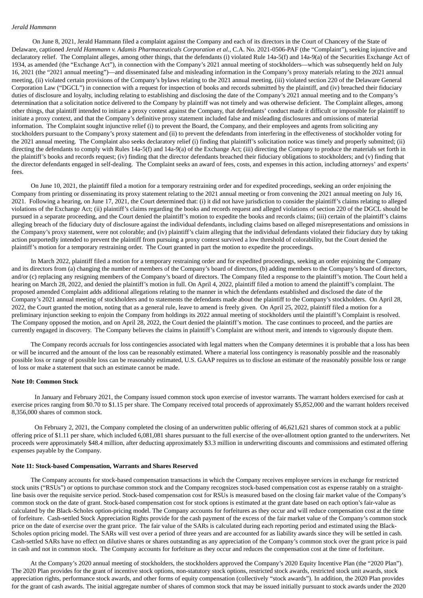#### *Jerald Hammann*

On June 8, 2021, Jerald Hammann filed a complaint against the Company and each of its directors in the Court of Chancery of the State of Delaware, captioned *Jerald Hammann v. Adamis Pharmaceuticals Corporation et al.*, C.A. No. 2021-0506-PAF (the "Complaint"), seeking injunctive and declaratory relief. The Complaint alleges, among other things, that the defendants (i) violated Rule 14a-5(f) and 14a-9(a) of the Securities Exchange Act of 1934, as amended (the "Exchange Act"), in connection with the Company's 2021 annual meeting of stockholders—which was subsequently held on July 16, 2021 (the "2021 annual meeting")—and disseminated false and misleading information in the Company's proxy materials relating to the 2021 annual meeting, (ii) violated certain provisions of the Company's bylaws relating to the 2021 annual meeting, (iii) violated section 220 of the Delaware General Corporation Law ("DGCL") in connection with a request for inspection of books and records submitted by the plaintiff, and (iv) breached their fiduciary duties of disclosure and loyalty, including relating to establishing and disclosing the date of the Company's 2021 annual meeting and to the Company's determination that a solicitation notice delivered to the Company by plaintiff was not timely and was otherwise deficient. The Complaint alleges, among other things, that plaintiff intended to initiate a proxy contest against the Company, that defendants' conduct made it difficult or impossible for plaintiff to initiate a proxy context, and that the Company's definitive proxy statement included false and misleading disclosures and omissions of material information. The Complaint sought injunctive relief (i) to prevent the Board, the Company, and their employees and agents from soliciting any stockholders pursuant to the Company's proxy statement and (ii) to prevent the defendants from interfering in the effectiveness of stockholder voting for the 2021 annual meeting. The Complaint also seeks declaratory relief (i) finding that plaintiff's solicitation notice was timely and properly submitted; (ii) directing the defendants to comply with Rules 14a-5(f) and 14a-9(a) of the Exchange Act; (iii) directing the Company to produce the materials set forth in the plaintiff's books and records request; (iv) finding that the director defendants breached their fiduciary obligations to stockholders; and (v) finding that the director defendants engaged in self-dealing. The Complaint seeks an award of fees, costs, and expenses in this action, including attorneys' and experts' fees.

On June 10, 2021, the plaintiff filed a motion for a temporary restraining order and for expedited proceedings, seeking an order enjoining the Company from printing or disseminating its proxy statement relating to the 2021 annual meeting or from convening the 2021 annual meeting on July 16, 2021. Following a hearing, on June 17, 2021, the Court determined that: (i) it did not have jurisdiction to consider the plaintiff's claims relating to alleged violations of the Exchange Act; (ii) plaintiff's claims regarding the books and records request and alleged violations of section 220 of the DGCL should be pursued in a separate proceeding, and the Court denied the plaintiff's motion to expedite the books and records claims; (iii) certain of the plaintiff's claims alleging breach of the fiduciary duty of disclosure against the individual defendants, including claims based on alleged misrepresentations and omissions in the Company's proxy statement, were not colorable; and (iv) plaintiff's claim alleging that the individual defendants violated their fiduciary duty by taking action purportedly intended to prevent the plaintiff from pursuing a proxy contest survived a low threshold of colorability, but the Court denied the plaintiff's motion for a temporary restraining order. The Court granted in part the motion to expedite the proceedings.

In March 2022, plaintiff filed a motion for a temporary restraining order and for expedited proceedings, seeking an order enjoining the Company and its directors from (a) changing the number of members of the Company's board of directors, (b) adding members to the Company's board of directors, and/or (c) replacing any resigning members of the Company's board of directors. The Company filed a response to the plaintiff's motion. The Court held a hearing on March 28, 2022, and denied the plaintiff's motion in full. On April 4, 2022, plaintiff filed a motion to amend the plaintiff's complaint. The proposed amended Complaint adds additional allegations relating to the manner in which the defendants established and disclosed the date of the Company's 2021 annual meeting of stockholders and to statements the defendants made about the plaintiff to the Company's stockholders. On April 28, 2022, the Court granted the motion, noting that as a general rule, leave to amend is freely given. On April 25, 2022, plaintiff filed a motion for a preliminary injunction seeking to enjoin the Company from holdings its 2022 annual meeting of stockholders until the plaintiff's Complaint is resolved. The Company opposed the motion, and on April 28, 2022, the Court denied the plaintiff's motion. The case continues to proceed, and the parties are currently engaged in discovery. The Company believes the claims in plaintiff's Complaint are without merit, and intends to vigorously dispute them.

The Company records accruals for loss contingencies associated with legal matters when the Company determines it is probable that a loss has been or will be incurred and the amount of the loss can be reasonably estimated. Where a material loss contingency is reasonably possible and the reasonably possible loss or range of possible loss can be reasonably estimated, U.S. GAAP requires us to disclose an estimate of the reasonably possible loss or range of loss or make a statement that such an estimate cannot be made.

#### **Note 10: Common Stock**

In January and February 2021, the Company issued common stock upon exercise of investor warrants. The warrant holders exercised for cash at exercise prices ranging from \$0.70 to \$1.15 per share. The Company received total proceeds of approximately \$5,852,000 and the warrant holders received 8,356,000 shares of common stock.

On February 2, 2021, the Company completed the closing of an underwritten public offering of 46,621,621 shares of common stock at a public offering price of \$1.11 per share, which included 6,081,081 shares pursuant to the full exercise of the over-allotment option granted to the underwriters. Net proceeds were approximately \$48.4 million, after deducting approximately \$3.3 million in underwriting discounts and commissions and estimated offering expenses payable by the Company.

#### **Note 11: Stock-based Compensation, Warrants and Shares Reserved**

The Company accounts for stock-based compensation transactions in which the Company receives employee services in exchange for restricted stock units ("RSUs") or options to purchase common stock and the Company recognizes stock-based compensation cost as expense ratably on a straightline basis over the requisite service period. Stock-based compensation cost for RSUs is measured based on the closing fair market value of the Company's common stock on the date of grant. Stock-based compensation cost for stock options is estimated at the grant date based on each option's fair-value as calculated by the Black-Scholes option-pricing model. The Company accounts for forfeitures as they occur and will reduce compensation cost at the time of forfeiture. Cash-settled Stock Appreciation Rights provide for the cash payment of the excess of the fair market value of the Company's common stock price on the date of exercise over the grant price. The fair value of the SARs is calculated during each reporting period and estimated using the Black-Scholes option pricing model. The SARs will vest over a period of three years and are accounted for as liability awards since they will be settled in cash. Cash-settled SARs have no effect on dilutive shares or shares outstanding as any appreciation of the Company's common stock over the grant price is paid in cash and not in common stock. The Company accounts for forfeiture as they occur and reduces the compensation cost at the time of forfeiture.

At the Company's 2020 annual meeting of stockholders, the stockholders approved the Company's 2020 Equity Incentive Plan (the "2020 Plan"). The 2020 Plan provides for the grant of incentive stock options, non-statutory stock options, restricted stock awards, restricted stock unit awards, stock appreciation rights, performance stock awards, and other forms of equity compensation (collectively "stock awards"). In addition, the 2020 Plan provides for the grant of cash awards. The initial aggregate number of shares of common stock that may be issued initially pursuant to stock awards under the 2020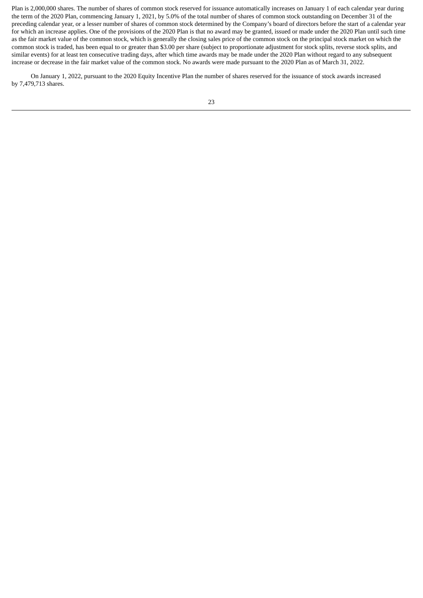Plan is 2,000,000 shares. The number of shares of common stock reserved for issuance automatically increases on January 1 of each calendar year during the term of the 2020 Plan, commencing January 1, 2021, by 5.0% of the total number of shares of common stock outstanding on December 31 of the preceding calendar year, or a lesser number of shares of common stock determined by the Company's board of directors before the start of a calendar year for which an increase applies. One of the provisions of the 2020 Plan is that no award may be granted, issued or made under the 2020 Plan until such time as the fair market value of the common stock, which is generally the closing sales price of the common stock on the principal stock market on which the common stock is traded, has been equal to or greater than \$3.00 per share (subject to proportionate adjustment for stock splits, reverse stock splits, and similar events) for at least ten consecutive trading days, after which time awards may be made under the 2020 Plan without regard to any subsequent increase or decrease in the fair market value of the common stock. No awards were made pursuant to the 2020 Plan as of March 31, 2022.

On January 1, 2022, pursuant to the 2020 Equity Incentive Plan the number of shares reserved for the issuance of stock awards increased by 7,479,713 shares.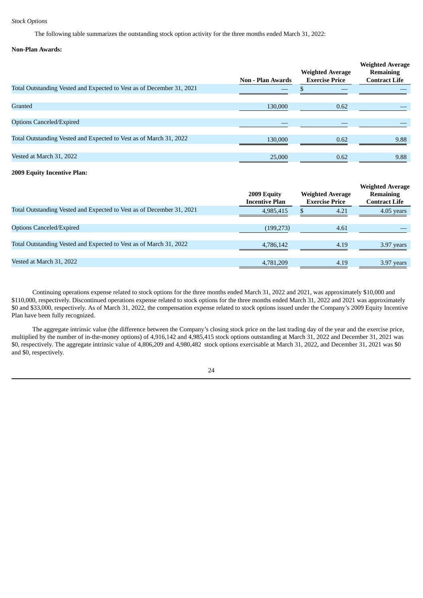#### *Stock Options*

The following table summarizes the outstanding stock option activity for the three months ended March 31, 2022:

## **Non-Plan Awards:**

|                                                                       | <b>Non - Plan Awards</b> | <b>Weighted Average</b><br><b>Exercise Price</b> | <b>Weighted Average</b><br><b>Remaining</b><br><b>Contract Life</b> |
|-----------------------------------------------------------------------|--------------------------|--------------------------------------------------|---------------------------------------------------------------------|
| Total Outstanding Vested and Expected to Vest as of December 31, 2021 |                          |                                                  |                                                                     |
|                                                                       |                          |                                                  |                                                                     |
| Granted                                                               | 130,000                  | 0.62                                             |                                                                     |
|                                                                       |                          |                                                  |                                                                     |
| <b>Options Canceled/Expired</b>                                       |                          |                                                  |                                                                     |
|                                                                       |                          |                                                  |                                                                     |
| Total Outstanding Vested and Expected to Vest as of March 31, 2022    | 130,000                  | 0.62                                             | 9.88                                                                |
|                                                                       |                          |                                                  |                                                                     |
| Vested at March 31, 2022                                              | 25,000                   | 0.62                                             | 9.88                                                                |

#### **2009 Equity Incentive Plan:**

|                                                                       | 2009 Equity<br><b>Incentive Plan</b> | <b>Weighted Average</b><br><b>Exercise Price</b> | <b>Weighted Average</b><br><b>Remaining</b><br><b>Contract Life</b> |
|-----------------------------------------------------------------------|--------------------------------------|--------------------------------------------------|---------------------------------------------------------------------|
| Total Outstanding Vested and Expected to Vest as of December 31, 2021 | 4,985,415                            | 4.21                                             | 4.05 years                                                          |
| <b>Options Canceled/Expired</b>                                       | (199, 273)                           | 4.61                                             |                                                                     |
| Total Outstanding Vested and Expected to Vest as of March 31, 2022    | 4,786,142                            | 4.19                                             | 3.97 years                                                          |
| Vested at March 31, 2022                                              | 4,781,209                            | 4.19                                             | 3.97 years                                                          |

Continuing operations expense related to stock options for the three months ended March 31, 2022 and 2021, was approximately \$10,000 and \$110,000, respectively. Discontinued operations expense related to stock options for the three months ended March 31, 2022 and 2021 was approximately \$0 and \$33,000, respectively. As of March 31, 2022, the compensation expense related to stock options issued under the Company's 2009 Equity Incentive Plan have been fully recognized.

The aggregate intrinsic value (the difference between the Company's closing stock price on the last trading day of the year and the exercise price, multiplied by the number of in-the-money options) of 4,916,142 and 4,985,415 stock options outstanding at March 31, 2022 and December 31, 2021 was \$0, respectively. The aggregate intrinsic value of 4,806,209 and 4,980,482 stock options exercisable at March 31, 2022, and December 31, 2021 was \$0 and \$0, respectively.

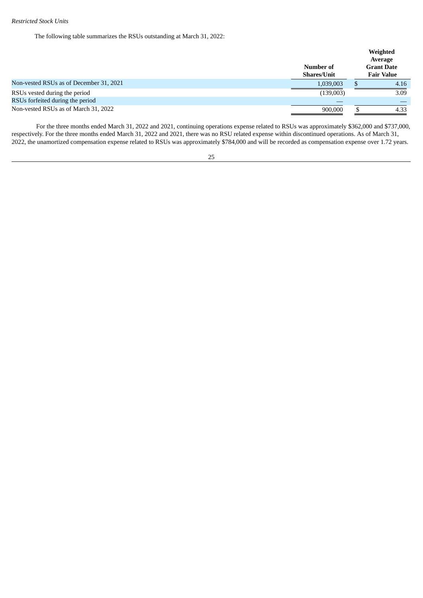The following table summarizes the RSUs outstanding at March 31, 2022:

|                                         | Number of<br><b>Shares/Unit</b> | Weighted<br>Average<br><b>Grant Date</b><br><b>Fair Value</b> |
|-----------------------------------------|---------------------------------|---------------------------------------------------------------|
| Non-vested RSUs as of December 31, 2021 | 1,039,003                       | 4.16                                                          |
| RSUs vested during the period           | (139,003)                       | 3.09                                                          |
| RSUs forfeited during the period        |                                 |                                                               |
| Non-vested RSUs as of March 31, 2022    | 900,000                         | 4.33                                                          |

For the three months ended March 31, 2022 and 2021, continuing operations expense related to RSUs was approximately \$362,000 and \$737,000, respectively. For the three months ended March 31, 2022 and 2021, there was no RSU related expense within discontinued operations. As of March 31, 2022, the unamortized compensation expense related to RSUs was approximately \$784,000 and will be recorded as compensation expense over 1.72 years.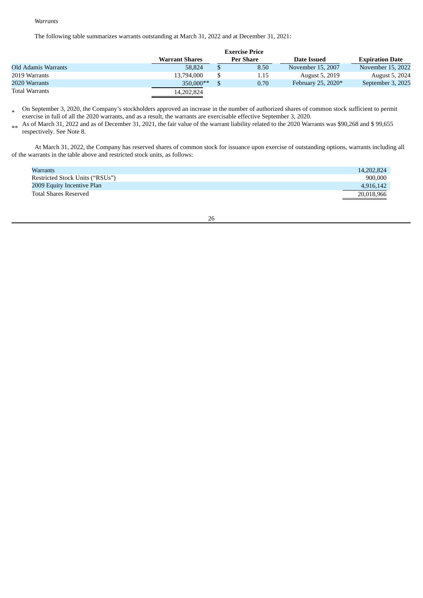#### *Warrants*

The following table summarizes warrants outstanding at March 31, 2022 and at December 31, 2021:

|                       |                       | <b>Exercise Price</b> |           |                       |                        |  |
|-----------------------|-----------------------|-----------------------|-----------|-----------------------|------------------------|--|
|                       | <b>Warrant Shares</b> |                       | Per Share | Date Issued           | <b>Expiration Date</b> |  |
| Old Adamis Warrants   | 58,824                |                       | 8.50      | November 15, 2007     | November 15, 2022      |  |
| 2019 Warrants         | 13.794.000            |                       | 1.15      | <b>August 5, 2019</b> | August 5, 2024         |  |
| 2020 Warrants         | 350,000**             |                       | 0.70      | February 25, 2020*    | September 3, 2025      |  |
| <b>Total Warrants</b> | 14.202.824            |                       |           |                       |                        |  |

\* On September 3, 2020, the Company's stockholders approved an increase in the number of authorized shares of common stock sufficient to permit exercise in full of all the 2020 warrants, and as a result, the warrants are exercisable effective September 3, 2020.

\*\* As of March 31, 2022 and as of December 31, 2021, the fair value of the warrant liability related to the 2020 Warrants was \$90,268 and \$ 99,655 respectively. See Note 8.

At March 31, 2022, the Company has reserved shares of common stock for issuance upon exercise of outstanding options, warrants including all of the warrants in the table above and restricted stock units, as follows:

| <b>Warrants</b>                 | 14,202,824 |
|---------------------------------|------------|
| Restricted Stock Units ("RSUs") | 900,000    |
| 2009 Equity Incentive Plan      | 4.916.142  |
| <b>Total Shares Reserved</b>    | 20,018,966 |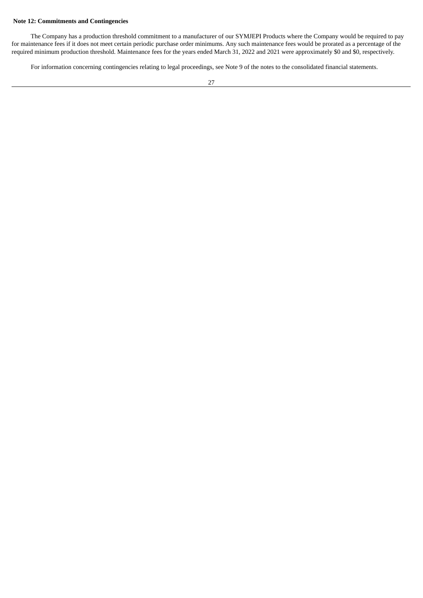## **Note 12: Commitments and Contingencies**

The Company has a production threshold commitment to a manufacturer of our SYMJEPI Products where the Company would be required to pay for maintenance fees if it does not meet certain periodic purchase order minimums. Any such maintenance fees would be prorated as a percentage of the required minimum production threshold. Maintenance fees for the years ended March 31, 2022 and 2021 were approximately \$0 and \$0, respectively.

For information concerning contingencies relating to legal proceedings, see Note 9 of the notes to the consolidated financial statements.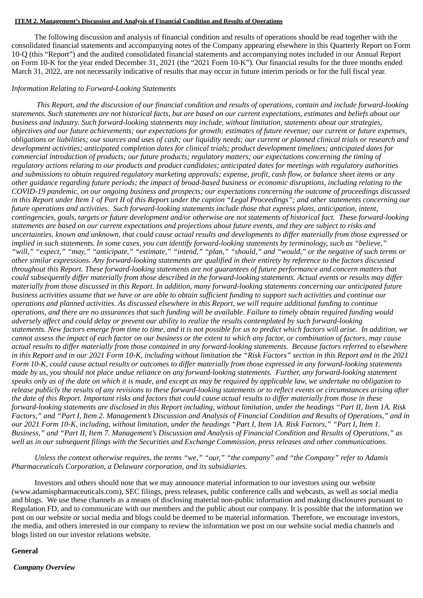## **ITEM 2. Management's Discussion and Analysis of Financial Condition and Results of Operations**

 The following discussion and analysis of financial condition and results of operations should be read together with the consolidated financial statements and accompanying notes of the Company appearing elsewhere in this Quarterly Report on Form 10-Q (this "Report") and the audited consolidated financial statements and accompanying notes included in our Annual Report on Form 10-K for the year ended December 31, 2021 (the "2021 Form 10-K"). Our financial results for the three months ended March 31, 2022, are not necessarily indicative of results that may occur in future interim periods or for the full fiscal year.

# *Information Relating to Forward-Looking Statements*

 *This Report, and the discussion of our financial condition and results of operations, contain and include forward-looking statements. Such statements are not historical facts, but are based on our current expectations, estimates and beliefs about our business and industry. Such forward-looking statements may include, without limitation, statements about our strategies, objectives and our future achievements; our expectations for growth; estimates of future revenue; our current or future expenses, obligations or liabilities; our sources and uses of cash; our liquidity needs; our current or planned clinical trials or research and development activities; anticipated completion dates for clinical trials; product development timelines; anticipated dates for commercial introduction of products; our future products; regulatory matters; our expectations concerning the timing of regulatory actions relating to our products and product candidates; anticipated dates for meetings with regulatory authorities and submissions to obtain required regulatory marketing approvals; expense, profit, cash flow, or balance sheet items or any other guidance regarding future periods; the impact of broad-based business or economic disruptions, including relating to the COVID-19 pandemic, on our ongoing business and prospects; our expectations concerning the outcome of proceedings discussed in this Report under Item 1 of Part II of this Report under the caption "Legal Proceedings"; and other statements concerning our future operations and activities. Such forward-looking statements include those that express plans, anticipation, intent, contingencies, goals, targets or future development and/or otherwise are not statements of historical fact. These forward-looking statements are based on our current expectations and projections about future events, and they are subject to risks and uncertainties, known and unknown, that could cause actual results and developments to differ materially from those expressed or implied in such statements. In some cases, you can identify forward-looking statements by terminology, such as "believe," "will," "expect," "may," "anticipate," "estimate," "intend," "plan," "should," and "would," or the negative of such terms or other similar expressions. Any forward-looking statements are qualified in their entirety by reference to the factors discussed throughout this Report. These forward-looking statements are not guarantees of future performance and concern matters that could subsequently differ materially from those described in the forward-looking statements. Actual events or results may differ materially from those discussed in this Report. In addition, many forward-looking statements concerning our anticipated future business activities assume that we have or are able to obtain sufficient funding to support such activities and continue our operations and planned activities. As discussed elsewhere in this Report, we will require additional funding to continue operations, and there are no assurances that such funding will be available. Failure to timely obtain required funding would adversely affect and could delay or prevent our ability to realize the results contemplated by such forward-looking statements. New factors emerge from time to time, and it is not possible for us to predict which factors will arise. In addition, we cannot assess the impact of each factor on our business or the extent to which any factor, or combination of factors, may cause actual results to differ materially from those contained in any forward-looking statements. Because factors referred to elsewhere in this Report and in our 2021 Form 10-K, including without limitation the "Risk Factors" section in this Report and in the 2021 Form 10-K, could cause actual results or outcomes to differ materially from those expressed in any forward-looking statements made by us, you should not place undue reliance on any forward-looking statements. Further, any forward-looking statement speaks only as of the date on which it is made, and except as may be required by applicable law, we undertake no obligation to release publicly the results of any revisions to these forward-looking statements or to reflect events or circumstances arising after the date of this Report. Important risks and factors that could cause actual results to differ materially from those in these forward-looking statements are disclosed in this Report including, without limitation, under the headings "Part II, Item 1A. Risk Factors," and "Part I, Item 2. Management's Discussion and Analysis of Financial Condition and Results of Operations," and in our 2021 Form 10-K, including, without limitation, under the headings "Part I, Item 1A. Risk Factors," "Part I, Item 1. Business," and "Part II, Item 7. Management's Discussion and Analysis of Financial Condition and Results of Operations," as well as in our subsequent filings with the Securities and Exchange Commission, press releases and other communications.*

*Unless the context otherwise requires, the terms "we," "our," "the company" and "the Company" refer to Adamis Pharmaceuticals Corporation, a Delaware corporation, and its subsidiaries.*

Investors and others should note that we may announce material information to our investors using our website (www.adamispharmaceuticals.com), SEC filings, press releases, public conference calls and webcasts, as well as social media and blogs. We use these channels as a means of disclosing material non-public information and making disclosures pursuant to Regulation FD, and to communicate with our members and the public about our company. It is possible that the information we post on our website or social media and blogs could be deemed to be material information. Therefore, we encourage investors, the media, and others interested in our company to review the information we post on our website social media channels and blogs listed on our investor relations website.

# **General**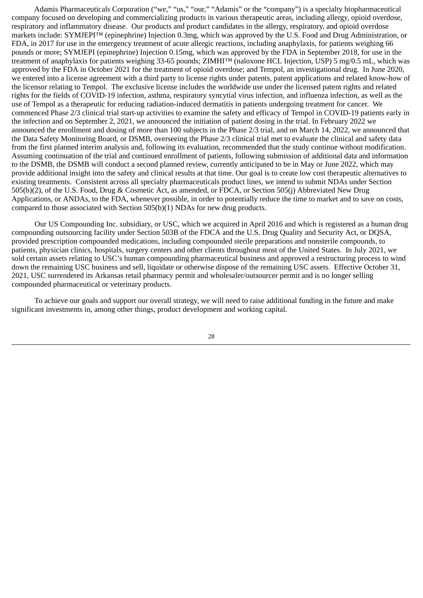Adamis Pharmaceuticals Corporation ("we," "us," "our," "Adamis" or the "company") is a specialty biopharmaceutical company focused on developing and commercializing products in various therapeutic areas, including allergy, opioid overdose, respiratory and inflammatory disease. Our products and product candidates in the allergy, respiratory, and opioid overdose markets include: SYMJEPI<sup>TM</sup> (epinephrine) Injection 0.3mg, which was approved by the U.S. Food and Drug Administration, or FDA, in 2017 for use in the emergency treatment of acute allergic reactions, including anaphylaxis, for patients weighing 66 pounds or more; SYMJEPI (epinephrine) Injection 0.15mg, which was approved by the FDA in September 2018, for use in the treatment of anaphylaxis for patients weighing 33-65 pounds; ZIMHI™ (naloxone HCL Injection, USP) 5 mg/0.5 mL, which was approved by the FDA in October 2021 for the treatment of opioid overdose; and Tempol, an investigational drug. In June 2020, we entered into a license agreement with a third party to license rights under patents, patent applications and related know-how of the licensor relating to Tempol. The exclusive license includes the worldwide use under the licensed patent rights and related rights for the fields of COVID-19 infection, asthma, respiratory syncytial virus infection, and influenza infection, as well as the use of Tempol as a therapeutic for reducing radiation-induced dermatitis in patients undergoing treatment for cancer. We commenced Phase 2/3 clinical trial start-up activities to examine the safety and efficacy of Tempol in COVID-19 patients early in the infection and on September 2, 2021, we announced the initiation of patient dosing in the trial. In February 2022 we announced the enrollment and dosing of more than 100 subjects in the Phase 2/3 trial, and on March 14, 2022, we announced that the Data Safety Monitoring Board, or DSMB, overseeing the Phase 2/3 clinical trial met to evaluate the clinical and safety data from the first planned interim analysis and, following its evaluation, recommended that the study continue without modification. Assuming continuation of the trial and continued enrollment of patients, following submission of additional data and information to the DSMB, the DSMB will conduct a second planned review, currently anticipated to be in May or June 2022, which may provide additional insight into the safety and clinical results at that time. Our goal is to create low cost therapeutic alternatives to existing treatments. Consistent across all specialty pharmaceuticals product lines, we intend to submit NDAs under Section 505(b)(2), of the U.S. Food, Drug & Cosmetic Act, as amended, or FDCA, or Section 505(j) Abbreviated New Drug Applications, or ANDAs, to the FDA, whenever possible, in order to potentially reduce the time to market and to save on costs, compared to those associated with Section 505(b)(1) NDAs for new drug products.

 Our US Compounding Inc. subsidiary, or USC, which we acquired in April 2016 and which is registered as a human drug compounding outsourcing facility under Section 503B of the FDCA and the U.S. Drug Quality and Security Act, or DQSA, provided prescription compounded medications, including compounded sterile preparations and nonsterile compounds, to patients, physician clinics, hospitals, surgery centers and other clients throughout most of the United States. In July 2021, we sold certain assets relating to USC's human compounding pharmaceutical business and approved a restructuring process to wind down the remaining USC business and sell, liquidate or otherwise dispose of the remaining USC assets. Effective October 31, 2021, USC surrendered its Arkansas retail pharmacy permit and wholesaler/outsourcer permit and is no longer selling compounded pharmaceutical or veterinary products.

 To achieve our goals and support our overall strategy, we will need to raise additional funding in the future and make significant investments in, among other things, product development and working capital.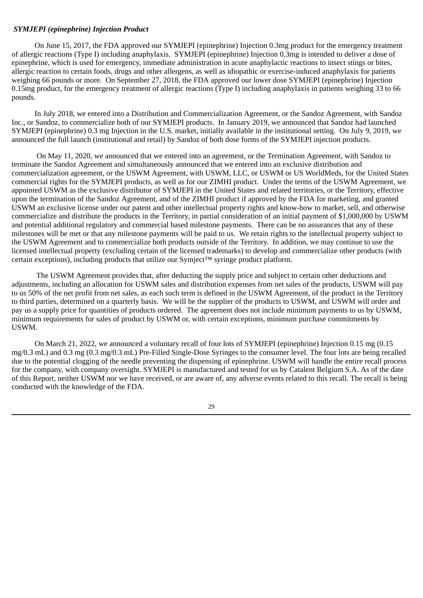# *SYMJEPI (epinephrine) Injection Product*

 On June 15, 2017, the FDA approved our SYMJEPI (epinephrine) Injection 0.3mg product for the emergency treatment of allergic reactions (Type I) including anaphylaxis. SYMJEPI (epinephrine) Injection 0.3mg is intended to deliver a dose of epinephrine, which is used for emergency, immediate administration in acute anaphylactic reactions to insect stings or bites, allergic reaction to certain foods, drugs and other allergens, as well as idiopathic or exercise-induced anaphylaxis for patients weighing 66 pounds or more. On September 27, 2018, the FDA approved our lower dose SYMJEPI (epinephrine) Injection 0.15mg product, for the emergency treatment of allergic reactions (Type I) including anaphylaxis in patients weighing 33 to 66 pounds.

 In July 2018, we entered into a Distribution and Commercialization Agreement, or the Sandoz Agreement, with Sandoz Inc., or Sandoz, to commercialize both of our SYMJEPI products. In January 2019, we announced that Sandoz had launched SYMJEPI (epinephrine) 0.3 mg Injection in the U.S. market, initially available in the institutional setting. On July 9, 2019, we announced the full launch (institutional and retail) by Sandoz of both dose forms of the SYMJEPI injection products.

 On May 11, 2020, we announced that we entered into an agreement, or the Termination Agreement, with Sandoz to terminate the Sandoz Agreement and simultaneously announced that we entered into an exclusive distribution and commercialization agreement, or the USWM Agreement, with USWM, LLC, or USWM or US WorldMeds, for the United States commercial rights for the SYMJEPI products, as well as for our ZIMHI product. Under the terms of the USWM Agreement, we appointed USWM as the exclusive distributor of SYMJEPI in the United States and related territories, or the Territory, effective upon the termination of the Sandoz Agreement, and of the ZIMHI product if approved by the FDA for marketing, and granted USWM an exclusive license under our patent and other intellectual property rights and know-how to market, sell, and otherwise commercialize and distribute the products in the Territory, in partial consideration of an initial payment of \$1,000,000 by USWM and potential additional regulatory and commercial based milestone payments. There can be no assurances that any of these milestones will be met or that any milestone payments will be paid to us. We retain rights to the intellectual property subject to the USWM Agreement and to commercialize both products outside of the Territory. In addition, we may continue to use the licensed intellectual property (excluding certain of the licensed trademarks) to develop and commercialize other products (with certain exceptions), including products that utilize our Symject™ syringe product platform.

 The USWM Agreement provides that, after deducting the supply price and subject to certain other deductions and adjustments, including an allocation for USWM sales and distribution expenses from net sales of the products, USWM will pay to us 50% of the net profit from net sales, as each such term is defined in the USWM Agreement, of the product in the Territory to third parties, determined on a quarterly basis. We will be the supplier of the products to USWM, and USWM will order and pay us a supply price for quantities of products ordered. The agreement does not include minimum payments to us by USWM, minimum requirements for sales of product by USWM or, with certain exceptions, minimum purchase commitments by USWM.

 On March 21, 2022, we announced a voluntary recall of four lots of SYMJEPI (epinephrine) Injection 0.15 mg (0.15 mg/0.3 mL) and 0.3 mg (0.3 mg/0.3 mL) Pre-Filled Single-Dose Syringes to the consumer level. The four lots are being recalled due to the potential clogging of the needle preventing the dispensing of epinephrine. USWM will handle the entire recall process for the company, with company oversight. SYMJEPI is manufactured and tested for us by Catalent Belgium S.A. As of the date of this Report, neither USWM nor we have received, or are aware of, any adverse events related to this recall. The recall is being conducted with the knowledge of the FDA.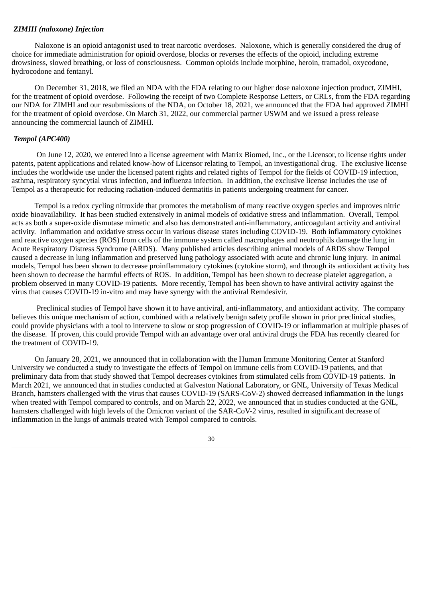# *ZIMHI (naloxone) Injection*

 Naloxone is an opioid antagonist used to treat narcotic overdoses. Naloxone, which is generally considered the drug of choice for immediate administration for opioid overdose, blocks or reverses the effects of the opioid, including extreme drowsiness, slowed breathing, or loss of consciousness. Common opioids include morphine, heroin, tramadol, oxycodone, hydrocodone and fentanyl.

 On December 31, 2018, we filed an NDA with the FDA relating to our higher dose naloxone injection product, ZIMHI, for the treatment of opioid overdose. Following the receipt of two Complete Response Letters, or CRLs, from the FDA regarding our NDA for ZIMHI and our resubmissions of the NDA, on October 18, 2021, we announced that the FDA had approved ZIMHI for the treatment of opioid overdose. On March 31, 2022, our commercial partner USWM and we issued a press release announcing the commercial launch of ZIMHI.

# *Tempol (APC400)*

 On June 12, 2020, we entered into a license agreement with Matrix Biomed, Inc., or the Licensor, to license rights under patents, patent applications and related know-how of Licensor relating to Tempol, an investigational drug. The exclusive license includes the worldwide use under the licensed patent rights and related rights of Tempol for the fields of COVID-19 infection, asthma, respiratory syncytial virus infection, and influenza infection. In addition, the exclusive license includes the use of Tempol as a therapeutic for reducing radiation-induced dermatitis in patients undergoing treatment for cancer.

 Tempol is a redox cycling nitroxide that promotes the metabolism of many reactive oxygen species and improves nitric oxide bioavailability. It has been studied extensively in animal models of oxidative stress and inflammation. Overall, Tempol acts as both a super-oxide dismutase mimetic and also has demonstrated anti-inflammatory, anticoagulant activity and antiviral activity. Inflammation and oxidative stress occur in various disease states including COVID-19. Both inflammatory cytokines and reactive oxygen species (ROS) from cells of the immune system called macrophages and neutrophils damage the lung in Acute Respiratory Distress Syndrome (ARDS). Many published articles describing animal models of ARDS show Tempol caused a decrease in lung inflammation and preserved lung pathology associated with acute and chronic lung injury. In animal models, Tempol has been shown to decrease proinflammatory cytokines (cytokine storm), and through its antioxidant activity has been shown to decrease the harmful effects of ROS. In addition, Tempol has been shown to decrease platelet aggregation, a problem observed in many COVID-19 patients. More recently, Tempol has been shown to have antiviral activity against the virus that causes COVID-19 in-vitro and may have synergy with the antiviral Remdesivir.

 Preclinical studies of Tempol have shown it to have antiviral, anti-inflammatory, and antioxidant activity. The company believes this unique mechanism of action, combined with a relatively benign safety profile shown in prior preclinical studies, could provide physicians with a tool to intervene to slow or stop progression of COVID-19 or inflammation at multiple phases of the disease. If proven, this could provide Tempol with an advantage over oral antiviral drugs the FDA has recently cleared for the treatment of COVID-19.

 On January 28, 2021, we announced that in collaboration with the Human Immune Monitoring Center at Stanford University we conducted a study to investigate the effects of Tempol on immune cells from COVID-19 patients, and that preliminary data from that study showed that Tempol decreases cytokines from stimulated cells from COVID-19 patients. In March 2021, we announced that in studies conducted at Galveston National Laboratory, or GNL, University of Texas Medical Branch, hamsters challenged with the virus that causes COVID-19 (SARS-CoV-2) showed decreased inflammation in the lungs when treated with Tempol compared to controls, and on March 22, 2022, we announced that in studies conducted at the GNL, hamsters challenged with high levels of the Omicron variant of the SAR-CoV-2 virus, resulted in significant decrease of inflammation in the lungs of animals treated with Tempol compared to controls.

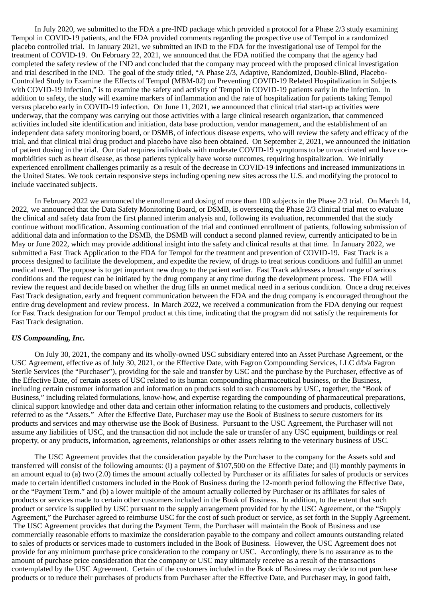In July 2020, we submitted to the FDA a pre-IND package which provided a protocol for a Phase 2/3 study examining Tempol in COVID-19 patients, and the FDA provided comments regarding the prospective use of Tempol in a randomized placebo controlled trial. In January 2021, we submitted an IND to the FDA for the investigational use of Tempol for the treatment of COVID-19. On February 22, 2021, we announced that the FDA notified the company that the agency had completed the safety review of the IND and concluded that the company may proceed with the proposed clinical investigation and trial described in the IND. The goal of the study titled, "A Phase 2/3, Adaptive, Randomized, Double-Blind, Placebo-Controlled Study to Examine the Effects of Tempol (MBM-02) on Preventing COVID-19 Related Hospitalization in Subjects with COVID-19 Infection," is to examine the safety and activity of Tempol in COVID-19 patients early in the infection. In addition to safety, the study will examine markers of inflammation and the rate of hospitalization for patients taking Tempol versus placebo early in COVID-19 infection. On June 11, 2021, we announced that clinical trial start-up activities were underway, that the company was carrying out those activities with a large clinical research organization, that commenced activities included site identification and initiation, data base production, vendor management, and the establishment of an independent data safety monitoring board, or DSMB, of infectious disease experts, who will review the safety and efficacy of the trial, and that clinical trial drug product and placebo have also been obtained. On September 2, 2021, we announced the initiation of patient dosing in the trial. Our trial requires individuals with moderate COVID-19 symptoms to be unvaccinated and have comorbidities such as heart disease, as those patients typically have worse outcomes, requiring hospitalization. We initially experienced enrollment challenges primarily as a result of the decrease in COVID-19 infections and increased immunizations in the United States. We took certain responsive steps including opening new sites across the U.S. and modifying the protocol to include vaccinated subjects.

 In February 2022 we announced the enrollment and dosing of more than 100 subjects in the Phase 2/3 trial. On March 14, 2022, we announced that the Data Safety Monitoring Board, or DSMB, is overseeing the Phase 2/3 clinical trial met to evaluate the clinical and safety data from the first planned interim analysis and, following its evaluation, recommended that the study continue without modification. Assuming continuation of the trial and continued enrollment of patients, following submission of additional data and information to the DSMB, the DSMB will conduct a second planned review, currently anticipated to be in May or June 2022, which may provide additional insight into the safety and clinical results at that time. In January 2022, we submitted a Fast Track Application to the FDA for Tempol for the treatment and prevention of COVID-19. Fast Track is a process designed to facilitate the development, and expedite the review, of drugs to treat serious conditions and fulfill an unmet medical need. The purpose is to get important new drugs to the patient earlier. Fast Track addresses a broad range of serious conditions and the request can be initiated by the drug company at any time during the development process. The FDA will review the request and decide based on whether the drug fills an unmet medical need in a serious condition. Once a drug receives Fast Track designation, early and frequent communication between the FDA and the drug company is encouraged throughout the entire drug development and review process. In March 2022, we received a communication from the FDA denying our request for Fast Track designation for our Tempol product at this time, indicating that the program did not satisfy the requirements for Fast Track designation.

# *US Compounding, Inc.*

 On July 30, 2021, the company and its wholly-owned USC subsidiary entered into an Asset Purchase Agreement, or the USC Agreement, effective as of July 30, 2021, or the Effective Date, with Fagron Compounding Services, LLC d/b/a Fagron Sterile Services (the "Purchaser"), providing for the sale and transfer by USC and the purchase by the Purchaser, effective as of the Effective Date, of certain assets of USC related to its human compounding pharmaceutical business, or the Business, including certain customer information and information on products sold to such customers by USC, together, the "Book of Business," including related formulations, know-how, and expertise regarding the compounding of pharmaceutical preparations, clinical support knowledge and other data and certain other information relating to the customers and products, collectively referred to as the "Assets." After the Effective Date, Purchaser may use the Book of Business to secure customers for its products and services and may otherwise use the Book of Business. Pursuant to the USC Agreement, the Purchaser will not assume any liabilities of USC, and the transaction did not include the sale or transfer of any USC equipment, buildings or real property, or any products, information, agreements, relationships or other assets relating to the veterinary business of USC.

 The USC Agreement provides that the consideration payable by the Purchaser to the company for the Assets sold and transferred will consist of the following amounts: (i) a payment of \$107,500 on the Effective Date; and (ii) monthly payments in an amount equal to (a) two (2.0) times the amount actually collected by Purchaser or its affiliates for sales of products or services made to certain identified customers included in the Book of Business during the 12-month period following the Effective Date, or the "Payment Term." and (b) a lower multiple of the amount actually collected by Purchaser or its affiliates for sales of products or services made to certain other customers included in the Book of Business. In addition, to the extent that such product or service is supplied by USC pursuant to the supply arrangement provided for by the USC Agreement, or the "Supply Agreement," the Purchaser agreed to reimburse USC for the cost of such product or service, as set forth in the Supply Agreement. The USC Agreement provides that during the Payment Term, the Purchaser will maintain the Book of Business and use commercially reasonable efforts to maximize the consideration payable to the company and collect amounts outstanding related to sales of products or services made to customers included in the Book of Business. However, the USC Agreement does not provide for any minimum purchase price consideration to the company or USC. Accordingly, there is no assurance as to the amount of purchase price consideration that the company or USC may ultimately receive as a result of the transactions contemplated by the USC Agreement. Certain of the customers included in the Book of Business may decide to not purchase products or to reduce their purchases of products from Purchaser after the Effective Date, and Purchaser may, in good faith,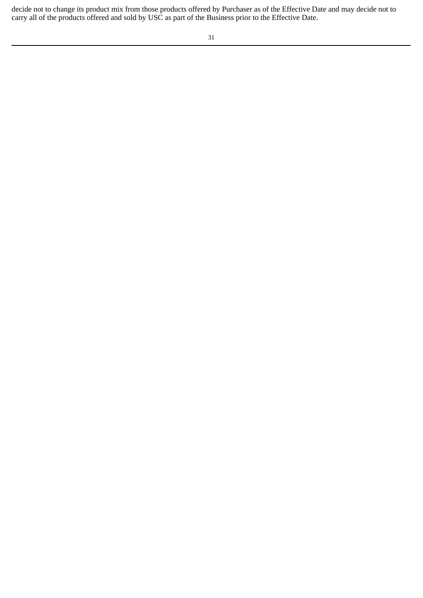decide not to change its product mix from those products offered by Purchaser as of the Effective Date and may decide not to carry all of the products offered and sold by USC as part of the Business prior to the Effective Date.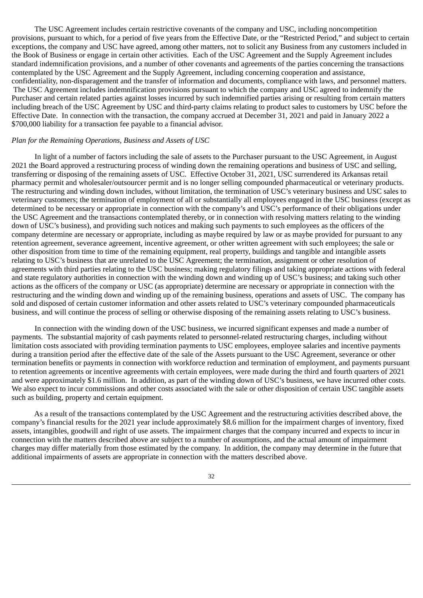The USC Agreement includes certain restrictive covenants of the company and USC, including noncompetition provisions, pursuant to which, for a period of five years from the Effective Date, or the "Restricted Period," and subject to certain exceptions, the company and USC have agreed, among other matters, not to solicit any Business from any customers included in the Book of Business or engage in certain other activities. Each of the USC Agreement and the Supply Agreement includes standard indemnification provisions, and a number of other covenants and agreements of the parties concerning the transactions contemplated by the USC Agreement and the Supply Agreement, including concerning cooperation and assistance, confidentiality, non-disparagement and the transfer of information and documents, compliance with laws, and personnel matters. The USC Agreement includes indemnification provisions pursuant to which the company and USC agreed to indemnify the Purchaser and certain related parties against losses incurred by such indemnified parties arising or resulting from certain matters including breach of the USC Agreement by USC and third-party claims relating to product sales to customers by USC before the Effective Date. In connection with the transaction, the company accrued at December 31, 2021 and paid in January 2022 a \$700,000 liability for a transaction fee payable to a financial advisor.

# *Plan for the Remaining Operations, Business and Assets of USC*

 In light of a number of factors including the sale of assets to the Purchaser pursuant to the USC Agreement, in August 2021 the Board approved a restructuring process of winding down the remaining operations and business of USC and selling, transferring or disposing of the remaining assets of USC. Effective October 31, 2021, USC surrendered its Arkansas retail pharmacy permit and wholesaler/outsourcer permit and is no longer selling compounded pharmaceutical or veterinary products. The restructuring and winding down includes, without limitation, the termination of USC's veterinary business and USC sales to veterinary customers; the termination of employment of all or substantially all employees engaged in the USC business (except as determined to be necessary or appropriate in connection with the company's and USC's performance of their obligations under the USC Agreement and the transactions contemplated thereby, or in connection with resolving matters relating to the winding down of USC's business), and providing such notices and making such payments to such employees as the officers of the company determine are necessary or appropriate, including as maybe required by law or as maybe provided for pursuant to any retention agreement, severance agreement, incentive agreement, or other written agreement with such employees; the sale or other disposition from time to time of the remaining equipment, real property, buildings and tangible and intangible assets relating to USC's business that are unrelated to the USC Agreement; the termination, assignment or other resolution of agreements with third parties relating to the USC business; making regulatory filings and taking appropriate actions with federal and state regulatory authorities in connection with the winding down and winding up of USC's business; and taking such other actions as the officers of the company or USC (as appropriate) determine are necessary or appropriate in connection with the restructuring and the winding down and winding up of the remaining business, operations and assets of USC. The company has sold and disposed of certain customer information and other assets related to USC's veterinary compounded pharmaceuticals business, and will continue the process of selling or otherwise disposing of the remaining assets relating to USC's business.

 In connection with the winding down of the USC business, we incurred significant expenses and made a number of payments. The substantial majority of cash payments related to personnel-related restructuring charges, including without limitation costs associated with providing termination payments to USC employees, employee salaries and incentive payments during a transition period after the effective date of the sale of the Assets pursuant to the USC Agreement, severance or other termination benefits or payments in connection with workforce reduction and termination of employment, and payments pursuant to retention agreements or incentive agreements with certain employees, were made during the third and fourth quarters of 2021 and were approximately \$1.6 million. In addition, as part of the winding down of USC's business, we have incurred other costs. We also expect to incur commissions and other costs associated with the sale or other disposition of certain USC tangible assets such as building, property and certain equipment.

 As a result of the transactions contemplated by the USC Agreement and the restructuring activities described above, the company's financial results for the 2021 year include approximately \$8.6 million for the impairment charges of inventory, fixed assets, intangibles, goodwill and right of use assets. The impairment charges that the company incurred and expects to incur in connection with the matters described above are subject to a number of assumptions, and the actual amount of impairment charges may differ materially from those estimated by the company. In addition, the company may determine in the future that additional impairments of assets are appropriate in connection with the matters described above.

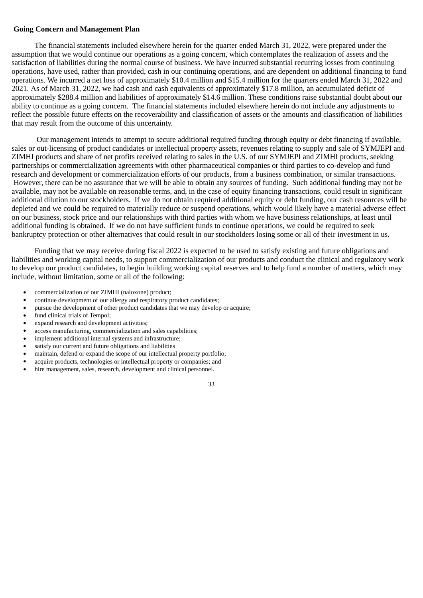#### **Going Concern and Management Plan**

 The financial statements included elsewhere herein for the quarter ended March 31, 2022, were prepared under the assumption that we would continue our operations as a going concern, which contemplates the realization of assets and the satisfaction of liabilities during the normal course of business. We have incurred substantial recurring losses from continuing operations, have used, rather than provided, cash in our continuing operations, and are dependent on additional financing to fund operations. We incurred a net loss of approximately \$10.4 million and \$15.4 million for the quarters ended March 31, 2022 and 2021. As of March 31, 2022, we had cash and cash equivalents of approximately \$17.8 million, an accumulated deficit of approximately \$288.4 million and liabilities of approximately \$14.6 million. These conditions raise substantial doubt about our ability to continue as a going concern. The financial statements included elsewhere herein do not include any adjustments to reflect the possible future effects on the recoverability and classification of assets or the amounts and classification of liabilities that may result from the outcome of this uncertainty.

 Our management intends to attempt to secure additional required funding through equity or debt financing if available, sales or out-licensing of product candidates or intellectual property assets, revenues relating to supply and sale of SYMJEPI and ZIMHI products and share of net profits received relating to sales in the U.S. of our SYMJEPI and ZIMHI products, seeking partnerships or commercialization agreements with other pharmaceutical companies or third parties to co-develop and fund research and development or commercialization efforts of our products, from a business combination, or similar transactions. However, there can be no assurance that we will be able to obtain any sources of funding. Such additional funding may not be available, may not be available on reasonable terms, and, in the case of equity financing transactions, could result in significant additional dilution to our stockholders. If we do not obtain required additional equity or debt funding, our cash resources will be depleted and we could be required to materially reduce or suspend operations, which would likely have a material adverse effect on our business, stock price and our relationships with third parties with whom we have business relationships, at least until additional funding is obtained. If we do not have sufficient funds to continue operations, we could be required to seek bankruptcy protection or other alternatives that could result in our stockholders losing some or all of their investment in us.

 Funding that we may receive during fiscal 2022 is expected to be used to satisfy existing and future obligations and liabilities and working capital needs, to support commercialization of our products and conduct the clinical and regulatory work to develop our product candidates, to begin building working capital reserves and to help fund a number of matters, which may include, without limitation, some or all of the following:

- commercialization of our ZIMHI (naloxone) product;
- continue development of our allergy and respiratory product candidates;
- pursue the development of other product candidates that we may develop or acquire;
- fund clinical trials of Tempol;
- expand research and development activities;
- access manufacturing, commercialization and sales capabilities;
- implement additional internal systems and infrastructure;
- satisfy our current and future obligations and liabilities
- maintain, defend or expand the scope of our intellectual property portfolio;
- acquire products, technologies or intellectual property or companies; and
- hire management, sales, research, development and clinical personnel.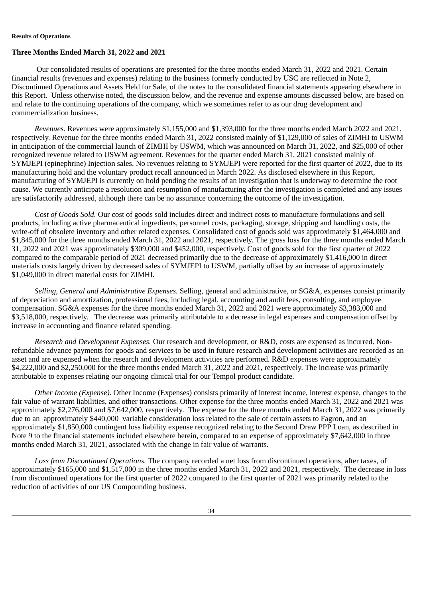#### **Results of Operations**

### **Three Months Ended March 31, 2022 and 2021**

 Our consolidated results of operations are presented for the three months ended March 31, 2022 and 2021. Certain financial results (revenues and expenses) relating to the business formerly conducted by USC are reflected in Note 2, Discontinued Operations and Assets Held for Sale*,* of the notes to the consolidated financial statements appearing elsewhere in this Report. Unless otherwise noted, the discussion below, and the revenue and expense amounts discussed below, are based on and relate to the continuing operations of the company, which we sometimes refer to as our drug development and commercialization business.

 *Revenues.* Revenues were approximately \$1,155,000 and \$1,393,000 for the three months ended March 2022 and 2021, respectively. Revenue for the three months ended March 31, 2022 consisted mainly of \$1,129,000 of sales of ZIMHI to USWM in anticipation of the commercial launch of ZIMHI by USWM, which was announced on March 31, 2022, and \$25,000 of other recognized revenue related to USWM agreement. Revenues for the quarter ended March 31, 2021 consisted mainly of SYMJEPI (epinephrine) Injection sales. No revenues relating to SYMJEPI were reported for the first quarter of 2022, due to its manufacturing hold and the voluntary product recall announced in March 2022. As disclosed elsewhere in this Report, manufacturing of SYMJEPI is currently on hold pending the results of an investigation that is underway to determine the root cause. We currently anticipate a resolution and resumption of manufacturing after the investigation is completed and any issues are satisfactorily addressed, although there can be no assurance concerning the outcome of the investigation.

 *Cost of Goods Sold.* Our cost of goods sold includes direct and indirect costs to manufacture formulations and sell products, including active pharmaceutical ingredients, personnel costs, packaging, storage, shipping and handling costs, the write-off of obsolete inventory and other related expenses. Consolidated cost of goods sold was approximately \$1,464,000 and \$1,845,000 for the three months ended March 31, 2022 and 2021, respectively. The gross loss for the three months ended March 31, 2022 and 2021 was approximately \$309,000 and \$452,000, respectively. Cost of goods sold for the first quarter of 2022 compared to the comparable period of 2021 decreased primarily due to the decrease of approximately \$1,416,000 in direct materials costs largely driven by decreased sales of SYMJEPI to USWM, partially offset by an increase of approximately \$1,049,000 in direct material costs for ZIMHI.

*Selling, General and Administrative Expenses.* Selling, general and administrative, or SG&A, expenses consist primarily of depreciation and amortization, professional fees, including legal, accounting and audit fees, consulting, and employee compensation. SG&A expenses for the three months ended March 31, 2022 and 2021 were approximately \$3,383,000 and \$3,518,000, respectively. The decrease was primarily attributable to a decrease in legal expenses and compensation offset by increase in accounting and finance related spending.

*Research and Development Expenses.* Our research and development, or R&D, costs are expensed as incurred. Nonrefundable advance payments for goods and services to be used in future research and development activities are recorded as an asset and are expensed when the research and development activities are performed. R&D expenses were approximately \$4,222,000 and \$2,250,000 for the three months ended March 31, 2022 and 2021, respectively. The increase was primarily attributable to expenses relating our ongoing clinical trial for our Tempol product candidate.

*Other Income (Expense).* Other Income (Expenses) consists primarily of interest income, interest expense, changes to the fair value of warrant liabilities, and other transactions. Other expense for the three months ended March 31, 2022 and 2021 was approximately \$2,276,000 and \$7,642,000, respectively. The expense for the three months ended March 31, 2022 was primarily due to an approximately \$440,000 variable consideration loss related to the sale of certain assets to Fagron, and an approximately \$1,850,000 contingent loss liability expense recognized relating to the Second Draw PPP Loan, as described in Note 9 to the financial statements included elsewhere herein, compared to an expense of approximately \$7,642,000 in three months ended March 31, 2021, associated with the change in fair value of warrants.

*Loss from Discontinued Operations.* The company recorded a net loss from discontinued operations, after taxes, of approximately \$165,000 and \$1,517,000 in the three months ended March 31, 2022 and 2021, respectively. The decrease in loss from discontinued operations for the first quarter of 2022 compared to the first quarter of 2021 was primarily related to the reduction of activities of our US Compounding business.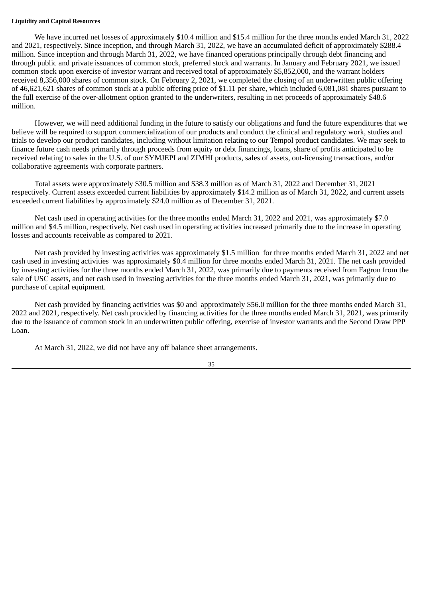#### **Liquidity and Capital Resources**

We have incurred net losses of approximately \$10.4 million and \$15.4 million for the three months ended March 31, 2022 and 2021, respectively. Since inception, and through March 31, 2022, we have an accumulated deficit of approximately \$288.4 million. Since inception and through March 31, 2022, we have financed operations principally through debt financing and through public and private issuances of common stock, preferred stock and warrants. In January and February 2021, we issued common stock upon exercise of investor warrant and received total of approximately \$5,852,000, and the warrant holders received 8,356,000 shares of common stock. On February 2, 2021, we completed the closing of an underwritten public offering of 46,621,621 shares of common stock at a public offering price of \$1.11 per share, which included 6,081,081 shares pursuant to the full exercise of the over-allotment option granted to the underwriters, resulting in net proceeds of approximately \$48.6 million.

However, we will need additional funding in the future to satisfy our obligations and fund the future expenditures that we believe will be required to support commercialization of our products and conduct the clinical and regulatory work, studies and trials to develop our product candidates, including without limitation relating to our Tempol product candidates. We may seek to finance future cash needs primarily through proceeds from equity or debt financings, loans, share of profits anticipated to be received relating to sales in the U.S. of our SYMJEPI and ZIMHI products, sales of assets, out-licensing transactions, and/or collaborative agreements with corporate partners.

Total assets were approximately \$30.5 million and \$38.3 million as of March 31, 2022 and December 31, 2021 respectively. Current assets exceeded current liabilities by approximately \$14.2 million as of March 31, 2022, and current assets exceeded current liabilities by approximately \$24.0 million as of December 31, 2021.

Net cash used in operating activities for the three months ended March 31, 2022 and 2021, was approximately \$7.0 million and \$4.5 million, respectively. Net cash used in operating activities increased primarily due to the increase in operating losses and accounts receivable as compared to 2021.

Net cash provided by investing activities was approximately \$1.5 million for three months ended March 31, 2022 and net cash used in investing activities was approximately \$0.4 million for three months ended March 31, 2021. The net cash provided by investing activities for the three months ended March 31, 2022, was primarily due to payments received from Fagron from the sale of USC assets, and net cash used in investing activities for the three months ended March 31, 2021, was primarily due to purchase of capital equipment.

Net cash provided by financing activities was \$0 and approximately \$56.0 million for the three months ended March 31, 2022 and 2021, respectively. Net cash provided by financing activities for the three months ended March 31, 2021, was primarily due to the issuance of common stock in an underwritten public offering, exercise of investor warrants and the Second Draw PPP Loan.

At March 31, 2022, we did not have any off balance sheet arrangements.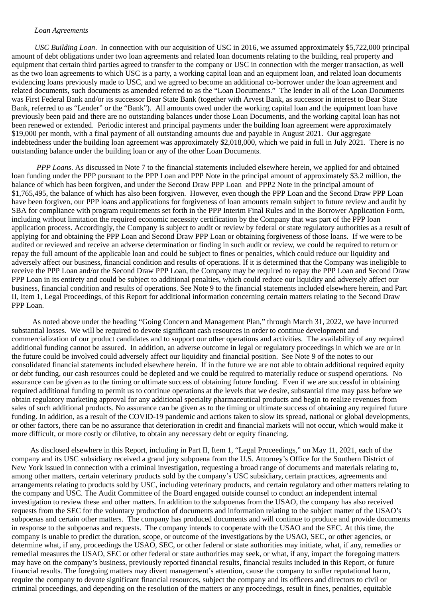#### *Loan Agreements*

*USC Building Loan*. In connection with our acquisition of USC in 2016, we assumed approximately \$5,722,000 principal amount of debt obligations under two loan agreements and related loan documents relating to the building, real property and equipment that certain third parties agreed to transfer to the company or USC in connection with the merger transaction, as well as the two loan agreements to which USC is a party, a working capital loan and an equipment loan, and related loan documents evidencing loans previously made to USC, and we agreed to become an additional co-borrower under the loan agreement and related documents, such documents as amended referred to as the "Loan Documents." The lender in all of the Loan Documents was First Federal Bank and/or its successor Bear State Bank (together with Arvest Bank, as successor in interest to Bear State Bank, referred to as "Lender" or the "Bank"). All amounts owed under the working capital loan and the equipment loan have previously been paid and there are no outstanding balances under those Loan Documents, and the working capital loan has not been renewed or extended. Periodic interest and principal payments under the building loan agreement were approximately \$19,000 per month, with a final payment of all outstanding amounts due and payable in August 2021. Our aggregate indebtedness under the building loan agreement was approximately \$2,018,000, which we paid in full in July 2021. There is no outstanding balance under the building loan or any of the other Loan Documents.

 *PPP Loans*. As discussed in Note 7 to the financial statements included elsewhere herein, we applied for and obtained loan funding under the PPP pursuant to the PPP Loan and PPP Note in the principal amount of approximately \$3.2 million, the balance of which has been forgiven, and under the Second Draw PPP Loan and PPP2 Note in the principal amount of \$1,765,495, the balance of which has also been forgiven. However, even though the PPP Loan and the Second Draw PPP Loan have been forgiven, our PPP loans and applications for forgiveness of loan amounts remain subject to future review and audit by SBA for compliance with program requirements set forth in the PPP Interim Final Rules and in the Borrower Application Form, including without limitation the required economic necessity certification by the Company that was part of the PPP loan application process. Accordingly, the Company is subject to audit or review by federal or state regulatory authorities as a result of applying for and obtaining the PPP Loan and Second Draw PPP Loan or obtaining forgiveness of those loans. If we were to be audited or reviewed and receive an adverse determination or finding in such audit or review, we could be required to return or repay the full amount of the applicable loan and could be subject to fines or penalties, which could reduce our liquidity and adversely affect our business, financial condition and results of operations. If it is determined that the Company was ineligible to receive the PPP Loan and/or the Second Draw PPP Loan, the Company may be required to repay the PPP Loan and Second Draw PPP Loan in its entirety and could be subject to additional penalties, which could reduce our liquidity and adversely affect our business, financial condition and results of operations. See Note 9 to the financial statements included elsewhere herein, and Part II, Item 1, Legal Proceedings, of this Report for additional information concerning certain matters relating to the Second Draw PPP Loan.

 As noted above under the heading "Going Concern and Management Plan," through March 31, 2022*,* we have incurred substantial losses. We will be required to devote significant cash resources in order to continue development and commercialization of our product candidates and to support our other operations and activities. The availability of any required additional funding cannot be assured. In addition, an adverse outcome in legal or regulatory proceedings in which we are or in the future could be involved could adversely affect our liquidity and financial position. See Note 9 of the notes to our consolidated financial statements included elsewhere herein. If in the future we are not able to obtain additional required equity or debt funding, our cash resources could be depleted and we could be required to materially reduce or suspend operations. No assurance can be given as to the timing or ultimate success of obtaining future funding. Even if we are successful in obtaining required additional funding to permit us to continue operations at the levels that we desire, substantial time may pass before we obtain regulatory marketing approval for any additional specialty pharmaceutical products and begin to realize revenues from sales of such additional products. No assurance can be given as to the timing or ultimate success of obtaining any required future funding. In addition, as a result of the COVID-19 pandemic and actions taken to slow its spread, national or global developments, or other factors, there can be no assurance that deterioration in credit and financial markets will not occur, which would make it more difficult, or more costly or dilutive, to obtain any necessary debt or equity financing.

 As disclosed elsewhere in this Report, including in Part II, Item 1, "Legal Proceedings," on May 11, 2021, each of the company and its USC subsidiary received a grand jury subpoena from the U.S. Attorney's Office for the Southern District of New York issued in connection with a criminal investigation, requesting a broad range of documents and materials relating to, among other matters, certain veterinary products sold by the company's USC subsidiary, certain practices, agreements and arrangements relating to products sold by USC, including veterinary products, and certain regulatory and other matters relating to the company and USC. The Audit Committee of the Board engaged outside counsel to conduct an independent internal investigation to review these and other matters. In addition to the subpoenas from the USAO, the company has also received requests from the SEC for the voluntary production of documents and information relating to the subject matter of the USAO's subpoenas and certain other matters. The company has produced documents and will continue to produce and provide documents in response to the subpoenas and requests. The company intends to cooperate with the USAO and the SEC. At this time, the company is unable to predict the duration, scope, or outcome of the investigations by the USAO, SEC, or other agencies, or determine what, if any, proceedings the USAO, SEC, or other federal or state authorities may initiate, what, if any, remedies or remedial measures the USAO, SEC or other federal or state authorities may seek, or what, if any, impact the foregoing matters may have on the company's business, previously reported financial results, financial results included in this Report, or future financial results. The foregoing matters may divert management's attention, cause the company to suffer reputational harm, require the company to devote significant financial resources, subject the company and its officers and directors to civil or criminal proceedings, and depending on the resolution of the matters or any proceedings, result in fines, penalties, equitable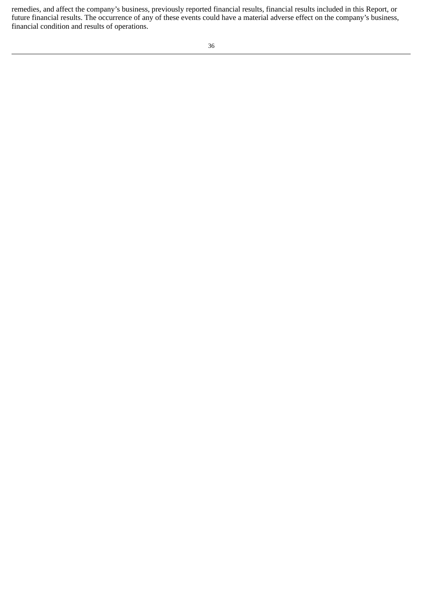remedies, and affect the company's business, previously reported financial results, financial results included in this Report, or future financial results. The occurrence of any of these events could have a material adverse effect on the company's business, financial condition and results of operations.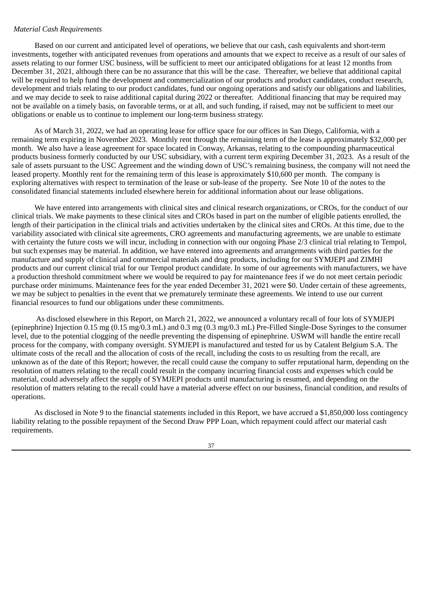#### *Material Cash Requirements*

 Based on our current and anticipated level of operations, we believe that our cash, cash equivalents and short-term investments, together with anticipated revenues from operations and amounts that we expect to receive as a result of our sales of assets relating to our former USC business, will be sufficient to meet our anticipated obligations for at least 12 months from December 31, 2021, although there can be no assurance that this will be the case. Thereafter, we believe that additional capital will be required to help fund the development and commercialization of our products and product candidates, conduct research, development and trials relating to our product candidates, fund our ongoing operations and satisfy our obligations and liabilities, and we may decide to seek to raise additional capital during 2022 or thereafter. Additional financing that may be required may not be available on a timely basis, on favorable terms, or at all, and such funding, if raised, may not be sufficient to meet our obligations or enable us to continue to implement our long-term business strategy.

 As of March 31, 2022, we had an operating lease for office space for our offices in San Diego, California, with a remaining term expiring in November 2023. Monthly rent through the remaining term of the lease is approximately \$32,000 per month. We also have a lease agreement for space located in Conway, Arkansas, relating to the compounding pharmaceutical products business formerly conducted by our USC subsidiary, with a current term expiring December 31, 2023. As a result of the sale of assets pursuant to the USC Agreement and the winding down of USC's remaining business, the company will not need the leased property. Monthly rent for the remaining term of this lease is approximately \$10,600 per month. The company is exploring alternatives with respect to termination of the lease or sub-lease of the property. See Note 10 of the notes to the consolidated financial statements included elsewhere herein for additional information about our lease obligations.

 We have entered into arrangements with clinical sites and clinical research organizations, or CROs, for the conduct of our clinical trials. We make payments to these clinical sites and CROs based in part on the number of eligible patients enrolled, the length of their participation in the clinical trials and activities undertaken by the clinical sites and CROs. At this time, due to the variability associated with clinical site agreements, CRO agreements and manufacturing agreements, we are unable to estimate with certainty the future costs we will incur, including in connection with our ongoing Phase 2/3 clinical trial relating to Tempol, but such expenses may be material. In addition, we have entered into agreements and arrangements with third parties for the manufacture and supply of clinical and commercial materials and drug products, including for our SYMJEPI and ZIMHI products and our current clinical trial for our Tempol product candidate. In some of our agreements with manufacturers, we have a production threshold commitment where we would be required to pay for maintenance fees if we do not meet certain periodic purchase order minimums. Maintenance fees for the year ended December 31, 2021 were \$0. Under certain of these agreements, we may be subject to penalties in the event that we prematurely terminate these agreements. We intend to use our current financial resources to fund our obligations under these commitments.

 As disclosed elsewhere in this Report, on March 21, 2022, we announced a voluntary recall of four lots of SYMJEPI (epinephrine) Injection 0.15 mg (0.15 mg/0.3 mL) and 0.3 mg (0.3 mg/0.3 mL) Pre-Filled Single-Dose Syringes to the consumer level, due to the potential clogging of the needle preventing the dispensing of epinephrine. USWM will handle the entire recall process for the company, with company oversight. SYMJEPI is manufactured and tested for us by Catalent Belgium S.A. The ultimate costs of the recall and the allocation of costs of the recall, including the costs to us resulting from the recall, are unknown as of the date of this Report; however, the recall could cause the company to suffer reputational harm, depending on the resolution of matters relating to the recall could result in the company incurring financial costs and expenses which could be material, could adversely affect the supply of SYMJEPI products until manufacturing is resumed, and depending on the resolution of matters relating to the recall could have a material adverse effect on our business, financial condition, and results of operations.

 As disclosed in Note 9 to the financial statements included in this Report, we have accrued a \$1,850,000 loss contingency liability relating to the possible repayment of the Second Draw PPP Loan, which repayment could affect our material cash requirements.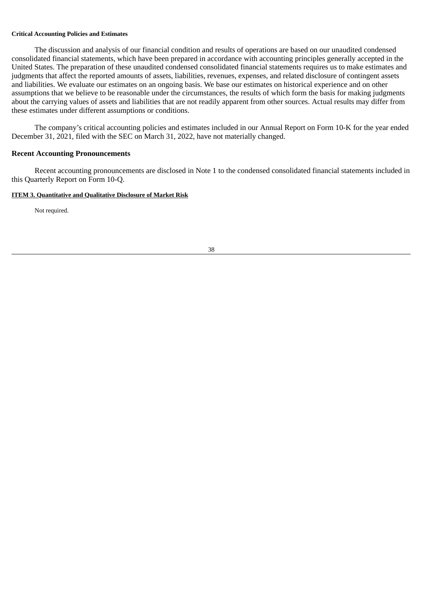#### **Critical Accounting Policies and Estimates**

The discussion and analysis of our financial condition and results of operations are based on our unaudited condensed consolidated financial statements, which have been prepared in accordance with accounting principles generally accepted in the United States. The preparation of these unaudited condensed consolidated financial statements requires us to make estimates and judgments that affect the reported amounts of assets, liabilities, revenues, expenses, and related disclosure of contingent assets and liabilities. We evaluate our estimates on an ongoing basis. We base our estimates on historical experience and on other assumptions that we believe to be reasonable under the circumstances, the results of which form the basis for making judgments about the carrying values of assets and liabilities that are not readily apparent from other sources. Actual results may differ from these estimates under different assumptions or conditions.

The company's critical accounting policies and estimates included in our Annual Report on Form 10-K for the year ended December 31, 2021, filed with the SEC on March 31, 2022, have not materially changed.

### **Recent Accounting Pronouncements**

Recent accounting pronouncements are disclosed in Note 1 to the condensed consolidated financial statements included in this Quarterly Report on Form 10-Q.

#### **ITEM 3. Quantitative and Qualitative Disclosure of Market Risk**

Not required.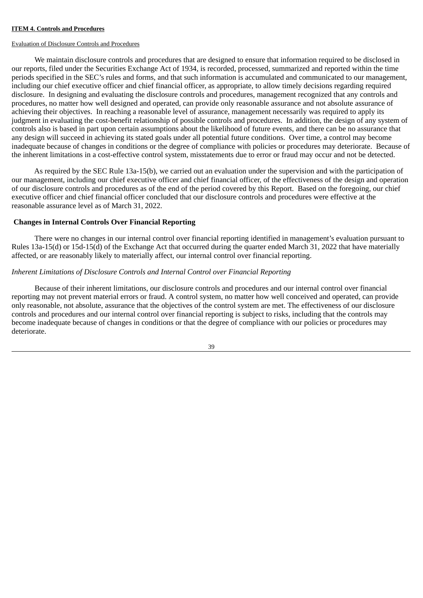#### **ITEM 4. Controls and Procedures**

#### Evaluation of Disclosure Controls and Procedures

 We maintain disclosure controls and procedures that are designed to ensure that information required to be disclosed in our reports, filed under the Securities Exchange Act of 1934, is recorded, processed, summarized and reported within the time periods specified in the SEC's rules and forms, and that such information is accumulated and communicated to our management, including our chief executive officer and chief financial officer, as appropriate, to allow timely decisions regarding required disclosure. In designing and evaluating the disclosure controls and procedures, management recognized that any controls and procedures, no matter how well designed and operated, can provide only reasonable assurance and not absolute assurance of achieving their objectives. In reaching a reasonable level of assurance, management necessarily was required to apply its judgment in evaluating the cost-benefit relationship of possible controls and procedures. In addition, the design of any system of controls also is based in part upon certain assumptions about the likelihood of future events, and there can be no assurance that any design will succeed in achieving its stated goals under all potential future conditions. Over time, a control may become inadequate because of changes in conditions or the degree of compliance with policies or procedures may deteriorate. Because of the inherent limitations in a cost-effective control system, misstatements due to error or fraud may occur and not be detected.

 As required by the SEC Rule 13a-15(b), we carried out an evaluation under the supervision and with the participation of our management, including our chief executive officer and chief financial officer, of the effectiveness of the design and operation of our disclosure controls and procedures as of the end of the period covered by this Report. Based on the foregoing, our chief executive officer and chief financial officer concluded that our disclosure controls and procedures were effective at the reasonable assurance level as of March 31, 2022.

## **Changes in Internal Controls Over Financial Reporting**

 There were no changes in our internal control over financial reporting identified in management's evaluation pursuant to Rules 13a-15(d) or 15d-15(d) of the Exchange Act that occurred during the quarter ended March 31, 2022 that have materially affected, or are reasonably likely to materially affect, our internal control over financial reporting.

### *Inherent Limitations of Disclosure Controls and Internal Control over Financial Reporting*

Because of their inherent limitations, our disclosure controls and procedures and our internal control over financial reporting may not prevent material errors or fraud. A control system, no matter how well conceived and operated, can provide only reasonable, not absolute, assurance that the objectives of the control system are met. The effectiveness of our disclosure controls and procedures and our internal control over financial reporting is subject to risks, including that the controls may become inadequate because of changes in conditions or that the degree of compliance with our policies or procedures may deteriorate.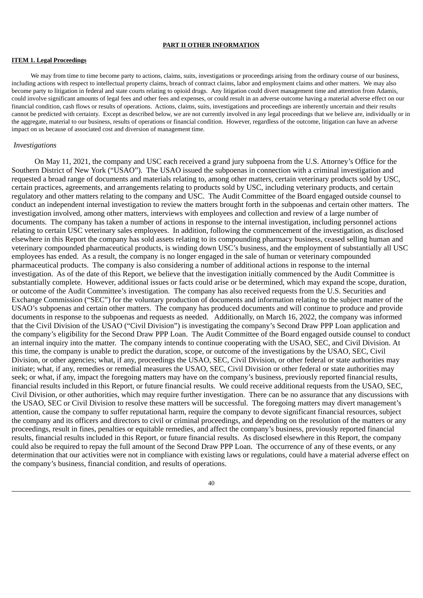#### **PART II OTHER INFORMATION**

#### **ITEM 1. Legal Proceedings**

We may from time to time become party to actions, claims, suits, investigations or proceedings arising from the ordinary course of our business, including actions with respect to intellectual property claims, breach of contract claims, labor and employment claims and other matters. We may also become party to litigation in federal and state courts relating to opioid drugs. Any litigation could divert management time and attention from Adamis, could involve significant amounts of legal fees and other fees and expenses, or could result in an adverse outcome having a material adverse effect on our financial condition, cash flows or results of operations. Actions, claims, suits, investigations and proceedings are inherently uncertain and their results cannot be predicted with certainty. Except as described below, we are not currently involved in any legal proceedings that we believe are, individually or in the aggregate, material to our business, results of operations or financial condition. However, regardless of the outcome, litigation can have an adverse impact on us because of associated cost and diversion of management time.

#### *Investigations*

 On May 11, 2021, the company and USC each received a grand jury subpoena from the U.S. Attorney's Office for the Southern District of New York ("USAO"). The USAO issued the subpoenas in connection with a criminal investigation and requested a broad range of documents and materials relating to, among other matters, certain veterinary products sold by USC, certain practices, agreements, and arrangements relating to products sold by USC, including veterinary products, and certain regulatory and other matters relating to the company and USC. The Audit Committee of the Board engaged outside counsel to conduct an independent internal investigation to review the matters brought forth in the subpoenas and certain other matters. The investigation involved, among other matters, interviews with employees and collection and review of a large number of documents. The company has taken a number of actions in response to the internal investigation, including personnel actions relating to certain USC veterinary sales employees. In addition, following the commencement of the investigation, as disclosed elsewhere in this Report the company has sold assets relating to its compounding pharmacy business, ceased selling human and veterinary compounded pharmaceutical products, is winding down USC's business, and the employment of substantially all USC employees has ended. As a result, the company is no longer engaged in the sale of human or veterinary compounded pharmaceutical products. The company is also considering a number of additional actions in response to the internal investigation. As of the date of this Report, we believe that the investigation initially commenced by the Audit Committee is substantially complete. However, additional issues or facts could arise or be determined, which may expand the scope, duration, or outcome of the Audit Committee's investigation. The company has also received requests from the U.S. Securities and Exchange Commission ("SEC") for the voluntary production of documents and information relating to the subject matter of the USAO's subpoenas and certain other matters. The company has produced documents and will continue to produce and provide documents in response to the subpoenas and requests as needed. Additionally, on March 16, 2022, the company was informed that the Civil Division of the USAO ("Civil Division") is investigating the company's Second Draw PPP Loan application and the company's eligibility for the Second Draw PPP Loan. The Audit Committee of the Board engaged outside counsel to conduct an internal inquiry into the matter. The company intends to continue cooperating with the USAO, SEC, and Civil Division. At this time, the company is unable to predict the duration, scope, or outcome of the investigations by the USAO, SEC, Civil Division, or other agencies; what, if any, proceedings the USAO, SEC, Civil Division, or other federal or state authorities may initiate; what, if any, remedies or remedial measures the USAO, SEC, Civil Division or other federal or state authorities may seek; or what, if any, impact the foregoing matters may have on the company's business, previously reported financial results, financial results included in this Report, or future financial results. We could receive additional requests from the USAO, SEC, Civil Division, or other authorities, which may require further investigation. There can be no assurance that any discussions with the USAO, SEC or Civil Division to resolve these matters will be successful. The foregoing matters may divert management's attention, cause the company to suffer reputational harm, require the company to devote significant financial resources, subject the company and its officers and directors to civil or criminal proceedings, and depending on the resolution of the matters or any proceedings, result in fines, penalties or equitable remedies, and affect the company's business, previously reported financial results, financial results included in this Report, or future financial results. As disclosed elsewhere in this Report, the company could also be required to repay the full amount of the Second Draw PPP Loan. The occurrence of any of these events, or any determination that our activities were not in compliance with existing laws or regulations, could have a material adverse effect on the company's business, financial condition, and results of operations.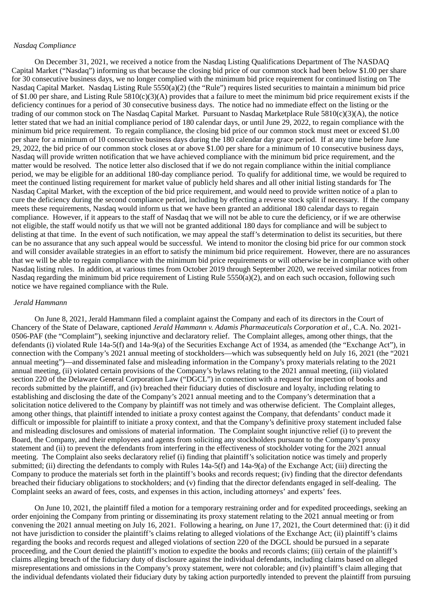### *Nasdaq Compliance*

 On December 31, 2021, we received a notice from the Nasdaq Listing Qualifications Department of The NASDAQ Capital Market ("Nasdaq") informing us that because the closing bid price of our common stock had been below \$1.00 per share for 30 consecutive business days, we no longer complied with the minimum bid price requirement for continued listing on The Nasdaq Capital Market. Nasdaq Listing Rule 5550(a)(2) (the "Rule") requires listed securities to maintain a minimum bid price of \$1.00 per share, and Listing Rule 5810(c)(3)(A) provides that a failure to meet the minimum bid price requirement exists if the deficiency continues for a period of 30 consecutive business days. The notice had no immediate effect on the listing or the trading of our common stock on The Nasdaq Capital Market. Pursuant to Nasdaq Marketplace Rule 5810(c)(3)(A), the notice letter stated that we had an initial compliance period of 180 calendar days, or until June 29, 2022, to regain compliance with the minimum bid price requirement. To regain compliance, the closing bid price of our common stock must meet or exceed \$1.00 per share for a minimum of 10 consecutive business days during the 180 calendar day grace period. If at any time before June 29, 2022, the bid price of our common stock closes at or above \$1.00 per share for a minimum of 10 consecutive business days, Nasdaq will provide written notification that we have achieved compliance with the minimum bid price requirement, and the matter would be resolved. The notice letter also disclosed that if we do not regain compliance within the initial compliance period, we may be eligible for an additional 180-day compliance period. To qualify for additional time, we would be required to meet the continued listing requirement for market value of publicly held shares and all other initial listing standards for The Nasdaq Capital Market, with the exception of the bid price requirement, and would need to provide written notice of a plan to cure the deficiency during the second compliance period, including by effecting a reverse stock split if necessary. If the company meets these requirements, Nasdaq would inform us that we have been granted an additional 180 calendar days to regain compliance. However, if it appears to the staff of Nasdaq that we will not be able to cure the deficiency, or if we are otherwise not eligible, the staff would notify us that we will not be granted additional 180 days for compliance and will be subject to delisting at that time. In the event of such notification, we may appeal the staff's determination to delist its securities, but there can be no assurance that any such appeal would be successful. We intend to monitor the closing bid price for our common stock and will consider available strategies in an effort to satisfy the minimum bid price requirement. However, there are no assurances that we will be able to regain compliance with the minimum bid price requirements or will otherwise be in compliance with other Nasdaq listing rules. In addition, at various times from October 2019 through September 2020, we received similar notices from Nasdaq regarding the minimum bid price requirement of Listing Rule 5550(a)(2), and on each such occasion, following such notice we have regained compliance with the Rule.

#### *Jerald Hammann*

 On June 8, 2021, Jerald Hammann filed a complaint against the Company and each of its directors in the Court of Chancery of the State of Delaware, captioned *Jerald Hammann v. Adamis Pharmaceuticals Corporation et al.*, C.A. No. 2021- 0506-PAF (the "Complaint"), seeking injunctive and declaratory relief. The Complaint alleges, among other things, that the defendants (i) violated Rule 14a-5(f) and 14a-9(a) of the Securities Exchange Act of 1934, as amended (the "Exchange Act"), in connection with the Company's 2021 annual meeting of stockholders—which was subsequently held on July 16, 2021 (the "2021 annual meeting")—and disseminated false and misleading information in the Company's proxy materials relating to the 2021 annual meeting, (ii) violated certain provisions of the Company's bylaws relating to the 2021 annual meeting, (iii) violated section 220 of the Delaware General Corporation Law ("DGCL") in connection with a request for inspection of books and records submitted by the plaintiff, and (iv) breached their fiduciary duties of disclosure and loyalty, including relating to establishing and disclosing the date of the Company's 2021 annual meeting and to the Company's determination that a solicitation notice delivered to the Company by plaintiff was not timely and was otherwise deficient. The Complaint alleges, among other things, that plaintiff intended to initiate a proxy contest against the Company, that defendants' conduct made it difficult or impossible for plaintiff to initiate a proxy context, and that the Company's definitive proxy statement included false and misleading disclosures and omissions of material information. The Complaint sought injunctive relief (i) to prevent the Board, the Company, and their employees and agents from soliciting any stockholders pursuant to the Company's proxy statement and (ii) to prevent the defendants from interfering in the effectiveness of stockholder voting for the 2021 annual meeting. The Complaint also seeks declaratory relief (i) finding that plaintiff's solicitation notice was timely and properly submitted; (ii) directing the defendants to comply with Rules 14a-5(f) and 14a-9(a) of the Exchange Act; (iii) directing the Company to produce the materials set forth in the plaintiff's books and records request; (iv) finding that the director defendants breached their fiduciary obligations to stockholders; and (v) finding that the director defendants engaged in self-dealing. The Complaint seeks an award of fees, costs, and expenses in this action, including attorneys' and experts' fees.

 On June 10, 2021, the plaintiff filed a motion for a temporary restraining order and for expedited proceedings, seeking an order enjoining the Company from printing or disseminating its proxy statement relating to the 2021 annual meeting or from convening the 2021 annual meeting on July 16, 2021. Following a hearing, on June 17, 2021, the Court determined that: (i) it did not have jurisdiction to consider the plaintiff's claims relating to alleged violations of the Exchange Act; (ii) plaintiff's claims regarding the books and records request and alleged violations of section 220 of the DGCL should be pursued in a separate proceeding, and the Court denied the plaintiff's motion to expedite the books and records claims; (iii) certain of the plaintiff's claims alleging breach of the fiduciary duty of disclosure against the individual defendants, including claims based on alleged misrepresentations and omissions in the Company's proxy statement, were not colorable; and (iv) plaintiff's claim alleging that the individual defendants violated their fiduciary duty by taking action purportedly intended to prevent the plaintiff from pursuing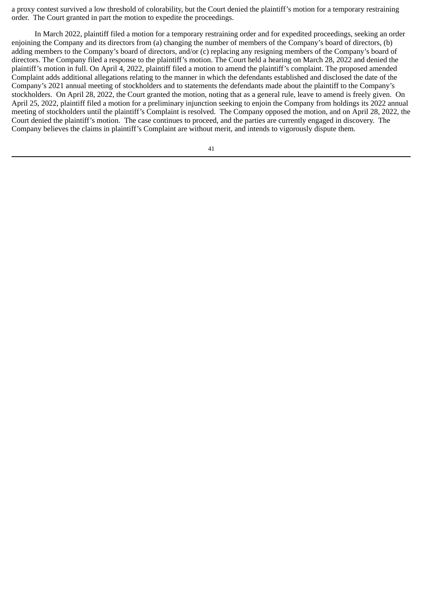a proxy contest survived a low threshold of colorability, but the Court denied the plaintiff's motion for a temporary restraining order. The Court granted in part the motion to expedite the proceedings.

 In March 2022, plaintiff filed a motion for a temporary restraining order and for expedited proceedings, seeking an order enjoining the Company and its directors from (a) changing the number of members of the Company's board of directors, (b) adding members to the Company's board of directors, and/or (c) replacing any resigning members of the Company's board of directors. The Company filed a response to the plaintiff's motion. The Court held a hearing on March 28, 2022 and denied the plaintiff's motion in full. On April 4, 2022, plaintiff filed a motion to amend the plaintiff's complaint. The proposed amended Complaint adds additional allegations relating to the manner in which the defendants established and disclosed the date of the Company's 2021 annual meeting of stockholders and to statements the defendants made about the plaintiff to the Company's stockholders. On April 28, 2022, the Court granted the motion, noting that as a general rule, leave to amend is freely given. On April 25, 2022, plaintiff filed a motion for a preliminary injunction seeking to enjoin the Company from holdings its 2022 annual meeting of stockholders until the plaintiff's Complaint is resolved. The Company opposed the motion, and on April 28, 2022, the Court denied the plaintiff's motion. The case continues to proceed, and the parties are currently engaged in discovery. The Company believes the claims in plaintiff's Complaint are without merit, and intends to vigorously dispute them.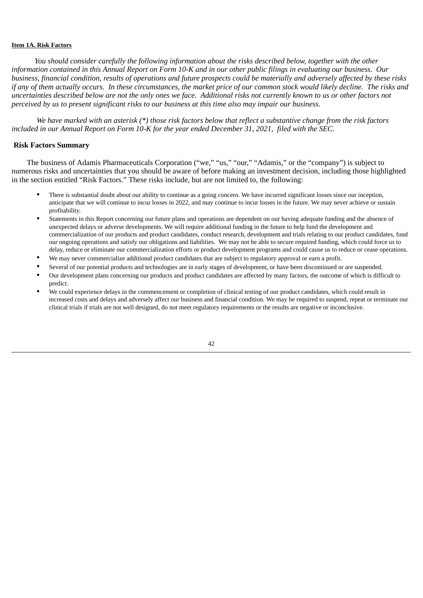#### **Item 1A. Risk Factors**

 *You should consider carefully the following information about the risks described below, together with the other information contained in this Annual Report on Form 10-K and in our other public filings in evaluating our business. Our business, financial condition, results of operations and future prospects could be materially and adversely affected by these risks if any of them actually occurs. In these circumstances, the market price of our common stock would likely decline. The risks and uncertainties described below are not the only ones we face. Additional risks not currently known to us or other factors not perceived by us to present significant risks to our business at this time also may impair our business.*

 *We have marked with an asterisk (\*) those risk factors below that reflect a substantive change from the risk factors included in our Annual Report on Form 10-K for the year ended December 31, 2021, filed with the SEC.*

### **Risk Factors Summary**

The business of Adamis Pharmaceuticals Corporation ("we," "us," "our," "Adamis," or the "company") is subject to numerous risks and uncertainties that you should be aware of before making an investment decision, including those highlighted in the section entitled "Risk Factors." These risks include, but are not limited to, the following:

- There is substantial doubt about our ability to continue as a going concern. We have incurred significant losses since our inception, anticipate that we will continue to incur losses in 2022, and may continue to incur losses in the future. We may never achieve or sustain profitability.
- Statements in this Report concerning our future plans and operations are dependent on our having adequate funding and the absence of unexpected delays or adverse developments. We will require additional funding in the future to help fund the development and commercialization of our products and product candidates, conduct research, development and trials relating to our product candidates, fund our ongoing operations and satisfy our obligations and liabilities. We may not be able to secure required funding, which could force us to delay, reduce or eliminate our commercialization efforts or product development programs and could cause us to reduce or cease operations.
- We may never commercialize additional product candidates that are subject to regulatory approval or earn a profit.
- Several of our potential products and technologies are in early stages of development, or have been discontinued or are suspended.
- Our development plans concerning our products and product candidates are affected by many factors, the outcome of which is difficult to predict.
- We could experience delays in the commencement or completion of clinical testing of our product candidates, which could result in increased costs and delays and adversely affect our business and financial condition. We may be required to suspend, repeat or terminate our clinical trials if trials are not well designed, do not meet regulatory requirements or the results are negative or inconclusive.

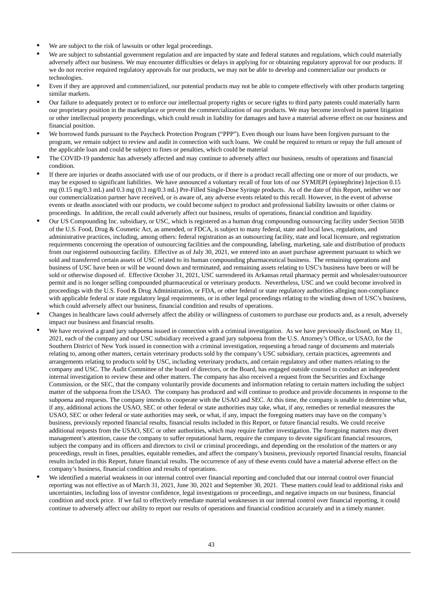- We are subject to the risk of lawsuits or other legal proceedings.
- We are subject to substantial government regulation and are impacted by state and federal statutes and regulations, which could materially adversely affect our business. We may encounter difficulties or delays in applying for or obtaining regulatory approval for our products. If we do not receive required regulatory approvals for our products, we may not be able to develop and commercialize our products or technologies.
- Even if they are approved and commercialized, our potential products may not be able to compete effectively with other products targeting similar markets.
- Our failure to adequately protect or to enforce our intellectual property rights or secure rights to third party patents could materially harm our proprietary position in the marketplace or prevent the commercialization of our products. We may become involved in patent litigation or other intellectual property proceedings, which could result in liability for damages and have a material adverse effect on our business and financial position.
- We borrowed funds pursuant to the Paycheck Protection Program ("PPP"). Even though our loans have been forgiven pursuant to the program, we remain subject to review and audit in connection with such loans. We could be required to return or repay the full amount of the applicable loan and could be subject to fines or penalties, which could be material
- The COVID-19 pandemic has adversely affected and may continue to adversely affect our business, results of operations and financial condition.
- If there are injuries or deaths associated with use of our products, or if there is a product recall affecting one or more of our products, we may be exposed to significant liabilities. We have announced a voluntary recall of four lots of our SYMJEPI (epinephrine) Injection 0.15 mg (0.15 mg/0.3 mL) and 0.3 mg (0.3 mg/0.3 mL) Pre-Filled Single-Dose Syringe products. As of the date of this Report, neither we nor our commercialization partner have received, or is aware of, any adverse events related to this recall. However, in the event of adverse events or deaths associated with our products, we could become subject to product and professional liability lawsuits or other claims or proceedings. In addition, the recall could adversely affect our business, results of operations, financial condition and liquidity.
- Our US Compounding Inc. subsidiary, or USC, which is registered as a human drug compounding outsourcing facility under Section 503B of the U.S. Food, Drug & Cosmetic Act, as amended, or FDCA, is subject to many federal, state and local laws, regulations, and administrative practices, including, among others: federal registration as an outsourcing facility, state and local licensure, and registration requirements concerning the operation of outsourcing facilities and the compounding, labeling, marketing, sale and distribution of products from our registered outsourcing facility. Effective as of July 30, 2021, we entered into an asset purchase agreement pursuant to which we sold and transferred certain assets of USC related to its human compounding pharmaceutical business. The remaining operations and business of USC have been or will be wound down and terminated, and remaining assets relating to USC's business have been or will be sold or otherwise disposed of. Effective October 31, 2021, USC surrendered its Arkansas retail pharmacy permit and wholesaler/outsourcer permit and is no longer selling compounded pharmaceutical or veterinary products. Nevertheless, USC and we could become involved in proceedings with the U.S. Food & Drug Administration, or FDA, or other federal or state regulatory authorities alleging non-compliance with applicable federal or state regulatory legal requirements, or in other legal proceedings relating to the winding down of USC's business, which could adversely affect our business, financial condition and results of operations.
- Changes in healthcare laws could adversely affect the ability or willingness of customers to purchase our products and, as a result, adversely impact our business and financial results.
- We have received a grand jury subpoena issued in connection with a criminal investigation. As we have previously disclosed, on May 11, 2021, each of the company and our USC subsidiary received a grand jury subpoena from the U.S. Attorney's Office, or USAO, for the Southern District of New York issued in connection with a criminal investigation, requesting a broad range of documents and materials relating to, among other matters, certain veterinary products sold by the company's USC subsidiary, certain practices, agreements and arrangements relating to products sold by USC, including veterinary products, and certain regulatory and other matters relating to the company and USC. The Audit Committee of the board of directors, or the Board, has engaged outside counsel to conduct an independent internal investigation to review these and other matters. The company has also received a request from the Securities and Exchange Commission, or the SEC, that the company voluntarily provide documents and information relating to certain matters including the subject matter of the subpoena from the USAO. The company has produced and will continue to produce and provide documents in response to the subpoena and requests. The company intends to cooperate with the USAO and SEC. At this time, the company is unable to determine what, if any, additional actions the USAO, SEC or other federal or state authorities may take, what, if any, remedies or remedial measures the USAO, SEC or other federal or state authorities may seek, or what, if any, impact the foregoing matters may have on the company's business, previously reported financial results, financial results included in this Report, or future financial results. We could receive additional requests from the USAO, SEC or other authorities, which may require further investigation. The foregoing matters may divert management's attention, cause the company to suffer reputational harm, require the company to devote significant financial resources, subject the company and its officers and directors to civil or criminal proceedings, and depending on the resolution of the matters or any proceedings, result in fines, penalties, equitable remedies, and affect the company's business, previously reported financial results, financial results included in this Report, future financial results. The occurrence of any of these events could have a material adverse effect on the company's business, financial condition and results of operations.
- We identified a material weakness in our internal control over financial reporting and concluded that our internal control over financial reporting was not effective as of March 31, 2021, June 30, 2021 and September 30, 2021. These matters could lead to additional risks and uncertainties, including loss of investor confidence, legal investigations or proceedings, and negative impacts on our business, financial condition and stock price. If we fail to effectively remediate material weaknesses in our internal control over financial reporting, it could continue to adversely affect our ability to report our results of operations and financial condition accurately and in a timely manner.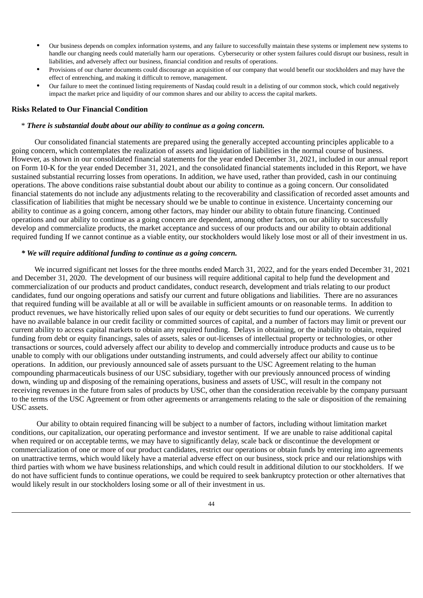- Our business depends on complex information systems, and any failure to successfully maintain these systems or implement new systems to handle our changing needs could materially harm our operations. Cybersecurity or other system failures could disrupt our business, result in liabilities, and adversely affect our business, financial condition and results of operations.
- Provisions of our charter documents could discourage an acquisition of our company that would benefit our stockholders and may have the effect of entrenching, and making it difficult to remove, management.
- Our failure to meet the continued listing requirements of Nasdaq could result in a delisting of our common stock, which could negatively impact the market price and liquidity of our common shares and our ability to access the capital markets.

### **Risks Related to Our Financial Condition**

#### \* *There is substantial doubt about our ability to continue as a going concern.*

 Our consolidated financial statements are prepared using the generally accepted accounting principles applicable to a going concern, which contemplates the realization of assets and liquidation of liabilities in the normal course of business. However, as shown in our consolidated financial statements for the year ended December 31, 2021, included in our annual report on Form 10-K for the year ended December 31, 2021, and the consolidated financial statements included in this Report, we have sustained substantial recurring losses from operations. In addition, we have used, rather than provided, cash in our continuing operations. The above conditions raise substantial doubt about our ability to continue as a going concern. Our consolidated financial statements do not include any adjustments relating to the recoverability and classification of recorded asset amounts and classification of liabilities that might be necessary should we be unable to continue in existence. Uncertainty concerning our ability to continue as a going concern, among other factors, may hinder our ability to obtain future financing. Continued operations and our ability to continue as a going concern are dependent, among other factors, on our ability to successfully develop and commercialize products, the market acceptance and success of our products and our ability to obtain additional required funding If we cannot continue as a viable entity, our stockholders would likely lose most or all of their investment in us.

## *\* We will require additional funding to continue as a going concern.*

 We incurred significant net losses for the three months ended March 31, 2022, and for the years ended December 31, 2021 and December 31, 2020. The development of our business will require additional capital to help fund the development and commercialization of our products and product candidates, conduct research, development and trials relating to our product candidates, fund our ongoing operations and satisfy our current and future obligations and liabilities. There are no assurances that required funding will be available at all or will be available in sufficient amounts or on reasonable terms. In addition to product revenues, we have historically relied upon sales of our equity or debt securities to fund our operations. We currently have no available balance in our credit facility or committed sources of capital, and a number of factors may limit or prevent our current ability to access capital markets to obtain any required funding. Delays in obtaining, or the inability to obtain, required funding from debt or equity financings, sales of assets, sales or out-licenses of intellectual property or technologies, or other transactions or sources, could adversely affect our ability to develop and commercially introduce products and cause us to be unable to comply with our obligations under outstanding instruments, and could adversely affect our ability to continue operations. In addition, our previously announced sale of assets pursuant to the USC Agreement relating to the human compounding pharmaceuticals business of our USC subsidiary, together with our previously announced process of winding down, winding up and disposing of the remaining operations, business and assets of USC, will result in the company not receiving revenues in the future from sales of products by USC, other than the consideration receivable by the company pursuant to the terms of the USC Agreement or from other agreements or arrangements relating to the sale or disposition of the remaining USC assets.

 Our ability to obtain required financing will be subject to a number of factors, including without limitation market conditions, our capitalization, our operating performance and investor sentiment. If we are unable to raise additional capital when required or on acceptable terms, we may have to significantly delay, scale back or discontinue the development or commercialization of one or more of our product candidates, restrict our operations or obtain funds by entering into agreements on unattractive terms, which would likely have a material adverse effect on our business, stock price and our relationships with third parties with whom we have business relationships, and which could result in additional dilution to our stockholders. If we do not have sufficient funds to continue operations, we could be required to seek bankruptcy protection or other alternatives that would likely result in our stockholders losing some or all of their investment in us.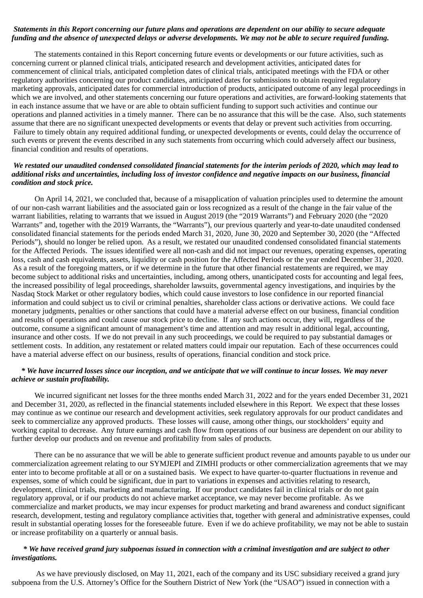### *Statements in this Report concerning our future plans and operations are dependent on our ability to secure adequate funding and the absence of unexpected delays or adverse developments. We may not be able to secure required funding.*

 The statements contained in this Report concerning future events or developments or our future activities, such as concerning current or planned clinical trials, anticipated research and development activities, anticipated dates for commencement of clinical trials, anticipated completion dates of clinical trials, anticipated meetings with the FDA or other regulatory authorities concerning our product candidates, anticipated dates for submissions to obtain required regulatory marketing approvals, anticipated dates for commercial introduction of products, anticipated outcome of any legal proceedings in which we are involved, and other statements concerning our future operations and activities, are forward-looking statements that in each instance assume that we have or are able to obtain sufficient funding to support such activities and continue our operations and planned activities in a timely manner. There can be no assurance that this will be the case. Also, such statements assume that there are no significant unexpected developments or events that delay or prevent such activities from occurring. Failure to timely obtain any required additional funding, or unexpected developments or events, could delay the occurrence of such events or prevent the events described in any such statements from occurring which could adversely affect our business, financial condition and results of operations.

### *We restated our unaudited condensed consolidated financial statements for the interim periods of 2020, which may lead to additional risks and uncertainties, including loss of investor confidence and negative impacts on our business, financial condition and stock price.*

 On April 14, 2021, we concluded that, because of a misapplication of valuation principles used to determine the amount of our non-cash warrant liabilities and the associated gain or loss recognized as a result of the change in the fair value of the warrant liabilities, relating to warrants that we issued in August 2019 (the "2019 Warrants") and February 2020 (the "2020 Warrants" and, together with the 2019 Warrants, the "Warrants"), our previous quarterly and year-to-date unaudited condensed consolidated financial statements for the periods ended March 31, 2020, June 30, 2020 and September 30, 2020 (the "Affected Periods"), should no longer be relied upon. As a result, we restated our unaudited condensed consolidated financial statements for the Affected Periods. The issues identified were all non-cash and did not impact our revenues, operating expenses, operating loss, cash and cash equivalents, assets, liquidity or cash position for the Affected Periods or the year ended December 31, 2020. As a result of the foregoing matters, or if we determine in the future that other financial restatements are required, we may become subject to additional risks and uncertainties, including, among others, unanticipated costs for accounting and legal fees, the increased possibility of legal proceedings, shareholder lawsuits, governmental agency investigations, and inquiries by the Nasdaq Stock Market or other regulatory bodies, which could cause investors to lose confidence in our reported financial information and could subject us to civil or criminal penalties, shareholder class actions or derivative actions. We could face monetary judgments, penalties or other sanctions that could have a material adverse effect on our business, financial condition and results of operations and could cause our stock price to decline. If any such actions occur, they will, regardless of the outcome, consume a significant amount of management's time and attention and may result in additional legal, accounting, insurance and other costs. If we do not prevail in any such proceedings, we could be required to pay substantial damages or settlement costs. In addition, any restatement or related matters could impair our reputation. Each of these occurrences could have a material adverse effect on our business, results of operations, financial condition and stock price.

## *\* We have incurred losses since our inception, and we anticipate that we will continue to incur losses. We may never achieve or sustain profitability.*

 We incurred significant net losses for the three months ended March 31, 2022 and for the years ended December 31, 2021 and December 31, 2020, as reflected in the financial statements included elsewhere in this Report. We expect that these losses may continue as we continue our research and development activities, seek regulatory approvals for our product candidates and seek to commercialize any approved products. These losses will cause, among other things, our stockholders' equity and working capital to decrease. Any future earnings and cash flow from operations of our business are dependent on our ability to further develop our products and on revenue and profitability from sales of products.

 There can be no assurance that we will be able to generate sufficient product revenue and amounts payable to us under our commercialization agreement relating to our SYMJEPI and ZIMHI products or other commercialization agreements that we may enter into to become profitable at all or on a sustained basis. We expect to have quarter-to-quarter fluctuations in revenue and expenses, some of which could be significant, due in part to variations in expenses and activities relating to research, development, clinical trials, marketing and manufacturing. If our product candidates fail in clinical trials or do not gain regulatory approval, or if our products do not achieve market acceptance, we may never become profitable. As we commercialize and market products, we may incur expenses for product marketing and brand awareness and conduct significant research, development, testing and regulatory compliance activities that, together with general and administrative expenses, could result in substantial operating losses for the foreseeable future. Even if we do achieve profitability, we may not be able to sustain or increase profitability on a quarterly or annual basis.

## *\* We have received grand jury subpoenas issued in connection with a criminal investigation and are subject to other investigations.*

 As we have previously disclosed, on May 11, 2021, each of the company and its USC subsidiary received a grand jury subpoena from the U.S. Attorney's Office for the Southern District of New York (the "USAO") issued in connection with a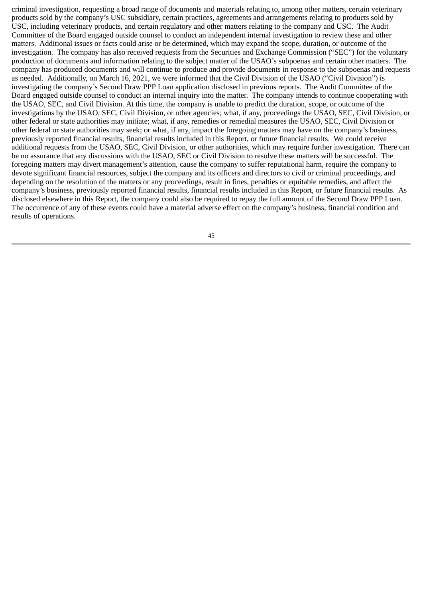criminal investigation, requesting a broad range of documents and materials relating to, among other matters, certain veterinary products sold by the company's USC subsidiary, certain practices, agreements and arrangements relating to products sold by USC, including veterinary products, and certain regulatory and other matters relating to the company and USC. The Audit Committee of the Board engaged outside counsel to conduct an independent internal investigation to review these and other matters. Additional issues or facts could arise or be determined, which may expand the scope, duration, or outcome of the investigation. The company has also received requests from the Securities and Exchange Commission ("SEC") for the voluntary production of documents and information relating to the subject matter of the USAO's subpoenas and certain other matters. The company has produced documents and will continue to produce and provide documents in response to the subpoenas and requests as needed. Additionally, on March 16, 2021, we were informed that the Civil Division of the USAO ("Civil Division") is investigating the company's Second Draw PPP Loan application disclosed in previous reports. The Audit Committee of the Board engaged outside counsel to conduct an internal inquiry into the matter. The company intends to continue cooperating with the USAO, SEC, and Civil Division. At this time, the company is unable to predict the duration, scope, or outcome of the investigations by the USAO, SEC, Civil Division, or other agencies; what, if any, proceedings the USAO, SEC, Civil Division, or other federal or state authorities may initiate; what, if any, remedies or remedial measures the USAO, SEC, Civil Division or other federal or state authorities may seek; or what, if any, impact the foregoing matters may have on the company's business, previously reported financial results, financial results included in this Report, or future financial results. We could receive additional requests from the USAO, SEC, Civil Division, or other authorities, which may require further investigation. There can be no assurance that any discussions with the USAO, SEC or Civil Division to resolve these matters will be successful. The foregoing matters may divert management's attention, cause the company to suffer reputational harm, require the company to devote significant financial resources, subject the company and its officers and directors to civil or criminal proceedings, and depending on the resolution of the matters or any proceedings, result in fines, penalties or equitable remedies, and affect the company's business, previously reported financial results, financial results included in this Report, or future financial results. As disclosed elsewhere in this Report, the company could also be required to repay the full amount of the Second Draw PPP Loan. The occurrence of any of these events could have a material adverse effect on the company's business, financial condition and results of operations.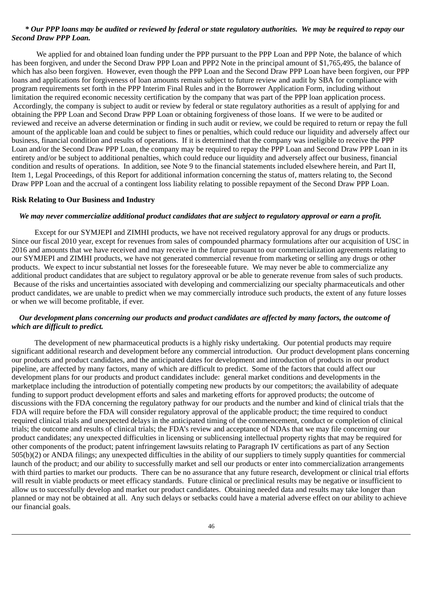### *\* Our PPP loans may be audited or reviewed by federal or state regulatory authorities. We may be required to repay our Second Draw PPP Loan.*

 We applied for and obtained loan funding under the PPP pursuant to the PPP Loan and PPP Note, the balance of which has been forgiven, and under the Second Draw PPP Loan and PPP2 Note in the principal amount of \$1,765,495, the balance of which has also been forgiven. However, even though the PPP Loan and the Second Draw PPP Loan have been forgiven, our PPP loans and applications for forgiveness of loan amounts remain subject to future review and audit by SBA for compliance with program requirements set forth in the PPP Interim Final Rules and in the Borrower Application Form, including without limitation the required economic necessity certification by the company that was part of the PPP loan application process. Accordingly, the company is subject to audit or review by federal or state regulatory authorities as a result of applying for and obtaining the PPP Loan and Second Draw PPP Loan or obtaining forgiveness of those loans. If we were to be audited or reviewed and receive an adverse determination or finding in such audit or review, we could be required to return or repay the full amount of the applicable loan and could be subject to fines or penalties, which could reduce our liquidity and adversely affect our business, financial condition and results of operations. If it is determined that the company was ineligible to receive the PPP Loan and/or the Second Draw PPP Loan, the company may be required to repay the PPP Loan and Second Draw PPP Loan in its entirety and/or be subject to additional penalties, which could reduce our liquidity and adversely affect our business, financial condition and results of operations. In addition, see Note 9 to the financial statements included elsewhere herein, and Part II, Item 1, Legal Proceedings, of this Report for additional information concerning the status of, matters relating to, the Second Draw PPP Loan and the accrual of a contingent loss liability relating to possible repayment of the Second Draw PPP Loan.

### **Risk Relating to Our Business and Industry**

### *We may never commercialize additional product candidates that are subject to regulatory approval or earn a profit.*

 Except for our SYMJEPI and ZIMHI products, we have not received regulatory approval for any drugs or products. Since our fiscal 2010 year, except for revenues from sales of compounded pharmacy formulations after our acquisition of USC in 2016 and amounts that we have received and may receive in the future pursuant to our commercialization agreements relating to our SYMJEPI and ZIMHI products, we have not generated commercial revenue from marketing or selling any drugs or other products. We expect to incur substantial net losses for the foreseeable future. We may never be able to commercialize any additional product candidates that are subject to regulatory approval or be able to generate revenue from sales of such products. Because of the risks and uncertainties associated with developing and commercializing our specialty pharmaceuticals and other product candidates, we are unable to predict when we may commercially introduce such products, the extent of any future losses or when we will become profitable, if ever.

## *Our development plans concerning our products and product candidates are affected by many factors, the outcome of which are difficult to predict.*

 The development of new pharmaceutical products is a highly risky undertaking. Our potential products may require significant additional research and development before any commercial introduction. Our product development plans concerning our products and product candidates, and the anticipated dates for development and introduction of products in our product pipeline, are affected by many factors, many of which are difficult to predict. Some of the factors that could affect our development plans for our products and product candidates include: general market conditions and developments in the marketplace including the introduction of potentially competing new products by our competitors; the availability of adequate funding to support product development efforts and sales and marketing efforts for approved products; the outcome of discussions with the FDA concerning the regulatory pathway for our products and the number and kind of clinical trials that the FDA will require before the FDA will consider regulatory approval of the applicable product; the time required to conduct required clinical trials and unexpected delays in the anticipated timing of the commencement, conduct or completion of clinical trials; the outcome and results of clinical trials; the FDA's review and acceptance of NDAs that we may file concerning our product candidates; any unexpected difficulties in licensing or sublicensing intellectual property rights that may be required for other components of the product; patent infringement lawsuits relating to Paragraph IV certifications as part of any Section 505(b)(2) or ANDA filings; any unexpected difficulties in the ability of our suppliers to timely supply quantities for commercial launch of the product; and our ability to successfully market and sell our products or enter into commercialization arrangements with third parties to market our products. There can be no assurance that any future research, development or clinical trial efforts will result in viable products or meet efficacy standards. Future clinical or preclinical results may be negative or insufficient to allow us to successfully develop and market our product candidates. Obtaining needed data and results may take longer than planned or may not be obtained at all. Any such delays or setbacks could have a material adverse effect on our ability to achieve our financial goals.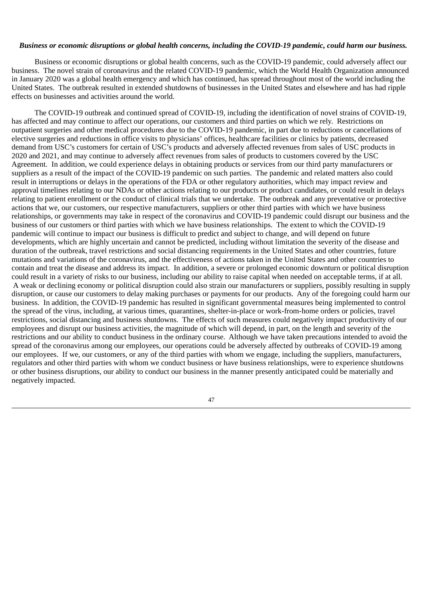#### *Business or economic disruptions or global health concerns, including the COVID-19 pandemic, could harm our business.*

 Business or economic disruptions or global health concerns, such as the COVID-19 pandemic, could adversely affect our business. The novel strain of coronavirus and the related COVID-19 pandemic, which the World Health Organization announced in January 2020 was a global health emergency and which has continued, has spread throughout most of the world including the United States. The outbreak resulted in extended shutdowns of businesses in the United States and elsewhere and has had ripple effects on businesses and activities around the world.

 The COVID-19 outbreak and continued spread of COVID-19, including the identification of novel strains of COVID-19, has affected and may continue to affect our operations, our customers and third parties on which we rely. Restrictions on outpatient surgeries and other medical procedures due to the COVID-19 pandemic, in part due to reductions or cancellations of elective surgeries and reductions in office visits to physicians' offices, healthcare facilities or clinics by patients, decreased demand from USC's customers for certain of USC's products and adversely affected revenues from sales of USC products in 2020 and 2021, and may continue to adversely affect revenues from sales of products to customers covered by the USC Agreement. In addition, we could experience delays in obtaining products or services from our third party manufacturers or suppliers as a result of the impact of the COVID-19 pandemic on such parties. The pandemic and related matters also could result in interruptions or delays in the operations of the FDA or other regulatory authorities, which may impact review and approval timelines relating to our NDAs or other actions relating to our products or product candidates, or could result in delays relating to patient enrollment or the conduct of clinical trials that we undertake. The outbreak and any preventative or protective actions that we, our customers, our respective manufacturers, suppliers or other third parties with which we have business relationships, or governments may take in respect of the coronavirus and COVID-19 pandemic could disrupt our business and the business of our customers or third parties with which we have business relationships. The extent to which the COVID-19 pandemic will continue to impact our business is difficult to predict and subject to change, and will depend on future developments, which are highly uncertain and cannot be predicted, including without limitation the severity of the disease and duration of the outbreak, travel restrictions and social distancing requirements in the United States and other countries, future mutations and variations of the coronavirus, and the effectiveness of actions taken in the United States and other countries to contain and treat the disease and address its impact. In addition, a severe or prolonged economic downturn or political disruption could result in a variety of risks to our business, including our ability to raise capital when needed on acceptable terms, if at all. A weak or declining economy or political disruption could also strain our manufacturers or suppliers, possibly resulting in supply disruption, or cause our customers to delay making purchases or payments for our products. Any of the foregoing could harm our business. In addition, the COVID-19 pandemic has resulted in significant governmental measures being implemented to control the spread of the virus, including, at various times, quarantines, shelter-in-place or work-from-home orders or policies, travel restrictions, social distancing and business shutdowns. The effects of such measures could negatively impact productivity of our employees and disrupt our business activities, the magnitude of which will depend, in part, on the length and severity of the restrictions and our ability to conduct business in the ordinary course. Although we have taken precautions intended to avoid the spread of the coronavirus among our employees, our operations could be adversely affected by outbreaks of COVID-19 among our employees. If we, our customers, or any of the third parties with whom we engage, including the suppliers, manufacturers, regulators and other third parties with whom we conduct business or have business relationships, were to experience shutdowns or other business disruptions, our ability to conduct our business in the manner presently anticipated could be materially and negatively impacted.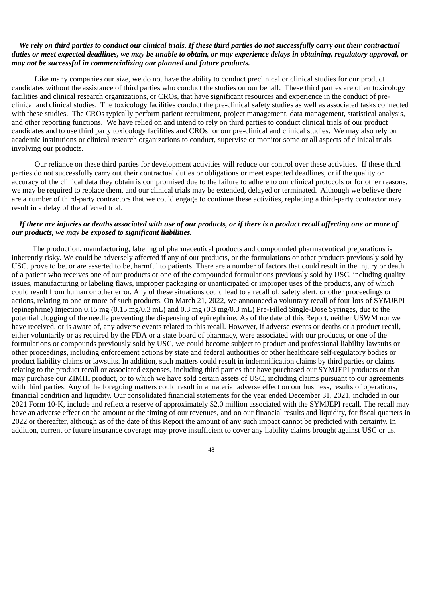### *We rely on third parties to conduct our clinical trials. If these third parties do not successfully carry out their contractual duties or meet expected deadlines, we may be unable to obtain, or may experience delays in obtaining, regulatory approval, or may not be successful in commercializing our planned and future products.*

 Like many companies our size, we do not have the ability to conduct preclinical or clinical studies for our product candidates without the assistance of third parties who conduct the studies on our behalf. These third parties are often toxicology facilities and clinical research organizations, or CROs, that have significant resources and experience in the conduct of preclinical and clinical studies. The toxicology facilities conduct the pre-clinical safety studies as well as associated tasks connected with these studies. The CROs typically perform patient recruitment, project management, data management, statistical analysis, and other reporting functions. We have relied on and intend to rely on third parties to conduct clinical trials of our product candidates and to use third party toxicology facilities and CROs for our pre-clinical and clinical studies. We may also rely on academic institutions or clinical research organizations to conduct, supervise or monitor some or all aspects of clinical trials involving our products.

 Our reliance on these third parties for development activities will reduce our control over these activities. If these third parties do not successfully carry out their contractual duties or obligations or meet expected deadlines, or if the quality or accuracy of the clinical data they obtain is compromised due to the failure to adhere to our clinical protocols or for other reasons, we may be required to replace them, and our clinical trials may be extended, delayed or terminated. Although we believe there are a number of third-party contractors that we could engage to continue these activities, replacing a third-party contractor may result in a delay of the affected trial.

## *If there are injuries or deaths associated with use of our products, or if there is a product recall affecting one or more of our products, we may be exposed to significant liabilities.*

 The production, manufacturing, labeling of pharmaceutical products and compounded pharmaceutical preparations is inherently risky. We could be adversely affected if any of our products, or the formulations or other products previously sold by USC, prove to be, or are asserted to be, harmful to patients. There are a number of factors that could result in the injury or death of a patient who receives one of our products or one of the compounded formulations previously sold by USC, including quality issues, manufacturing or labeling flaws, improper packaging or unanticipated or improper uses of the products, any of which could result from human or other error. Any of these situations could lead to a recall of, safety alert, or other proceedings or actions, relating to one or more of such products. On March 21, 2022, we announced a voluntary recall of four lots of SYMJEPI (epinephrine) Injection 0.15 mg (0.15 mg/0.3 mL) and 0.3 mg (0.3 mg/0.3 mL) Pre-Filled Single-Dose Syringes, due to the potential clogging of the needle preventing the dispensing of epinephrine. As of the date of this Report, neither USWM nor we have received, or is aware of, any adverse events related to this recall. However, if adverse events or deaths or a product recall, either voluntarily or as required by the FDA or a state board of pharmacy, were associated with our products, or one of the formulations or compounds previously sold by USC, we could become subject to product and professional liability lawsuits or other proceedings, including enforcement actions by state and federal authorities or other healthcare self-regulatory bodies or product liability claims or lawsuits. In addition, such matters could result in indemnification claims by third parties or claims relating to the product recall or associated expenses, including third parties that have purchased our SYMJEPI products or that may purchase our ZIMHI product, or to which we have sold certain assets of USC, including claims pursuant to our agreements with third parties. Any of the foregoing matters could result in a material adverse effect on our business, results of operations, financial condition and liquidity. Our consolidated financial statements for the year ended December 31, 2021, included in our 2021 Form 10-K, include and reflect a reserve of approximately \$2.0 million associated with the SYMJEPI recall. The recall may have an adverse effect on the amount or the timing of our revenues, and on our financial results and liquidity, for fiscal quarters in 2022 or thereafter, although as of the date of this Report the amount of any such impact cannot be predicted with certainty. In addition, current or future insurance coverage may prove insufficient to cover any liability claims brought against USC or us.

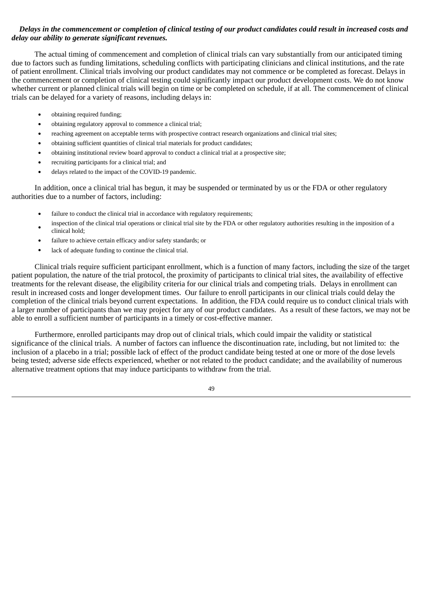## *Delays in the commencement or completion of clinical testing of our product candidates could result in increased costs and delay our ability to generate significant revenues.*

 The actual timing of commencement and completion of clinical trials can vary substantially from our anticipated timing due to factors such as funding limitations, scheduling conflicts with participating clinicians and clinical institutions, and the rate of patient enrollment. Clinical trials involving our product candidates may not commence or be completed as forecast. Delays in the commencement or completion of clinical testing could significantly impact our product development costs. We do not know whether current or planned clinical trials will begin on time or be completed on schedule, if at all. The commencement of clinical trials can be delayed for a variety of reasons, including delays in:

- obtaining required funding;
- obtaining regulatory approval to commence a clinical trial;
- reaching agreement on acceptable terms with prospective contract research organizations and clinical trial sites;
- obtaining sufficient quantities of clinical trial materials for product candidates;
- obtaining institutional review board approval to conduct a clinical trial at a prospective site;
- recruiting participants for a clinical trial; and
- delays related to the impact of the COVID-19 pandemic.

 In addition, once a clinical trial has begun, it may be suspended or terminated by us or the FDA or other regulatory authorities due to a number of factors, including:

- failure to conduct the clinical trial in accordance with regulatory requirements;
- inspection of the clinical trial operations or clinical trial site by the FDA or other regulatory authorities resulting in the imposition of a clinical hold;
- failure to achieve certain efficacy and/or safety standards; or
- lack of adequate funding to continue the clinical trial.

 Clinical trials require sufficient participant enrollment, which is a function of many factors, including the size of the target patient population, the nature of the trial protocol, the proximity of participants to clinical trial sites, the availability of effective treatments for the relevant disease, the eligibility criteria for our clinical trials and competing trials. Delays in enrollment can result in increased costs and longer development times. Our failure to enroll participants in our clinical trials could delay the completion of the clinical trials beyond current expectations. In addition, the FDA could require us to conduct clinical trials with a larger number of participants than we may project for any of our product candidates. As a result of these factors, we may not be able to enroll a sufficient number of participants in a timely or cost-effective manner.

 Furthermore, enrolled participants may drop out of clinical trials, which could impair the validity or statistical significance of the clinical trials. A number of factors can influence the discontinuation rate, including, but not limited to: the inclusion of a placebo in a trial; possible lack of effect of the product candidate being tested at one or more of the dose levels being tested; adverse side effects experienced, whether or not related to the product candidate; and the availability of numerous alternative treatment options that may induce participants to withdraw from the trial.

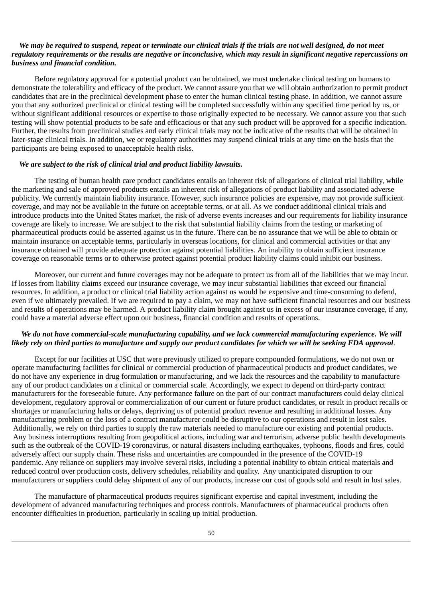### *We may be required to suspend, repeat or terminate our clinical trials if the trials are not well designed, do not meet regulatory requirements or the results are negative or inconclusive, which may result in significant negative repercussions on business and financial condition.*

 Before regulatory approval for a potential product can be obtained, we must undertake clinical testing on humans to demonstrate the tolerability and efficacy of the product. We cannot assure you that we will obtain authorization to permit product candidates that are in the preclinical development phase to enter the human clinical testing phase. In addition, we cannot assure you that any authorized preclinical or clinical testing will be completed successfully within any specified time period by us, or without significant additional resources or expertise to those originally expected to be necessary. We cannot assure you that such testing will show potential products to be safe and efficacious or that any such product will be approved for a specific indication. Further, the results from preclinical studies and early clinical trials may not be indicative of the results that will be obtained in later-stage clinical trials. In addition, we or regulatory authorities may suspend clinical trials at any time on the basis that the participants are being exposed to unacceptable health risks.

#### *We are subject to the risk of clinical trial and product liability lawsuits.*

 The testing of human health care product candidates entails an inherent risk of allegations of clinical trial liability, while the marketing and sale of approved products entails an inherent risk of allegations of product liability and associated adverse publicity. We currently maintain liability insurance. However, such insurance policies are expensive, may not provide sufficient coverage, and may not be available in the future on acceptable terms, or at all. As we conduct additional clinical trials and introduce products into the United States market, the risk of adverse events increases and our requirements for liability insurance coverage are likely to increase. We are subject to the risk that substantial liability claims from the testing or marketing of pharmaceutical products could be asserted against us in the future. There can be no assurance that we will be able to obtain or maintain insurance on acceptable terms, particularly in overseas locations, for clinical and commercial activities or that any insurance obtained will provide adequate protection against potential liabilities. An inability to obtain sufficient insurance coverage on reasonable terms or to otherwise protect against potential product liability claims could inhibit our business.

 Moreover, our current and future coverages may not be adequate to protect us from all of the liabilities that we may incur. If losses from liability claims exceed our insurance coverage, we may incur substantial liabilities that exceed our financial resources. In addition, a product or clinical trial liability action against us would be expensive and time-consuming to defend, even if we ultimately prevailed. If we are required to pay a claim, we may not have sufficient financial resources and our business and results of operations may be harmed. A product liability claim brought against us in excess of our insurance coverage, if any, could have a material adverse effect upon our business, financial condition and results of operations.

## We do not have commercial-scale manufacturing capability, and we lack commercial manufacturing experience. We will *likely rely on third parties to manufacture and supply our product candidates for which we will be seeking FDA approval*.

 Except for our facilities at USC that were previously utilized to prepare compounded formulations, we do not own or operate manufacturing facilities for clinical or commercial production of pharmaceutical products and product candidates, we do not have any experience in drug formulation or manufacturing, and we lack the resources and the capability to manufacture any of our product candidates on a clinical or commercial scale. Accordingly, we expect to depend on third-party contract manufacturers for the foreseeable future. Any performance failure on the part of our contract manufacturers could delay clinical development, regulatory approval or commercialization of our current or future product candidates, or result in product recalls or shortages or manufacturing halts or delays, depriving us of potential product revenue and resulting in additional losses. Any manufacturing problem or the loss of a contract manufacturer could be disruptive to our operations and result in lost sales. Additionally, we rely on third parties to supply the raw materials needed to manufacture our existing and potential products. Any business interruptions resulting from geopolitical actions, including war and terrorism, adverse public health developments such as the outbreak of the COVID-19 coronavirus, or natural disasters including earthquakes, typhoons, floods and fires, could adversely affect our supply chain. These risks and uncertainties are compounded in the presence of the COVID-19 pandemic. Any reliance on suppliers may involve several risks, including a potential inability to obtain critical materials and reduced control over production costs, delivery schedules, reliability and quality. Any unanticipated disruption to our manufacturers or suppliers could delay shipment of any of our products, increase our cost of goods sold and result in lost sales.

 The manufacture of pharmaceutical products requires significant expertise and capital investment, including the development of advanced manufacturing techniques and process controls. Manufacturers of pharmaceutical products often encounter difficulties in production, particularly in scaling up initial production.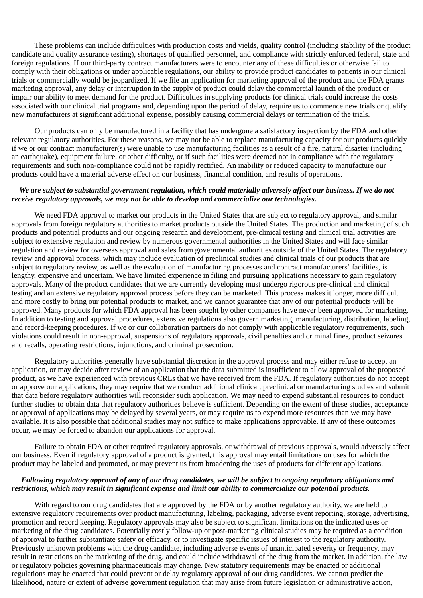These problems can include difficulties with production costs and yields, quality control (including stability of the product candidate and quality assurance testing), shortages of qualified personnel, and compliance with strictly enforced federal, state and foreign regulations. If our third-party contract manufacturers were to encounter any of these difficulties or otherwise fail to comply with their obligations or under applicable regulations, our ability to provide product candidates to patients in our clinical trials or commercially would be jeopardized. If we file an application for marketing approval of the product and the FDA grants marketing approval, any delay or interruption in the supply of product could delay the commercial launch of the product or impair our ability to meet demand for the product. Difficulties in supplying products for clinical trials could increase the costs associated with our clinical trial programs and, depending upon the period of delay, require us to commence new trials or qualify new manufacturers at significant additional expense, possibly causing commercial delays or termination of the trials.

 Our products can only be manufactured in a facility that has undergone a satisfactory inspection by the FDA and other relevant regulatory authorities. For these reasons, we may not be able to replace manufacturing capacity for our products quickly if we or our contract manufacturer(s) were unable to use manufacturing facilities as a result of a fire, natural disaster (including an earthquake), equipment failure, or other difficulty, or if such facilities were deemed not in compliance with the regulatory requirements and such non-compliance could not be rapidly rectified. An inability or reduced capacity to manufacture our products could have a material adverse effect on our business, financial condition, and results of operations.

## *We are subject to substantial government regulation, which could materially adversely affect our business. If we do not receive regulatory approvals, we may not be able to develop and commercialize our technologies.*

We need FDA approval to market our products in the United States that are subject to regulatory approval, and similar approvals from foreign regulatory authorities to market products outside the United States. The production and marketing of such products and potential products and our ongoing research and development, pre-clinical testing and clinical trial activities are subject to extensive regulation and review by numerous governmental authorities in the United States and will face similar regulation and review for overseas approval and sales from governmental authorities outside of the United States. The regulatory review and approval process, which may include evaluation of preclinical studies and clinical trials of our products that are subject to regulatory review, as well as the evaluation of manufacturing processes and contract manufacturers' facilities, is lengthy, expensive and uncertain. We have limited experience in filing and pursuing applications necessary to gain regulatory approvals. Many of the product candidates that we are currently developing must undergo rigorous pre-clinical and clinical testing and an extensive regulatory approval process before they can be marketed. This process makes it longer, more difficult and more costly to bring our potential products to market, and we cannot guarantee that any of our potential products will be approved. Many products for which FDA approval has been sought by other companies have never been approved for marketing. In addition to testing and approval procedures, extensive regulations also govern marketing, manufacturing, distribution, labeling, and record-keeping procedures. If we or our collaboration partners do not comply with applicable regulatory requirements, such violations could result in non-approval, suspensions of regulatory approvals, civil penalties and criminal fines, product seizures and recalls, operating restrictions, injunctions, and criminal prosecution.

 Regulatory authorities generally have substantial discretion in the approval process and may either refuse to accept an application, or may decide after review of an application that the data submitted is insufficient to allow approval of the proposed product, as we have experienced with previous CRLs that we have received from the FDA. If regulatory authorities do not accept or approve our applications, they may require that we conduct additional clinical, preclinical or manufacturing studies and submit that data before regulatory authorities will reconsider such application. We may need to expend substantial resources to conduct further studies to obtain data that regulatory authorities believe is sufficient. Depending on the extent of these studies, acceptance or approval of applications may be delayed by several years, or may require us to expend more resources than we may have available. It is also possible that additional studies may not suffice to make applications approvable. If any of these outcomes occur, we may be forced to abandon our applications for approval.

 Failure to obtain FDA or other required regulatory approvals, or withdrawal of previous approvals, would adversely affect our business. Even if regulatory approval of a product is granted, this approval may entail limitations on uses for which the product may be labeled and promoted, or may prevent us from broadening the uses of products for different applications.

## *Following regulatory approval of any of our drug candidates, we will be subject to ongoing regulatory obligations and restrictions, which may result in significant expense and limit our ability to commercialize our potential products.*

 With regard to our drug candidates that are approved by the FDA or by another regulatory authority, we are held to extensive regulatory requirements over product manufacturing, labeling, packaging, adverse event reporting, storage, advertising, promotion and record keeping. Regulatory approvals may also be subject to significant limitations on the indicated uses or marketing of the drug candidates. Potentially costly follow-up or post-marketing clinical studies may be required as a condition of approval to further substantiate safety or efficacy, or to investigate specific issues of interest to the regulatory authority. Previously unknown problems with the drug candidate, including adverse events of unanticipated severity or frequency, may result in restrictions on the marketing of the drug, and could include withdrawal of the drug from the market. In addition, the law or regulatory policies governing pharmaceuticals may change. New statutory requirements may be enacted or additional regulations may be enacted that could prevent or delay regulatory approval of our drug candidates. We cannot predict the likelihood, nature or extent of adverse government regulation that may arise from future legislation or administrative action,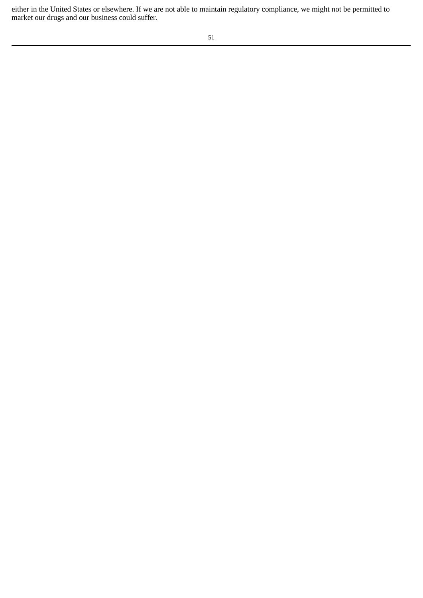either in the United States or elsewhere. If we are not able to maintain regulatory compliance, we might not be permitted to market our drugs and our business could suffer.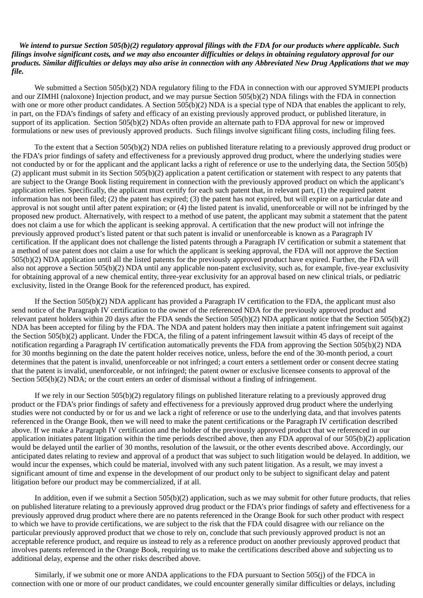### *We intend to pursue Section 505(b)(2) regulatory approval filings with the FDA for our products where applicable. Such filings involve significant costs, and we may also encounter difficulties or delays in obtaining regulatory approval for our products. Similar difficulties or delays may also arise in connection with any Abbreviated New Drug Applications that we may file.*

We submitted a Section 505(b)(2) NDA regulatory filing to the FDA in connection with our approved SYMJEPI products and our ZIMHI (naloxone) Injection product, and we may pursue Section 505(b)(2) NDA filings with the FDA in connection with one or more other product candidates. A Section 505(b)(2) NDA is a special type of NDA that enables the applicant to rely, in part, on the FDA's findings of safety and efficacy of an existing previously approved product, or published literature, in support of its application. Section 505(b)(2) NDAs often provide an alternate path to FDA approval for new or improved formulations or new uses of previously approved products. Such filings involve significant filing costs, including filing fees.

 To the extent that a Section 505(b)(2) NDA relies on published literature relating to a previously approved drug product or the FDA's prior findings of safety and effectiveness for a previously approved drug product, where the underlying studies were not conducted by or for the applicant and the applicant lacks a right of reference or use to the underlying data, the Section 505(b) (2) applicant must submit in its Section 505(b)(2) application a patent certification or statement with respect to any patents that are subject to the Orange Book listing requirement in connection with the previously approved product on which the applicant's application relies. Specifically, the applicant must certify for each such patent that, in relevant part, (1) the required patent information has not been filed; (2) the patent has expired; (3) the patent has not expired, but will expire on a particular date and approval is not sought until after patent expiration; or (4) the listed patent is invalid, unenforceable or will not be infringed by the proposed new product. Alternatively, with respect to a method of use patent, the applicant may submit a statement that the patent does not claim a use for which the applicant is seeking approval. A certification that the new product will not infringe the previously approved product's listed patent or that such patent is invalid or unenforceable is known as a Paragraph IV certification. If the applicant does not challenge the listed patents through a Paragraph IV certification or submit a statement that a method of use patent does not claim a use for which the applicant is seeking approval, the FDA will not approve the Section 505(b)(2) NDA application until all the listed patents for the previously approved product have expired. Further, the FDA will also not approve a Section 505(b)(2) NDA until any applicable non-patent exclusivity, such as, for example, five-year exclusivity for obtaining approval of a new chemical entity, three-year exclusivity for an approval based on new clinical trials, or pediatric exclusivity, listed in the Orange Book for the referenced product, has expired.

 If the Section 505(b)(2) NDA applicant has provided a Paragraph IV certification to the FDA, the applicant must also send notice of the Paragraph IV certification to the owner of the referenced NDA for the previously approved product and relevant patent holders within 20 days after the FDA sends the Section 505(b)(2) NDA applicant notice that the Section 505(b)(2) NDA has been accepted for filing by the FDA. The NDA and patent holders may then initiate a patent infringement suit against the Section 505(b)(2) applicant. Under the FDCA, the filing of a patent infringement lawsuit within 45 days of receipt of the notification regarding a Paragraph IV certification automatically prevents the FDA from approving the Section 505(b)(2) NDA for 30 months beginning on the date the patent holder receives notice, unless, before the end of the 30-month period, a court determines that the patent is invalid, unenforceable or not infringed; a court enters a settlement order or consent decree stating that the patent is invalid, unenforceable, or not infringed; the patent owner or exclusive licensee consents to approval of the Section 505(b)(2) NDA; or the court enters an order of dismissal without a finding of infringement.

 If we rely in our Section 505(b)(2) regulatory filings on published literature relating to a previously approved drug product or the FDA's prior findings of safety and effectiveness for a previously approved drug product where the underlying studies were not conducted by or for us and we lack a right of reference or use to the underlying data, and that involves patents referenced in the Orange Book, then we will need to make the patent certifications or the Paragraph IV certification described above. If we make a Paragraph IV certification and the holder of the previously approved product that we referenced in our application initiates patent litigation within the time periods described above, then any FDA approval of our 505(b)(2) application would be delayed until the earlier of 30 months, resolution of the lawsuit, or the other events described above. Accordingly, our anticipated dates relating to review and approval of a product that was subject to such litigation would be delayed. In addition, we would incur the expenses, which could be material, involved with any such patent litigation. As a result, we may invest a significant amount of time and expense in the development of our product only to be subject to significant delay and patent litigation before our product may be commercialized, if at all.

 In addition, even if we submit a Section 505(b)(2) application, such as we may submit for other future products, that relies on published literature relating to a previously approved drug product or the FDA's prior findings of safety and effectiveness for a previously approved drug product where there are no patents referenced in the Orange Book for such other product with respect to which we have to provide certifications, we are subject to the risk that the FDA could disagree with our reliance on the particular previously approved product that we chose to rely on, conclude that such previously approved product is not an acceptable reference product, and require us instead to rely as a reference product on another previously approved product that involves patents referenced in the Orange Book, requiring us to make the certifications described above and subjecting us to additional delay, expense and the other risks described above.

 Similarly, if we submit one or more ANDA applications to the FDA pursuant to Section 505(j) of the FDCA in connection with one or more of our product candidates, we could encounter generally similar difficulties or delays, including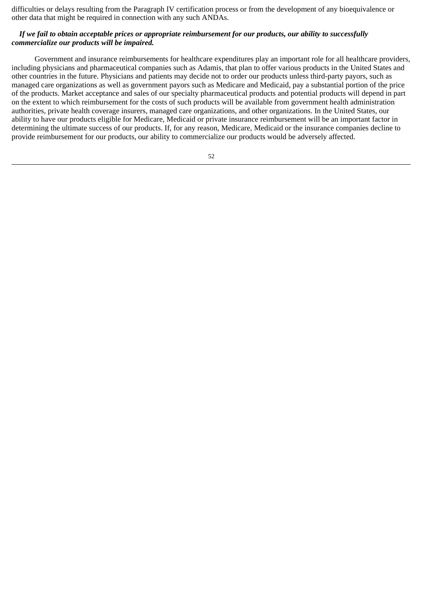difficulties or delays resulting from the Paragraph IV certification process or from the development of any bioequivalence or other data that might be required in connection with any such ANDAs.

### *If we fail to obtain acceptable prices or appropriate reimbursement for our products, our ability to successfully commercialize our products will be impaired.*

 Government and insurance reimbursements for healthcare expenditures play an important role for all healthcare providers, including physicians and pharmaceutical companies such as Adamis, that plan to offer various products in the United States and other countries in the future. Physicians and patients may decide not to order our products unless third-party payors, such as managed care organizations as well as government payors such as Medicare and Medicaid, pay a substantial portion of the price of the products. Market acceptance and sales of our specialty pharmaceutical products and potential products will depend in part on the extent to which reimbursement for the costs of such products will be available from government health administration authorities, private health coverage insurers, managed care organizations, and other organizations. In the United States, our ability to have our products eligible for Medicare, Medicaid or private insurance reimbursement will be an important factor in determining the ultimate success of our products. If, for any reason, Medicare, Medicaid or the insurance companies decline to provide reimbursement for our products, our ability to commercialize our products would be adversely affected.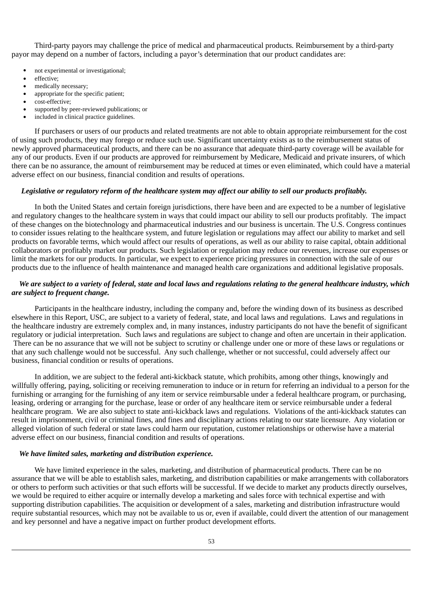Third-party payors may challenge the price of medical and pharmaceutical products. Reimbursement by a third-party payor may depend on a number of factors, including a payor's determination that our product candidates are:

- not experimental or investigational:
- effective;
- medically necessary:
- appropriate for the specific patient:
- cost-effective;
- supported by peer-reviewed publications; or
- included in clinical practice guidelines.

 If purchasers or users of our products and related treatments are not able to obtain appropriate reimbursement for the cost of using such products, they may forego or reduce such use. Significant uncertainty exists as to the reimbursement status of newly approved pharmaceutical products, and there can be no assurance that adequate third-party coverage will be available for any of our products. Even if our products are approved for reimbursement by Medicare, Medicaid and private insurers, of which there can be no assurance, the amount of reimbursement may be reduced at times or even eliminated, which could have a material adverse effect on our business, financial condition and results of operations.

## *Legislative or regulatory reform of the healthcare system may affect our ability to sell our products profitably.*

 In both the United States and certain foreign jurisdictions, there have been and are expected to be a number of legislative and regulatory changes to the healthcare system in ways that could impact our ability to sell our products profitably. The impact of these changes on the biotechnology and pharmaceutical industries and our business is uncertain. The U.S. Congress continues to consider issues relating to the healthcare system, and future legislation or regulations may affect our ability to market and sell products on favorable terms, which would affect our results of operations, as well as our ability to raise capital, obtain additional collaborators or profitably market our products. Such legislation or regulation may reduce our revenues, increase our expenses or limit the markets for our products. In particular, we expect to experience pricing pressures in connection with the sale of our products due to the influence of health maintenance and managed health care organizations and additional legislative proposals.

### *We are subject to a variety of federal, state and local laws and regulations relating to the general healthcare industry, which are subject to frequent change.*

 Participants in the healthcare industry, including the company and, before the winding down of its business as described elsewhere in this Report, USC, are subject to a variety of federal, state, and local laws and regulations. Laws and regulations in the healthcare industry are extremely complex and, in many instances, industry participants do not have the benefit of significant regulatory or judicial interpretation. Such laws and regulations are subject to change and often are uncertain in their application. There can be no assurance that we will not be subject to scrutiny or challenge under one or more of these laws or regulations or that any such challenge would not be successful. Any such challenge, whether or not successful, could adversely affect our business, financial condition or results of operations.

 In addition, we are subject to the federal anti-kickback statute, which prohibits, among other things, knowingly and willfully offering, paying, soliciting or receiving remuneration to induce or in return for referring an individual to a person for the furnishing or arranging for the furnishing of any item or service reimbursable under a federal healthcare program, or purchasing, leasing, ordering or arranging for the purchase, lease or order of any healthcare item or service reimbursable under a federal healthcare program. We are also subject to state anti-kickback laws and regulations. Violations of the anti-kickback statutes can result in imprisonment, civil or criminal fines, and fines and disciplinary actions relating to our state licensure. Any violation or alleged violation of such federal or state laws could harm our reputation, customer relationships or otherwise have a material adverse effect on our business, financial condition and results of operations.

### *We have limited sales, marketing and distribution experience.*

 We have limited experience in the sales, marketing, and distribution of pharmaceutical products. There can be no assurance that we will be able to establish sales, marketing, and distribution capabilities or make arrangements with collaborators or others to perform such activities or that such efforts will be successful. If we decide to market any products directly ourselves, we would be required to either acquire or internally develop a marketing and sales force with technical expertise and with supporting distribution capabilities. The acquisition or development of a sales, marketing and distribution infrastructure would require substantial resources, which may not be available to us or, even if available, could divert the attention of our management and key personnel and have a negative impact on further product development efforts.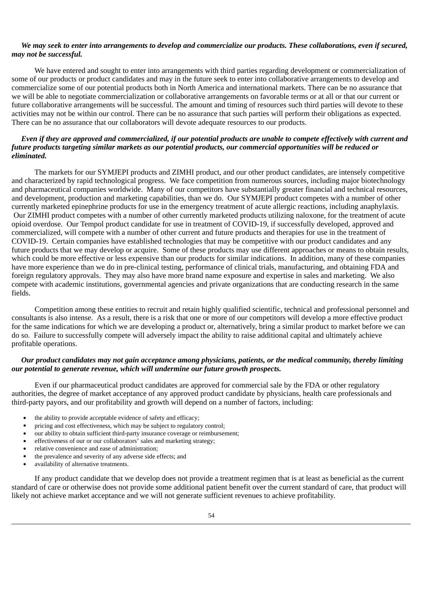### *We may seek to enter into arrangements to develop and commercialize our products. These collaborations, even if secured, may not be successful.*

 We have entered and sought to enter into arrangements with third parties regarding development or commercialization of some of our products or product candidates and may in the future seek to enter into collaborative arrangements to develop and commercialize some of our potential products both in North America and international markets. There can be no assurance that we will be able to negotiate commercialization or collaborative arrangements on favorable terms or at all or that our current or future collaborative arrangements will be successful. The amount and timing of resources such third parties will devote to these activities may not be within our control. There can be no assurance that such parties will perform their obligations as expected. There can be no assurance that our collaborators will devote adequate resources to our products.

### *Even if they are approved and commercialized, if our potential products are unable to compete effectively with current and future products targeting similar markets as our potential products, our commercial opportunities will be reduced or eliminated.*

 The markets for our SYMJEPI products and ZIMHI product, and our other product candidates, are intensely competitive and characterized by rapid technological progress. We face competition from numerous sources, including major biotechnology and pharmaceutical companies worldwide. Many of our competitors have substantially greater financial and technical resources, and development, production and marketing capabilities, than we do. Our SYMJEPI product competes with a number of other currently marketed epinephrine products for use in the emergency treatment of acute allergic reactions, including anaphylaxis. Our ZIMHI product competes with a number of other currently marketed products utilizing naloxone, for the treatment of acute opioid overdose. Our Tempol product candidate for use in treatment of COVID-19, if successfully developed, approved and commercialized, will compete with a number of other current and future products and therapies for use in the treatment of COVID-19. Certain companies have established technologies that may be competitive with our product candidates and any future products that we may develop or acquire. Some of these products may use different approaches or means to obtain results, which could be more effective or less expensive than our products for similar indications. In addition, many of these companies have more experience than we do in pre-clinical testing, performance of clinical trials, manufacturing, and obtaining FDA and foreign regulatory approvals. They may also have more brand name exposure and expertise in sales and marketing. We also compete with academic institutions, governmental agencies and private organizations that are conducting research in the same fields.

 Competition among these entities to recruit and retain highly qualified scientific, technical and professional personnel and consultants is also intense. As a result, there is a risk that one or more of our competitors will develop a more effective product for the same indications for which we are developing a product or, alternatively, bring a similar product to market before we can do so. Failure to successfully compete will adversely impact the ability to raise additional capital and ultimately achieve profitable operations.

### *Our product candidates may not gain acceptance among physicians, patients, or the medical community, thereby limiting our potential to generate revenue, which will undermine our future growth prospects.*

 Even if our pharmaceutical product candidates are approved for commercial sale by the FDA or other regulatory authorities, the degree of market acceptance of any approved product candidate by physicians, health care professionals and third-party payors, and our profitability and growth will depend on a number of factors, including:

- the ability to provide acceptable evidence of safety and efficacy;
- pricing and cost effectiveness, which may be subject to regulatory control;
- our ability to obtain sufficient third-party insurance coverage or reimbursement;
- effectiveness of our or our collaborators' sales and marketing strategy;
- relative convenience and ease of administration;
- the prevalence and severity of any adverse side effects; and
- availability of alternative treatments.

 If any product candidate that we develop does not provide a treatment regimen that is at least as beneficial as the current standard of care or otherwise does not provide some additional patient benefit over the current standard of care, that product will likely not achieve market acceptance and we will not generate sufficient revenues to achieve profitability.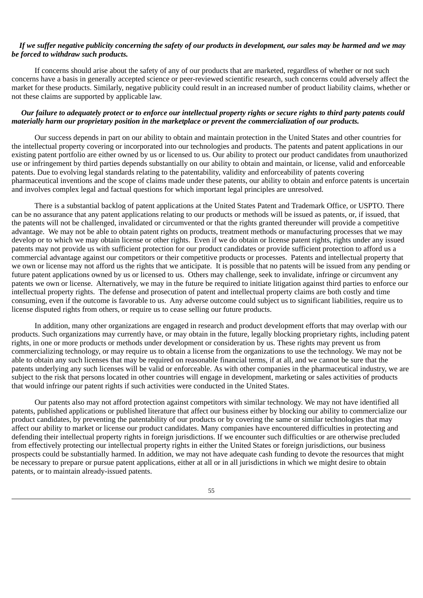### *If we suffer negative publicity concerning the safety of our products in development, our sales may be harmed and we may be forced to withdraw such products.*

 If concerns should arise about the safety of any of our products that are marketed, regardless of whether or not such concerns have a basis in generally accepted science or peer-reviewed scientific research, such concerns could adversely affect the market for these products. Similarly, negative publicity could result in an increased number of product liability claims, whether or not these claims are supported by applicable law.

## *Our failure to adequately protect or to enforce our intellectual property rights or secure rights to third party patents could materially harm our proprietary position in the marketplace or prevent the commercialization of our products.*

 Our success depends in part on our ability to obtain and maintain protection in the United States and other countries for the intellectual property covering or incorporated into our technologies and products. The patents and patent applications in our existing patent portfolio are either owned by us or licensed to us. Our ability to protect our product candidates from unauthorized use or infringement by third parties depends substantially on our ability to obtain and maintain, or license, valid and enforceable patents. Due to evolving legal standards relating to the patentability, validity and enforceability of patents covering pharmaceutical inventions and the scope of claims made under these patents, our ability to obtain and enforce patents is uncertain and involves complex legal and factual questions for which important legal principles are unresolved.

 There is a substantial backlog of patent applications at the United States Patent and Trademark Office, or USPTO. There can be no assurance that any patent applications relating to our products or methods will be issued as patents, or, if issued, that the patents will not be challenged, invalidated or circumvented or that the rights granted thereunder will provide a competitive advantage. We may not be able to obtain patent rights on products, treatment methods or manufacturing processes that we may develop or to which we may obtain license or other rights. Even if we do obtain or license patent rights, rights under any issued patents may not provide us with sufficient protection for our product candidates or provide sufficient protection to afford us a commercial advantage against our competitors or their competitive products or processes. Patents and intellectual property that we own or license may not afford us the rights that we anticipate. It is possible that no patents will be issued from any pending or future patent applications owned by us or licensed to us. Others may challenge, seek to invalidate, infringe or circumvent any patents we own or license. Alternatively, we may in the future be required to initiate litigation against third parties to enforce our intellectual property rights. The defense and prosecution of patent and intellectual property claims are both costly and time consuming, even if the outcome is favorable to us. Any adverse outcome could subject us to significant liabilities, require us to license disputed rights from others, or require us to cease selling our future products.

 In addition, many other organizations are engaged in research and product development efforts that may overlap with our products. Such organizations may currently have, or may obtain in the future, legally blocking proprietary rights, including patent rights, in one or more products or methods under development or consideration by us. These rights may prevent us from commercializing technology, or may require us to obtain a license from the organizations to use the technology. We may not be able to obtain any such licenses that may be required on reasonable financial terms, if at all, and we cannot be sure that the patents underlying any such licenses will be valid or enforceable. As with other companies in the pharmaceutical industry, we are subject to the risk that persons located in other countries will engage in development, marketing or sales activities of products that would infringe our patent rights if such activities were conducted in the United States.

 Our patents also may not afford protection against competitors with similar technology. We may not have identified all patents, published applications or published literature that affect our business either by blocking our ability to commercialize our product candidates, by preventing the patentability of our products or by covering the same or similar technologies that may affect our ability to market or license our product candidates. Many companies have encountered difficulties in protecting and defending their intellectual property rights in foreign jurisdictions. If we encounter such difficulties or are otherwise precluded from effectively protecting our intellectual property rights in either the United States or foreign jurisdictions, our business prospects could be substantially harmed. In addition, we may not have adequate cash funding to devote the resources that might be necessary to prepare or pursue patent applications, either at all or in all jurisdictions in which we might desire to obtain patents, or to maintain already-issued patents.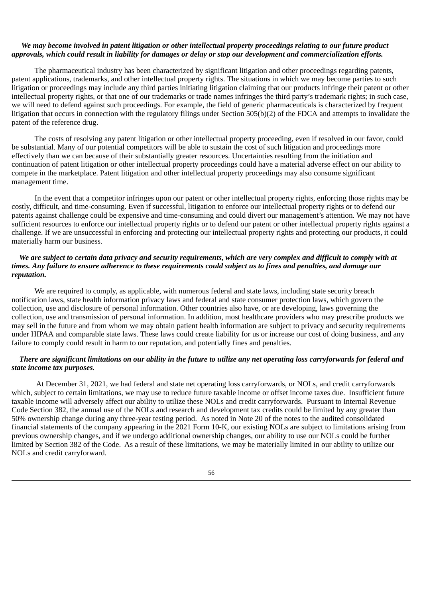### *We may become involved in patent litigation or other intellectual property proceedings relating to our future product approvals, which could result in liability for damages or delay or stop our development and commercialization efforts.*

 The pharmaceutical industry has been characterized by significant litigation and other proceedings regarding patents, patent applications, trademarks, and other intellectual property rights. The situations in which we may become parties to such litigation or proceedings may include any third parties initiating litigation claiming that our products infringe their patent or other intellectual property rights, or that one of our trademarks or trade names infringes the third party's trademark rights; in such case, we will need to defend against such proceedings. For example, the field of generic pharmaceuticals is characterized by frequent litigation that occurs in connection with the regulatory filings under Section 505(b)(2) of the FDCA and attempts to invalidate the patent of the reference drug.

 The costs of resolving any patent litigation or other intellectual property proceeding, even if resolved in our favor, could be substantial. Many of our potential competitors will be able to sustain the cost of such litigation and proceedings more effectively than we can because of their substantially greater resources. Uncertainties resulting from the initiation and continuation of patent litigation or other intellectual property proceedings could have a material adverse effect on our ability to compete in the marketplace. Patent litigation and other intellectual property proceedings may also consume significant management time.

 In the event that a competitor infringes upon our patent or other intellectual property rights, enforcing those rights may be costly, difficult, and time-consuming. Even if successful, litigation to enforce our intellectual property rights or to defend our patents against challenge could be expensive and time-consuming and could divert our management's attention. We may not have sufficient resources to enforce our intellectual property rights or to defend our patent or other intellectual property rights against a challenge. If we are unsuccessful in enforcing and protecting our intellectual property rights and protecting our products, it could materially harm our business.

## *We are subject to certain data privacy and security requirements, which are very complex and difficult to comply with at times. Any failure to ensure adherence to these requirements could subject us to fines and penalties, and damage our reputation.*

We are required to comply, as applicable, with numerous federal and state laws, including state security breach notification laws, state health information privacy laws and federal and state consumer protection laws, which govern the collection, use and disclosure of personal information. Other countries also have, or are developing, laws governing the collection, use and transmission of personal information. In addition, most healthcare providers who may prescribe products we may sell in the future and from whom we may obtain patient health information are subject to privacy and security requirements under HIPAA and comparable state laws. These laws could create liability for us or increase our cost of doing business, and any failure to comply could result in harm to our reputation, and potentially fines and penalties.

## *There are significant limitations on our ability in the future to utilize any net operating loss carryforwards for federal and state income tax purposes.*

 At December 31, 2021, we had federal and state net operating loss carryforwards, or NOLs, and credit carryforwards which, subject to certain limitations, we may use to reduce future taxable income or offset income taxes due. Insufficient future taxable income will adversely affect our ability to utilize these NOLs and credit carryforwards. Pursuant to Internal Revenue Code Section 382, the annual use of the NOLs and research and development tax credits could be limited by any greater than 50% ownership change during any three-year testing period. As noted in Note 20 of the notes to the audited consolidated financial statements of the company appearing in the 2021 Form 10-K, our existing NOLs are subject to limitations arising from previous ownership changes, and if we undergo additional ownership changes, our ability to use our NOLs could be further limited by Section 382 of the Code. As a result of these limitations, we may be materially limited in our ability to utilize our NOLs and credit carryforward.

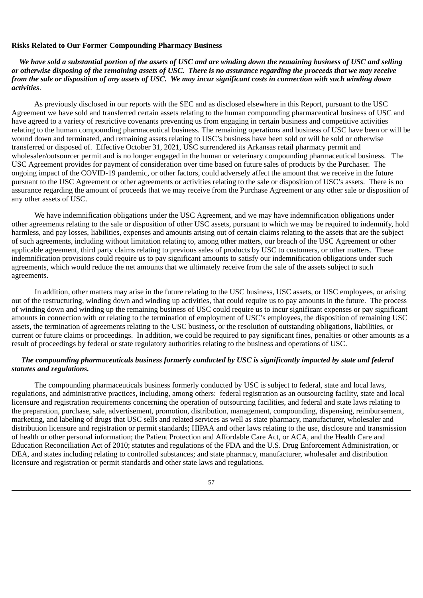#### **Risks Related to Our Former Compounding Pharmacy Business**

 *We have sold a substantial portion of the assets of USC and are winding down the remaining business of USC and selling or otherwise disposing of the remaining assets of USC. There is no assurance regarding the proceeds that we may receive from the sale or disposition of any assets of USC. We may incur significant costs in connection with such winding down activities*.

 As previously disclosed in our reports with the SEC and as disclosed elsewhere in this Report, pursuant to the USC Agreement we have sold and transferred certain assets relating to the human compounding pharmaceutical business of USC and have agreed to a variety of restrictive covenants preventing us from engaging in certain business and competitive activities relating to the human compounding pharmaceutical business. The remaining operations and business of USC have been or will be wound down and terminated, and remaining assets relating to USC's business have been sold or will be sold or otherwise transferred or disposed of. Effective October 31, 2021, USC surrendered its Arkansas retail pharmacy permit and wholesaler/outsourcer permit and is no longer engaged in the human or veterinary compounding pharmaceutical business. The USC Agreement provides for payment of consideration over time based on future sales of products by the Purchaser. The ongoing impact of the COVID-19 pandemic, or other factors, could adversely affect the amount that we receive in the future pursuant to the USC Agreement or other agreements or activities relating to the sale or disposition of USC's assets. There is no assurance regarding the amount of proceeds that we may receive from the Purchase Agreement or any other sale or disposition of any other assets of USC.

 We have indemnification obligations under the USC Agreement, and we may have indemnification obligations under other agreements relating to the sale or disposition of other USC assets, pursuant to which we may be required to indemnify, hold harmless, and pay losses, liabilities, expenses and amounts arising out of certain claims relating to the assets that are the subject of such agreements, including without limitation relating to, among other matters, our breach of the USC Agreement or other applicable agreement, third party claims relating to previous sales of products by USC to customers, or other matters. These indemnification provisions could require us to pay significant amounts to satisfy our indemnification obligations under such agreements, which would reduce the net amounts that we ultimately receive from the sale of the assets subject to such agreements.

 In addition, other matters may arise in the future relating to the USC business, USC assets, or USC employees, or arising out of the restructuring, winding down and winding up activities, that could require us to pay amounts in the future. The process of winding down and winding up the remaining business of USC could require us to incur significant expenses or pay significant amounts in connection with or relating to the termination of employment of USC's employees, the disposition of remaining USC assets, the termination of agreements relating to the USC business, or the resolution of outstanding obligations, liabilities, or current or future claims or proceedings. In addition, we could be required to pay significant fines, penalties or other amounts as a result of proceedings by federal or state regulatory authorities relating to the business and operations of USC.

### *The compounding pharmaceuticals business formerly conducted by USC is significantly impacted by state and federal statutes and regulations.*

 The compounding pharmaceuticals business formerly conducted by USC is subject to federal, state and local laws, regulations, and administrative practices, including, among others: federal registration as an outsourcing facility, state and local licensure and registration requirements concerning the operation of outsourcing facilities, and federal and state laws relating to the preparation, purchase, sale, advertisement, promotion, distribution, management, compounding, dispensing, reimbursement, marketing, and labeling of drugs that USC sells and related services as well as state pharmacy, manufacturer, wholesaler and distribution licensure and registration or permit standards; HIPAA and other laws relating to the use, disclosure and transmission of health or other personal information; the Patient Protection and Affordable Care Act, or ACA, and the Health Care and Education Reconciliation Act of 2010; statutes and regulations of the FDA and the U.S. Drug Enforcement Administration, or DEA, and states including relating to controlled substances; and state pharmacy, manufacturer, wholesaler and distribution licensure and registration or permit standards and other state laws and regulations.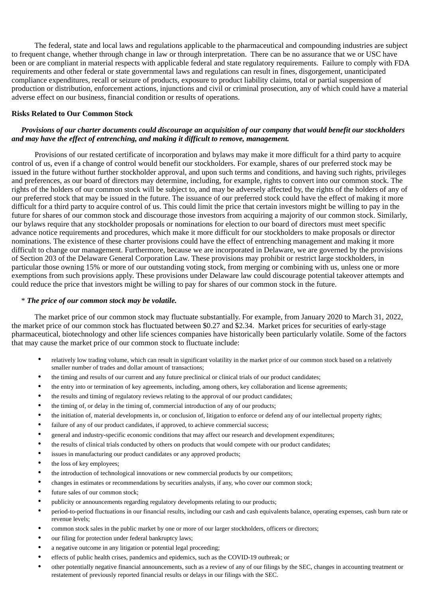The federal, state and local laws and regulations applicable to the pharmaceutical and compounding industries are subject to frequent change, whether through change in law or through interpretation. There can be no assurance that we or USC have been or are compliant in material respects with applicable federal and state regulatory requirements. Failure to comply with FDA requirements and other federal or state governmental laws and regulations can result in fines, disgorgement, unanticipated compliance expenditures, recall or seizure of products, exposure to product liability claims, total or partial suspension of production or distribution, enforcement actions, injunctions and civil or criminal prosecution, any of which could have a material adverse effect on our business, financial condition or results of operations.

### **Risks Related to Our Common Stock**

### *Provisions of our charter documents could discourage an acquisition of our company that would benefit our stockholders and may have the effect of entrenching, and making it difficult to remove, management.*

 Provisions of our restated certificate of incorporation and bylaws may make it more difficult for a third party to acquire control of us, even if a change of control would benefit our stockholders. For example, shares of our preferred stock may be issued in the future without further stockholder approval, and upon such terms and conditions, and having such rights, privileges and preferences, as our board of directors may determine, including, for example, rights to convert into our common stock. The rights of the holders of our common stock will be subject to, and may be adversely affected by, the rights of the holders of any of our preferred stock that may be issued in the future. The issuance of our preferred stock could have the effect of making it more difficult for a third party to acquire control of us. This could limit the price that certain investors might be willing to pay in the future for shares of our common stock and discourage those investors from acquiring a majority of our common stock. Similarly, our bylaws require that any stockholder proposals or nominations for election to our board of directors must meet specific advance notice requirements and procedures, which make it more difficult for our stockholders to make proposals or director nominations. The existence of these charter provisions could have the effect of entrenching management and making it more difficult to change our management. Furthermore, because we are incorporated in Delaware, we are governed by the provisions of Section 203 of the Delaware General Corporation Law. These provisions may prohibit or restrict large stockholders, in particular those owning 15% or more of our outstanding voting stock, from merging or combining with us, unless one or more exemptions from such provisions apply. These provisions under Delaware law could discourage potential takeover attempts and could reduce the price that investors might be willing to pay for shares of our common stock in the future.

### \* *The price of our common stock may be volatile.*

 The market price of our common stock may fluctuate substantially. For example, from January 2020 to March 31, 2022, the market price of our common stock has fluctuated between \$0.27 and \$2.34. Market prices for securities of early-stage pharmaceutical, biotechnology and other life sciences companies have historically been particularly volatile. Some of the factors that may cause the market price of our common stock to fluctuate include:

- relatively low trading volume, which can result in significant volatility in the market price of our common stock based on a relatively smaller number of trades and dollar amount of transactions;
- the timing and results of our current and any future preclinical or clinical trials of our product candidates;
- the entry into or termination of key agreements, including, among others, key collaboration and license agreements;
- the results and timing of regulatory reviews relating to the approval of our product candidates;
- the timing of, or delay in the timing of, commercial introduction of any of our products;
- the initiation of, material developments in, or conclusion of, litigation to enforce or defend any of our intellectual property rights;
- failure of any of our product candidates, if approved, to achieve commercial success;
- general and industry-specific economic conditions that may affect our research and development expenditures;
- the results of clinical trials conducted by others on products that would compete with our product candidates;
- issues in manufacturing our product candidates or any approved products;
- the loss of key employees;
- the introduction of technological innovations or new commercial products by our competitors;
- changes in estimates or recommendations by securities analysts, if any, who cover our common stock;
- future sales of our common stock;
- publicity or announcements regarding regulatory developments relating to our products;
- period-to-period fluctuations in our financial results, including our cash and cash equivalents balance, operating expenses, cash burn rate or revenue levels;
- common stock sales in the public market by one or more of our larger stockholders, officers or directors;
- our filing for protection under federal bankruptcy laws;
- a negative outcome in any litigation or potential legal proceeding;
- effects of public health crises, pandemics and epidemics, such as the COVID-19 outbreak; or
- other potentially negative financial announcements, such as a review of any of our filings by the SEC, changes in accounting treatment or restatement of previously reported financial results or delays in our filings with the SEC.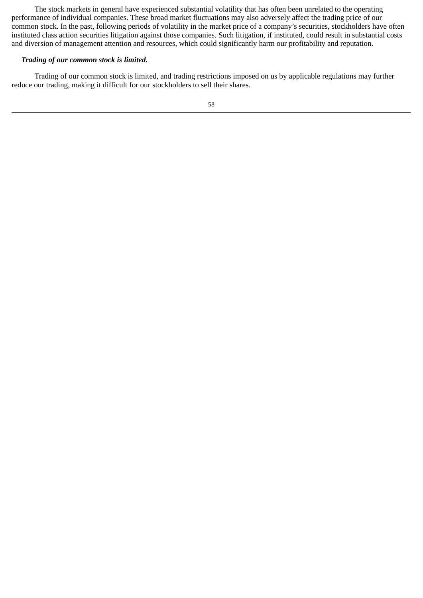The stock markets in general have experienced substantial volatility that has often been unrelated to the operating performance of individual companies. These broad market fluctuations may also adversely affect the trading price of our common stock. In the past, following periods of volatility in the market price of a company's securities, stockholders have often instituted class action securities litigation against those companies. Such litigation, if instituted, could result in substantial costs and diversion of management attention and resources, which could significantly harm our profitability and reputation.

### *Trading of our common stock is limited.*

 Trading of our common stock is limited, and trading restrictions imposed on us by applicable regulations may further reduce our trading, making it difficult for our stockholders to sell their shares.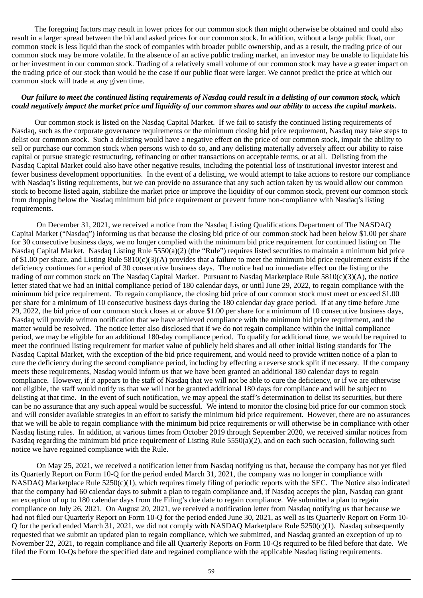The foregoing factors may result in lower prices for our common stock than might otherwise be obtained and could also result in a larger spread between the bid and asked prices for our common stock. In addition, without a large public float, our common stock is less liquid than the stock of companies with broader public ownership, and as a result, the trading price of our common stock may be more volatile. In the absence of an active public trading market, an investor may be unable to liquidate his or her investment in our common stock. Trading of a relatively small volume of our common stock may have a greater impact on the trading price of our stock than would be the case if our public float were larger. We cannot predict the price at which our common stock will trade at any given time.

### *Our failure to meet the continued listing requirements of Nasdaq could result in a delisting of our common stock, which could negatively impact the market price and liquidity of our common shares and our ability to access the capital markets.*

 Our common stock is listed on the Nasdaq Capital Market. If we fail to satisfy the continued listing requirements of Nasdaq, such as the corporate governance requirements or the minimum closing bid price requirement, Nasdaq may take steps to delist our common stock. Such a delisting would have a negative effect on the price of our common stock, impair the ability to sell or purchase our common stock when persons wish to do so, and any delisting materially adversely affect our ability to raise capital or pursue strategic restructuring, refinancing or other transactions on acceptable terms, or at all. Delisting from the Nasdaq Capital Market could also have other negative results, including the potential loss of institutional investor interest and fewer business development opportunities. In the event of a delisting, we would attempt to take actions to restore our compliance with Nasdaq's listing requirements, but we can provide no assurance that any such action taken by us would allow our common stock to become listed again, stabilize the market price or improve the liquidity of our common stock, prevent our common stock from dropping below the Nasdaq minimum bid price requirement or prevent future non-compliance with Nasdaq's listing requirements.

 On December 31, 2021, we received a notice from the Nasdaq Listing Qualifications Department of The NASDAQ Capital Market ("Nasdaq") informing us that because the closing bid price of our common stock had been below \$1.00 per share for 30 consecutive business days, we no longer complied with the minimum bid price requirement for continued listing on The Nasdaq Capital Market. Nasdaq Listing Rule 5550(a)(2) (the "Rule") requires listed securities to maintain a minimum bid price of \$1.00 per share, and Listing Rule  $5810(c)(3)(A)$  provides that a failure to meet the minimum bid price requirement exists if the deficiency continues for a period of 30 consecutive business days. The notice had no immediate effect on the listing or the trading of our common stock on The Nasdaq Capital Market. Pursuant to Nasdaq Marketplace Rule 5810(c)(3)(A), the notice letter stated that we had an initial compliance period of 180 calendar days, or until June 29, 2022, to regain compliance with the minimum bid price requirement. To regain compliance, the closing bid price of our common stock must meet or exceed \$1.00 per share for a minimum of 10 consecutive business days during the 180 calendar day grace period. If at any time before June 29, 2022, the bid price of our common stock closes at or above \$1.00 per share for a minimum of 10 consecutive business days, Nasdaq will provide written notification that we have achieved compliance with the minimum bid price requirement, and the matter would be resolved. The notice letter also disclosed that if we do not regain compliance within the initial compliance period, we may be eligible for an additional 180-day compliance period. To qualify for additional time, we would be required to meet the continued listing requirement for market value of publicly held shares and all other initial listing standards for The Nasdaq Capital Market, with the exception of the bid price requirement, and would need to provide written notice of a plan to cure the deficiency during the second compliance period, including by effecting a reverse stock split if necessary. If the company meets these requirements, Nasdaq would inform us that we have been granted an additional 180 calendar days to regain compliance. However, if it appears to the staff of Nasdaq that we will not be able to cure the deficiency, or if we are otherwise not eligible, the staff would notify us that we will not be granted additional 180 days for compliance and will be subject to delisting at that time. In the event of such notification, we may appeal the staff's determination to delist its securities, but there can be no assurance that any such appeal would be successful. We intend to monitor the closing bid price for our common stock and will consider available strategies in an effort to satisfy the minimum bid price requirement. However, there are no assurances that we will be able to regain compliance with the minimum bid price requirements or will otherwise be in compliance with other Nasdaq listing rules. In addition, at various times from October 2019 through September 2020, we received similar notices from Nasdaq regarding the minimum bid price requirement of Listing Rule 5550(a)(2), and on each such occasion, following such notice we have regained compliance with the Rule.

 On May 25, 2021, we received a notification letter from Nasdaq notifying us that, because the company has not yet filed its Quarterly Report on Form 10-Q for the period ended March 31, 2021, the company was no longer in compliance with NASDAQ Marketplace Rule 5250(c)(1), which requires timely filing of periodic reports with the SEC. The Notice also indicated that the company had 60 calendar days to submit a plan to regain compliance and, if Nasdaq accepts the plan, Nasdaq can grant an exception of up to 180 calendar days from the Filing's due date to regain compliance. We submitted a plan to regain compliance on July 26, 2021. On August 20, 2021, we received a notification letter from Nasdaq notifying us that because we had not filed our Quarterly Report on Form 10-Q for the period ended June 30, 2021, as well as its Quarterly Report on Form 10- O for the period ended March 31, 2021, we did not comply with NASDAO Marketplace Rule 5250(c)(1). Nasdaq subsequently requested that we submit an updated plan to regain compliance, which we submitted, and Nasdaq granted an exception of up to November 22, 2021, to regain compliance and file all Quarterly Reports on Form 10-Qs required to be filed before that date. We filed the Form 10-Qs before the specified date and regained compliance with the applicable Nasdaq listing requirements.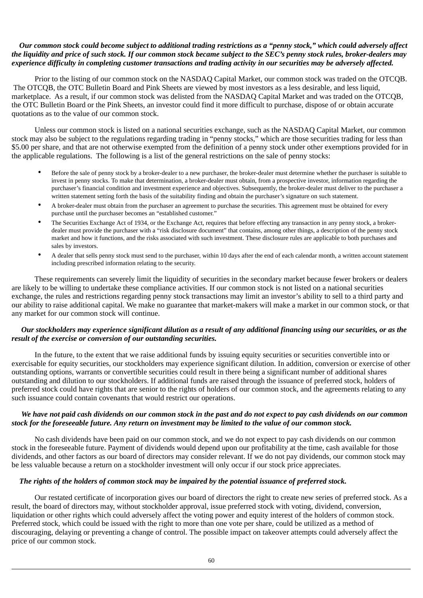# *Our common stock could become subject to additional trading restrictions as a "penny stock," which could adversely affect the liquidity and price of such stock. If our common stock became subject to the SEC's penny stock rules, broker-dealers may experience difficulty in completing customer transactions and trading activity in our securities may be adversely affected.*

 Prior to the listing of our common stock on the NASDAQ Capital Market, our common stock was traded on the OTCQB. The OTCQB, the OTC Bulletin Board and Pink Sheets are viewed by most investors as a less desirable, and less liquid, marketplace. As a result, if our common stock was delisted from the NASDAQ Capital Market and was traded on the OTCQB, the OTC Bulletin Board or the Pink Sheets, an investor could find it more difficult to purchase, dispose of or obtain accurate quotations as to the value of our common stock.

 Unless our common stock is listed on a national securities exchange, such as the NASDAQ Capital Market, our common stock may also be subject to the regulations regarding trading in "penny stocks," which are those securities trading for less than \$5.00 per share, and that are not otherwise exempted from the definition of a penny stock under other exemptions provided for in the applicable regulations. The following is a list of the general restrictions on the sale of penny stocks:

- Before the sale of penny stock by a broker-dealer to a new purchaser, the broker-dealer must determine whether the purchaser is suitable to invest in penny stocks. To make that determination, a broker-dealer must obtain, from a prospective investor, information regarding the purchaser's financial condition and investment experience and objectives. Subsequently, the broker-dealer must deliver to the purchaser a written statement setting forth the basis of the suitability finding and obtain the purchaser's signature on such statement.
- A broker-dealer must obtain from the purchaser an agreement to purchase the securities. This agreement must be obtained for every purchase until the purchaser becomes an "established customer."
- The Securities Exchange Act of 1934, or the Exchange Act, requires that before effecting any transaction in any penny stock, a brokerdealer must provide the purchaser with a "risk disclosure document" that contains, among other things, a description of the penny stock market and how it functions, and the risks associated with such investment. These disclosure rules are applicable to both purchases and sales by investors.
- A dealer that sells penny stock must send to the purchaser, within 10 days after the end of each calendar month, a written account statement including prescribed information relating to the security.

 These requirements can severely limit the liquidity of securities in the secondary market because fewer brokers or dealers are likely to be willing to undertake these compliance activities. If our common stock is not listed on a national securities exchange, the rules and restrictions regarding penny stock transactions may limit an investor's ability to sell to a third party and our ability to raise additional capital. We make no guarantee that market-makers will make a market in our common stock, or that any market for our common stock will continue.

## *Our stockholders may experience significant dilution as a result of any additional financing using our securities, or as the result of the exercise or conversion of our outstanding securities.*

In the future, to the extent that we raise additional funds by issuing equity securities or securities convertible into or exercisable for equity securities, our stockholders may experience significant dilution. In addition, conversion or exercise of other outstanding options, warrants or convertible securities could result in there being a significant number of additional shares outstanding and dilution to our stockholders. If additional funds are raised through the issuance of preferred stock, holders of preferred stock could have rights that are senior to the rights of holders of our common stock, and the agreements relating to any such issuance could contain covenants that would restrict our operations.

## *We have not paid cash dividends on our common stock in the past and do not expect to pay cash dividends on our common stock for the foreseeable future. Any return on investment may be limited to the value of our common stock.*

 No cash dividends have been paid on our common stock, and we do not expect to pay cash dividends on our common stock in the foreseeable future. Payment of dividends would depend upon our profitability at the time, cash available for those dividends, and other factors as our board of directors may consider relevant. If we do not pay dividends, our common stock may be less valuable because a return on a stockholder investment will only occur if our stock price appreciates.

# *The rights of the holders of common stock may be impaired by the potential issuance of preferred stock.*

 Our restated certificate of incorporation gives our board of directors the right to create new series of preferred stock. As a result, the board of directors may, without stockholder approval, issue preferred stock with voting, dividend, conversion, liquidation or other rights which could adversely affect the voting power and equity interest of the holders of common stock. Preferred stock, which could be issued with the right to more than one vote per share, could be utilized as a method of discouraging, delaying or preventing a change of control. The possible impact on takeover attempts could adversely affect the price of our common stock.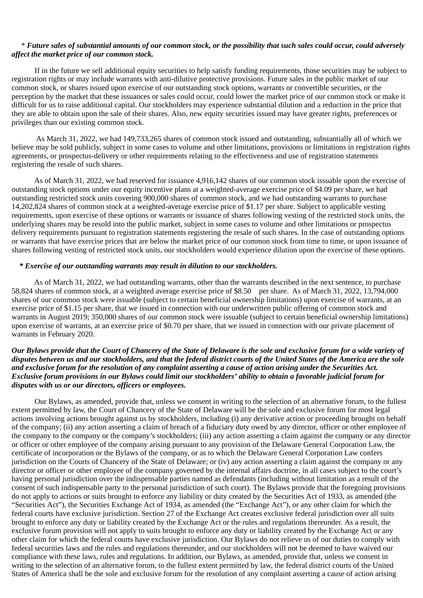### \* *Future sales of substantial amounts of our common stock, or the possibility that such sales could occur, could adversely affect the market price of our common stock.*

 If in the future we sell additional equity securities to help satisfy funding requirements, those securities may be subject to registration rights or may include warrants with anti-dilutive protective provisions. Future sales in the public market of our common stock, or shares issued upon exercise of our outstanding stock options, warrants or convertible securities, or the perception by the market that these issuances or sales could occur, could lower the market price of our common stock or make it difficult for us to raise additional capital. Our stockholders may experience substantial dilution and a reduction in the price that they are able to obtain upon the sale of their shares. Also, new equity securities issued may have greater rights, preferences or privileges than our existing common stock.

 As March 31, 2022, we had 149,733,265 shares of common stock issued and outstanding, substantially all of which we believe may be sold publicly, subject in some cases to volume and other limitations, provisions or limitations in registration rights agreements, or prospectus-delivery or other requirements relating to the effectiveness and use of registration statements registering the resale of such shares.

 As of March 31, 2022, we had reserved for issuance 4,916,142 shares of our common stock issuable upon the exercise of outstanding stock options under our equity incentive plans at a weighted-average exercise price of \$4.09 per share, we had outstanding restricted stock units covering 900,000 shares of common stock, and we had outstanding warrants to purchase 14,202,824 shares of common stock at a weighted-average exercise price of \$1.17 per share. Subject to applicable vesting requirements, upon exercise of these options or warrants or issuance of shares following vesting of the restricted stock units, the underlying shares may be resold into the public market, subject in some cases to volume and other limitations or prospectus delivery requirements pursuant to registration statements registering the resale of such shares. In the case of outstanding options or warrants that have exercise prices that are below the market price of our common stock from time to time, or upon issuance of shares following vesting of restricted stock units, our stockholders would experience dilution upon the exercise of these options.

### *\* Exercise of our outstanding warrants may result in dilution to our stockholders.*

 As of March 31, 2022, we had outstanding warrants, other than the warrants described in the next sentence, to purchase 58,824 shares of common stock, at a weighted average exercise price of \$8.50 per share. As of March 31, 2022, 13,794,000 shares of our common stock were issuable (subject to certain beneficial ownership limitations) upon exercise of warrants, at an exercise price of \$1.15 per share, that we issued in connection with our underwritten public offering of common stock and warrants in August 2019; 350,000 shares of our common stock were issuable (subject to certain beneficial ownership limitations) upon exercise of warrants, at an exercise price of \$0.70 per share, that we issued in connection with our private placement of warrants in February 2020.

### *Our Bylaws provide that the Court of Chancery of the State of Delaware is the sole and exclusive forum for a wide variety of disputes between us and our stockholders, and that the federal district courts of the United States of the America are the sole and exclusive forum for the resolution of any complaint asserting a cause of action arising under the Securities Act. Exclusive forum provisions in our Bylaws could limit our stockholders' ability to obtain a favorable judicial forum for disputes with us or our directors, officers or employees.*

 Our Bylaws, as amended, provide that, unless we consent in writing to the selection of an alternative forum, to the fullest extent permitted by law, the Court of Chancery of the State of Delaware will be the sole and exclusive forum for most legal actions involving actions brought against us by stockholders, including (i) any derivative action or proceeding brought on behalf of the company; (ii) any action asserting a claim of breach of a fiduciary duty owed by any director, officer or other employee of the company to the company or the company's stockholders; (iii) any action asserting a claim against the company or any director or officer or other employee of the company arising pursuant to any provision of the Delaware General Corporation Law, the certificate of incorporation or the Bylaws of the company, or as to which the Delaware General Corporation Law confers jurisdiction on the Courts of Chancery of the State of Delaware; or (iv) any action asserting a claim against the company or any director or officer or other employee of the company governed by the internal affairs doctrine, in all cases subject to the court's having personal jurisdiction over the indispensable parties named as defendants (including without limitation as a result of the consent of such indispensable party to the personal jurisdiction of such court). The Bylaws provide that the foregoing provisions do not apply to actions or suits brought to enforce any liability or duty created by the Securities Act of 1933, as amended (the "Securities Act"), the Securities Exchange Act of 1934, as amended (the "Exchange Act"), or any other claim for which the federal courts have exclusive jurisdiction. Section 27 of the Exchange Act creates exclusive federal jurisdiction over all suits brought to enforce any duty or liability created by the Exchange Act or the rules and regulations thereunder. As a result, the exclusive forum provision will not apply to suits brought to enforce any duty or liability created by the Exchange Act or any other claim for which the federal courts have exclusive jurisdiction. Our Bylaws do not relieve us of our duties to comply with federal securities laws and the rules and regulations thereunder, and our stockholders will not be deemed to have waived our compliance with these laws, rules and regulations. In addition, our Bylaws, as amended, provide that, unless we consent in writing to the selection of an alternative forum, to the fullest extent permitted by law, the federal district courts of the United States of America shall be the sole and exclusive forum for the resolution of any complaint asserting a cause of action arising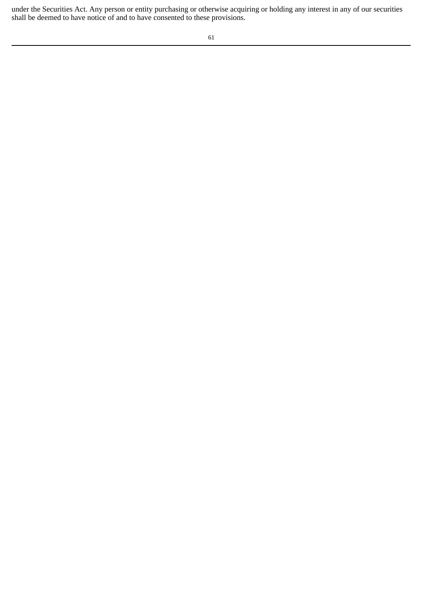under the Securities Act. Any person or entity purchasing or otherwise acquiring or holding any interest in any of our securities shall be deemed to have notice of and to have consented to these provisions.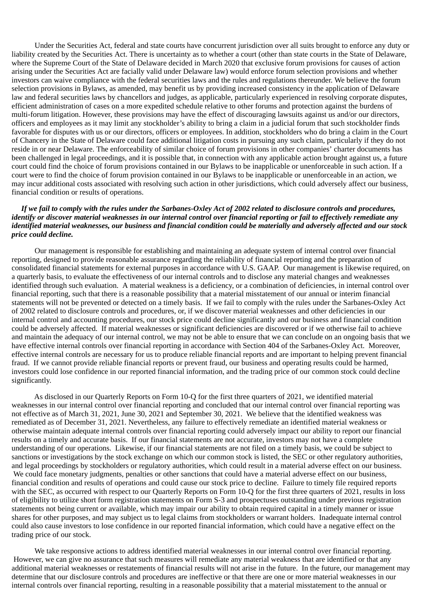Under the Securities Act, federal and state courts have concurrent jurisdiction over all suits brought to enforce any duty or liability created by the Securities Act. There is uncertainty as to whether a court (other than state courts in the State of Delaware, where the Supreme Court of the State of Delaware decided in March 2020 that exclusive forum provisions for causes of action arising under the Securities Act are facially valid under Delaware law) would enforce forum selection provisions and whether investors can waive compliance with the federal securities laws and the rules and regulations thereunder. We believe the forum selection provisions in Bylaws, as amended, may benefit us by providing increased consistency in the application of Delaware law and federal securities laws by chancellors and judges, as applicable, particularly experienced in resolving corporate disputes, efficient administration of cases on a more expedited schedule relative to other forums and protection against the burdens of multi-forum litigation. However, these provisions may have the effect of discouraging lawsuits against us and/or our directors, officers and employees as it may limit any stockholder's ability to bring a claim in a judicial forum that such stockholder finds favorable for disputes with us or our directors, officers or employees. In addition, stockholders who do bring a claim in the Court of Chancery in the State of Delaware could face additional litigation costs in pursuing any such claim, particularly if they do not reside in or near Delaware. The enforceability of similar choice of forum provisions in other companies' charter documents has been challenged in legal proceedings, and it is possible that, in connection with any applicable action brought against us, a future court could find the choice of forum provisions contained in our Bylaws to be inapplicable or unenforceable in such action. If a court were to find the choice of forum provision contained in our Bylaws to be inapplicable or unenforceable in an action, we may incur additional costs associated with resolving such action in other jurisdictions, which could adversely affect our business, financial condition or results of operations.

# *If we fail to comply with the rules under the Sarbanes-Oxley Act of 2002 related to disclosure controls and procedures, identify or discover material weaknesses in our internal control over financial reporting or fail to effectively remediate any identified material weaknesses, our business and financial condition could be materially and adversely affected and our stock price could decline.*

 Our management is responsible for establishing and maintaining an adequate system of internal control over financial reporting, designed to provide reasonable assurance regarding the reliability of financial reporting and the preparation of consolidated financial statements for external purposes in accordance with U.S. GAAP. Our management is likewise required, on a quarterly basis, to evaluate the effectiveness of our internal controls and to disclose any material changes and weaknesses identified through such evaluation. A material weakness is a deficiency, or a combination of deficiencies, in internal control over financial reporting, such that there is a reasonable possibility that a material misstatement of our annual or interim financial statements will not be prevented or detected on a timely basis. If we fail to comply with the rules under the Sarbanes-Oxley Act of 2002 related to disclosure controls and procedures, or, if we discover material weaknesses and other deficiencies in our internal control and accounting procedures, our stock price could decline significantly and our business and financial condition could be adversely affected. If material weaknesses or significant deficiencies are discovered or if we otherwise fail to achieve and maintain the adequacy of our internal control, we may not be able to ensure that we can conclude on an ongoing basis that we have effective internal controls over financial reporting in accordance with Section 404 of the Sarbanes-Oxley Act. Moreover, effective internal controls are necessary for us to produce reliable financial reports and are important to helping prevent financial fraud. If we cannot provide reliable financial reports or prevent fraud, our business and operating results could be harmed, investors could lose confidence in our reported financial information, and the trading price of our common stock could decline significantly.

 As disclosed in our Quarterly Reports on Form 10-Q for the first three quarters of 2021, we identified material weaknesses in our internal control over financial reporting and concluded that our internal control over financial reporting was not effective as of March 31, 2021, June 30, 2021 and September 30, 2021. We believe that the identified weakness was remediated as of December 31, 2021. Nevertheless, any failure to effectively remediate an identified material weakness or otherwise maintain adequate internal controls over financial reporting could adversely impact our ability to report our financial results on a timely and accurate basis. If our financial statements are not accurate, investors may not have a complete understanding of our operations. Likewise, if our financial statements are not filed on a timely basis, we could be subject to sanctions or investigations by the stock exchange on which our common stock is listed, the SEC or other regulatory authorities, and legal proceedings by stockholders or regulatory authorities, which could result in a material adverse effect on our business. We could face monetary judgments, penalties or other sanctions that could have a material adverse effect on our business, financial condition and results of operations and could cause our stock price to decline. Failure to timely file required reports with the SEC, as occurred with respect to our Quarterly Reports on Form 10-Q for the first three quarters of 2021, results in loss of eligibility to utilize short form registration statements on Form S-3 and prospectuses outstanding under previous registration statements not being current or available, which may impair our ability to obtain required capital in a timely manner or issue shares for other purposes, and may subject us to legal claims from stockholders or warrant holders. Inadequate internal control could also cause investors to lose confidence in our reported financial information, which could have a negative effect on the trading price of our stock.

 We take responsive actions to address identified material weaknesses in our internal control over financial reporting. However, we can give no assurance that such measures will remediate any material weakness that are identified or that any additional material weaknesses or restatements of financial results will not arise in the future. In the future, our management may determine that our disclosure controls and procedures are ineffective or that there are one or more material weaknesses in our internal controls over financial reporting, resulting in a reasonable possibility that a material misstatement to the annual or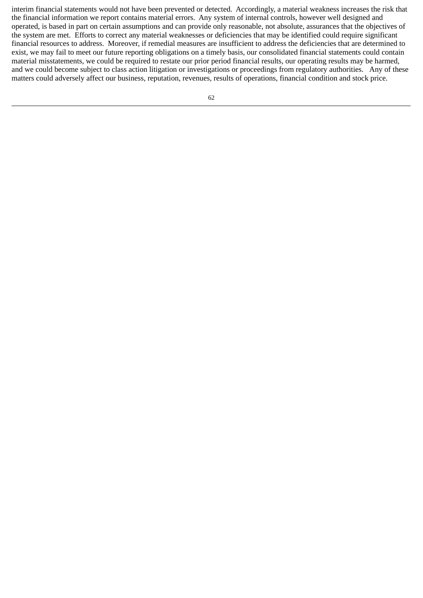interim financial statements would not have been prevented or detected. Accordingly, a material weakness increases the risk that the financial information we report contains material errors. Any system of internal controls, however well designed and operated, is based in part on certain assumptions and can provide only reasonable, not absolute, assurances that the objectives of the system are met. Efforts to correct any material weaknesses or deficiencies that may be identified could require significant financial resources to address. Moreover, if remedial measures are insufficient to address the deficiencies that are determined to exist, we may fail to meet our future reporting obligations on a timely basis, our consolidated financial statements could contain material misstatements, we could be required to restate our prior period financial results, our operating results may be harmed, and we could become subject to class action litigation or investigations or proceedings from regulatory authorities. Any of these matters could adversely affect our business, reputation, revenues, results of operations, financial condition and stock price.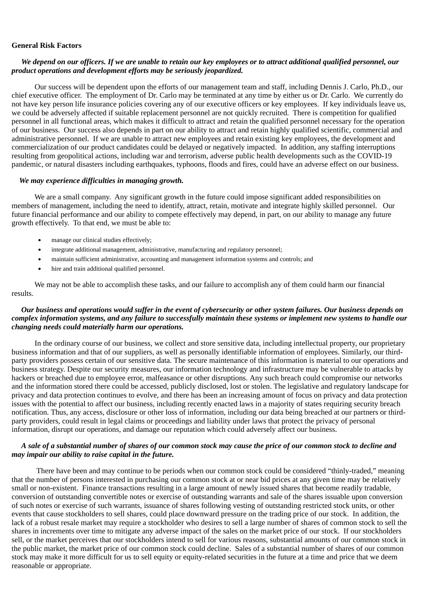# **General Risk Factors**

# *We depend on our officers. If we are unable to retain our key employees or to attract additional qualified personnel, our product operations and development efforts may be seriously jeopardized.*

 Our success will be dependent upon the efforts of our management team and staff, including Dennis J. Carlo, Ph.D., our chief executive officer. The employment of Dr. Carlo may be terminated at any time by either us or Dr. Carlo. We currently do not have key person life insurance policies covering any of our executive officers or key employees. If key individuals leave us, we could be adversely affected if suitable replacement personnel are not quickly recruited. There is competition for qualified personnel in all functional areas, which makes it difficult to attract and retain the qualified personnel necessary for the operation of our business. Our success also depends in part on our ability to attract and retain highly qualified scientific, commercial and administrative personnel. If we are unable to attract new employees and retain existing key employees, the development and commercialization of our product candidates could be delayed or negatively impacted. In addition, any staffing interruptions resulting from geopolitical actions, including war and terrorism, adverse public health developments such as the COVID-19 pandemic, or natural disasters including earthquakes, typhoons, floods and fires, could have an adverse effect on our business.

# *We may experience difficulties in managing growth.*

 We are a small company. Any significant growth in the future could impose significant added responsibilities on members of management, including the need to identify, attract, retain, motivate and integrate highly skilled personnel. Our future financial performance and our ability to compete effectively may depend, in part, on our ability to manage any future growth effectively. To that end, we must be able to:

- manage our clinical studies effectively;
- integrate additional management, administrative, manufacturing and regulatory personnel;
- maintain sufficient administrative, accounting and management information systems and controls; and
- hire and train additional qualified personnel.

 We may not be able to accomplish these tasks, and our failure to accomplish any of them could harm our financial results.

# *Our business and operations would suffer in the event of cybersecurity or other system failures. Our business depends on complex information systems, and any failure to successfully maintain these systems or implement new systems to handle our changing needs could materially harm our operations.*

 In the ordinary course of our business, we collect and store sensitive data, including intellectual property, our proprietary business information and that of our suppliers, as well as personally identifiable information of employees. Similarly, our thirdparty providers possess certain of our sensitive data. The secure maintenance of this information is material to our operations and business strategy. Despite our security measures, our information technology and infrastructure may be vulnerable to attacks by hackers or breached due to employee error, malfeasance or other disruptions. Any such breach could compromise our networks and the information stored there could be accessed, publicly disclosed, lost or stolen. The legislative and regulatory landscape for privacy and data protection continues to evolve, and there has been an increasing amount of focus on privacy and data protection issues with the potential to affect our business, including recently enacted laws in a majority of states requiring security breach notification. Thus, any access, disclosure or other loss of information, including our data being breached at our partners or thirdparty providers, could result in legal claims or proceedings and liability under laws that protect the privacy of personal information, disrupt our operations, and damage our reputation which could adversely affect our business.

# *A sale of a substantial number of shares of our common stock may cause the price of our common stock to decline and may impair our ability to raise capital in the future.*

 There have been and may continue to be periods when our common stock could be considered "thinly-traded," meaning that the number of persons interested in purchasing our common stock at or near bid prices at any given time may be relatively small or non-existent. Finance transactions resulting in a large amount of newly issued shares that become readily tradable, conversion of outstanding convertible notes or exercise of outstanding warrants and sale of the shares issuable upon conversion of such notes or exercise of such warrants, issuance of shares following vesting of outstanding restricted stock units, or other events that cause stockholders to sell shares, could place downward pressure on the trading price of our stock. In addition, the lack of a robust resale market may require a stockholder who desires to sell a large number of shares of common stock to sell the shares in increments over time to mitigate any adverse impact of the sales on the market price of our stock. If our stockholders sell, or the market perceives that our stockholders intend to sell for various reasons, substantial amounts of our common stock in the public market, the market price of our common stock could decline. Sales of a substantial number of shares of our common stock may make it more difficult for us to sell equity or equity-related securities in the future at a time and price that we deem reasonable or appropriate.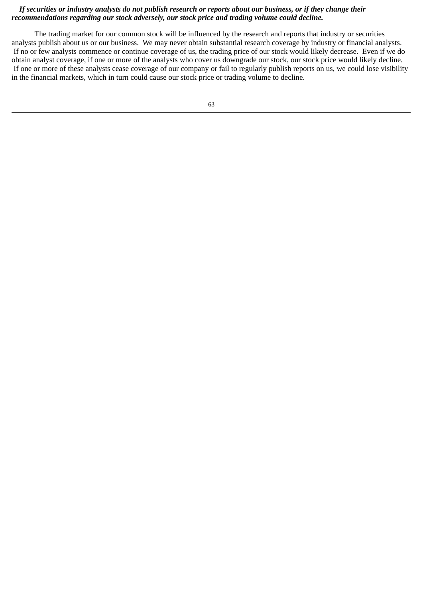# *If securities or industry analysts do not publish research or reports about our business, or if they change their recommendations regarding our stock adversely, our stock price and trading volume could decline.*

 The trading market for our common stock will be influenced by the research and reports that industry or securities analysts publish about us or our business. We may never obtain substantial research coverage by industry or financial analysts. If no or few analysts commence or continue coverage of us, the trading price of our stock would likely decrease. Even if we do obtain analyst coverage, if one or more of the analysts who cover us downgrade our stock, our stock price would likely decline. If one or more of these analysts cease coverage of our company or fail to regularly publish reports on us, we could lose visibility in the financial markets, which in turn could cause our stock price or trading volume to decline.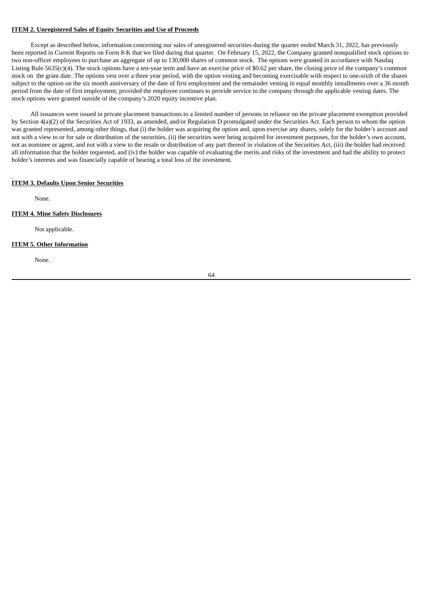### **ITEM 2. Unregistered Sales of Equity Securities and Use of Proceeds**

Except as described below, information concerning our sales of unregistered securities during the quarter ended March 31, 2022, has previously been reported in Current Reports on Form 8-K that we filed during that quarter. On February 15, 2022, the Company granted nonqualified stock options to two non-officer employees to purchase an aggregate of up to 130,000 shares of common stock. The options were granted in accordance with Nasdaq Listing Rule 5635(c)(4). The stock options have a ten-year term and have an exercise price of \$0.62 per share, the closing price of the company's common stock on the grant date. The options vest over a three year period, with the option vesting and becoming exercisable with respect to one-sixth of the shares subject to the option on the six month anniversary of the date of first employment and the remainder vesting in equal monthly installments over a 36 month period from the date of first employment, provided the employee continues to provide service to the company through the applicable vesting dates. The stock options were granted outside of the company's 2020 equity incentive plan.

All issuances were issued in private placement transactions to a limited number of persons in reliance on the private placement exemption provided by Section 4(a)(2) of the Securities Act of 1933, as amended, and/or Regulation D promulgated under the Securities Act. Each person to whom the option was granted represented, among other things, that (i) the holder was acquiring the option and, upon exercise any shares, solely for the holder's account and not with a view to or for sale or distribution of the securities, (ii) the securities were being acquired for investment purposes, for the holder's own account, not as nominee or agent, and not with a view to the resale or distribution of any part thereof in violation of the Securities Act, (iii) the holder had received all information that the holder requested, and (iv) the holder was capable of evaluating the merits and risks of the investment and had the ability to protect holder's interests and was financially capable of bearing a total loss of the investment.

### **ITEM 3. Defaults Upon Senior Securities**

None.

### **ITEM 4. Mine Safety Disclosures**

Not applicable.

### **ITEM 5. Other Information**

None.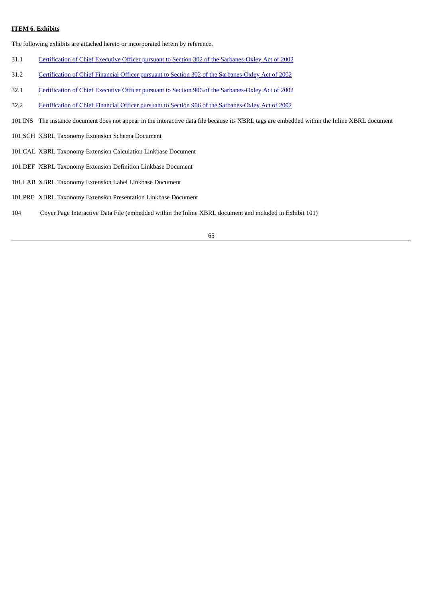# **ITEM 6. Exhibits**

The following exhibits are attached hereto or incorporated herein by reference.

- 31.1 Certification of Chief Executive Officer pursuant to Section 302 of the [Sarbanes-Oxley](#page-79-0) Act of 2002
- 31.2 Certification of Chief Financial Officer pursuant to Section 302 of the [Sarbanes-Oxley](#page-80-0) Act of 2002
- 32.1 Certification of Chief Executive Officer pursuant to Section 906 of the [Sarbanes-Oxley](#page-81-0) Act of 2002
- 32.2 Certification of Chief Financial Officer pursuant to Section 906 of the [Sarbanes-Oxley](#page-82-0) Act of 2002
- 101.INS The instance document does not appear in the interactive data file because its XBRL tags are embedded within the Inline XBRL document
- 101.SCH XBRL Taxonomy Extension Schema Document
- 101.CAL XBRL Taxonomy Extension Calculation Linkbase Document
- 101.DEF XBRL Taxonomy Extension Definition Linkbase Document
- 101.LAB XBRL Taxonomy Extension Label Linkbase Document
- 101.PRE XBRL Taxonomy Extension Presentation Linkbase Document
- 104 Cover Page Interactive Data File (embedded within the Inline XBRL document and included in Exhibit 101)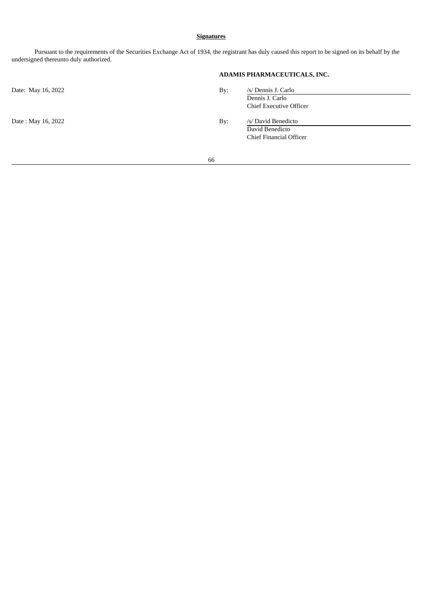# **Signatures**

Pursuant to the requirements of the Securities Exchange Act of 1934, the registrant has duly caused this report to be signed on its behalf by the undersigned thereunto duly authorized.

# **ADAMIS PHARMACEUTICALS, INC.**

| Date: May 16, 2022  | By: | /s/ Dennis J. Carlo     |  |
|---------------------|-----|-------------------------|--|
|                     |     | Dennis J. Carlo         |  |
|                     |     | Chief Executive Officer |  |
| Date : May 16, 2022 | By: | /s/ David Benedicto     |  |
|                     |     | David Benedicto         |  |
|                     |     |                         |  |
|                     |     | Chief Financial Officer |  |

66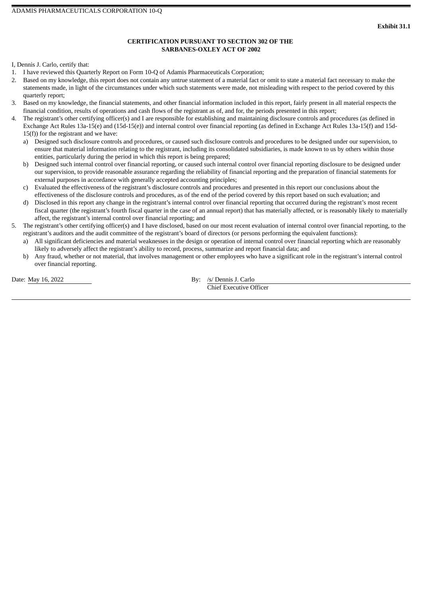### **CERTIFICATION PURSUANT TO SECTION 302 OF THE SARBANES-OXLEY ACT OF 2002**

<span id="page-79-0"></span>I, Dennis J. Carlo, certify that:

- 1. I have reviewed this Quarterly Report on Form 10-Q of Adamis Pharmaceuticals Corporation;
- 2. Based on my knowledge, this report does not contain any untrue statement of a material fact or omit to state a material fact necessary to make the statements made, in light of the circumstances under which such statements were made, not misleading with respect to the period covered by this quarterly report;
- 3. Based on my knowledge, the financial statements, and other financial information included in this report, fairly present in all material respects the financial condition, results of operations and cash flows of the registrant as of, and for, the periods presented in this report;
- 4. The registrant's other certifying officer(s) and I are responsible for establishing and maintaining disclosure controls and procedures (as defined in Exchange Act Rules 13a-15(e) and (15d-15(e)) and internal control over financial reporting (as defined in Exchange Act Rules 13a-15(f) and 15d- $15(f)$ ) for the registrant and we have:
	- a) Designed such disclosure controls and procedures, or caused such disclosure controls and procedures to be designed under our supervision, to ensure that material information relating to the registrant, including its consolidated subsidiaries, is made known to us by others within those entities, particularly during the period in which this report is being prepared;
	- b) Designed such internal control over financial reporting, or caused such internal control over financial reporting disclosure to be designed under our supervision, to provide reasonable assurance regarding the reliability of financial reporting and the preparation of financial statements for external purposes in accordance with generally accepted accounting principles;
	- c) Evaluated the effectiveness of the registrant's disclosure controls and procedures and presented in this report our conclusions about the effectiveness of the disclosure controls and procedures, as of the end of the period covered by this report based on such evaluation; and
	- d) Disclosed in this report any change in the registrant's internal control over financial reporting that occurred during the registrant's most recent fiscal quarter (the registrant's fourth fiscal quarter in the case of an annual report) that has materially affected, or is reasonably likely to materially affect, the registrant's internal control over financial reporting; and
- 5. The registrant's other certifying officer(s) and I have disclosed, based on our most recent evaluation of internal control over financial reporting, to the registrant's auditors and the audit committee of the registrant's board of directors (or persons performing the equivalent functions):
	- a) All significant deficiencies and material weaknesses in the design or operation of internal control over financial reporting which are reasonably likely to adversely affect the registrant's ability to record, process, summarize and report financial data; and
	- b) Any fraud, whether or not material, that involves management or other employees who have a significant role in the registrant's internal control over financial reporting.

Date: May 16, 2022 By: /s/ Dennis J. Carlo

Chief Executive Officer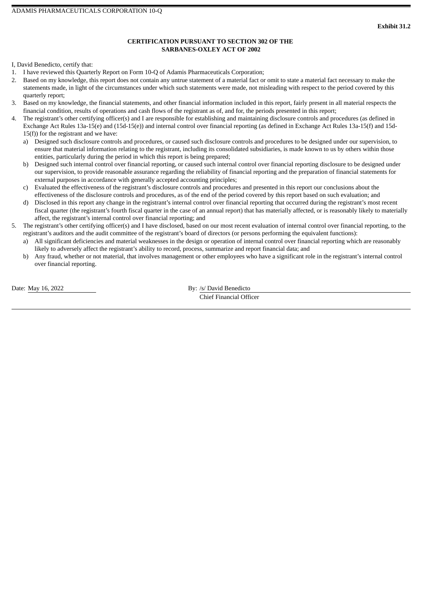### **CERTIFICATION PURSUANT TO SECTION 302 OF THE SARBANES-OXLEY ACT OF 2002**

<span id="page-80-0"></span>I, David Benedicto, certify that:

- 1. I have reviewed this Quarterly Report on Form 10-Q of Adamis Pharmaceuticals Corporation;
- 2. Based on my knowledge, this report does not contain any untrue statement of a material fact or omit to state a material fact necessary to make the statements made, in light of the circumstances under which such statements were made, not misleading with respect to the period covered by this quarterly report;
- 3. Based on my knowledge, the financial statements, and other financial information included in this report, fairly present in all material respects the financial condition, results of operations and cash flows of the registrant as of, and for, the periods presented in this report;
- 4. The registrant's other certifying officer(s) and I are responsible for establishing and maintaining disclosure controls and procedures (as defined in Exchange Act Rules 13a-15(e) and (15d-15(e)) and internal control over financial reporting (as defined in Exchange Act Rules 13a-15(f) and 15d- $15(f)$ ) for the registrant and we have:
	- a) Designed such disclosure controls and procedures, or caused such disclosure controls and procedures to be designed under our supervision, to ensure that material information relating to the registrant, including its consolidated subsidiaries, is made known to us by others within those entities, particularly during the period in which this report is being prepared;
	- b) Designed such internal control over financial reporting, or caused such internal control over financial reporting disclosure to be designed under our supervision, to provide reasonable assurance regarding the reliability of financial reporting and the preparation of financial statements for external purposes in accordance with generally accepted accounting principles;
	- c) Evaluated the effectiveness of the registrant's disclosure controls and procedures and presented in this report our conclusions about the effectiveness of the disclosure controls and procedures, as of the end of the period covered by this report based on such evaluation; and
	- d) Disclosed in this report any change in the registrant's internal control over financial reporting that occurred during the registrant's most recent fiscal quarter (the registrant's fourth fiscal quarter in the case of an annual report) that has materially affected, or is reasonably likely to materially affect, the registrant's internal control over financial reporting; and
- 5. The registrant's other certifying officer(s) and I have disclosed, based on our most recent evaluation of internal control over financial reporting, to the registrant's auditors and the audit committee of the registrant's board of directors (or persons performing the equivalent functions):
	- a) All significant deficiencies and material weaknesses in the design or operation of internal control over financial reporting which are reasonably likely to adversely affect the registrant's ability to record, process, summarize and report financial data; and
	- b) Any fraud, whether or not material, that involves management or other employees who have a significant role in the registrant's internal control over financial reporting.

Date: May 16, 2022 By: /s/ David Benedicto

Chief Financial Officer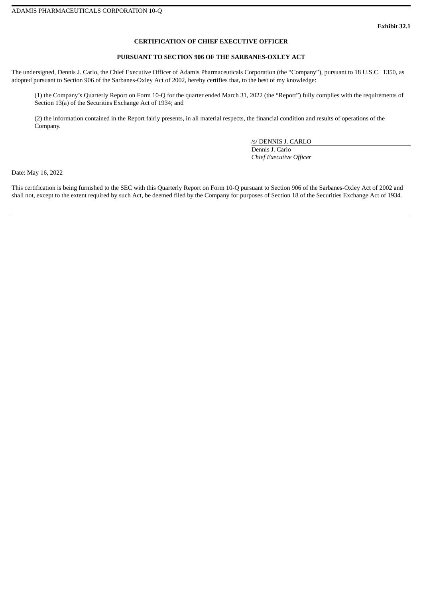### **CERTIFICATION OF CHIEF EXECUTIVE OFFICER**

#### **PURSUANT TO SECTION 906 OF THE SARBANES-OXLEY ACT**

<span id="page-81-0"></span>The undersigned, Dennis J. Carlo, the Chief Executive Officer of Adamis Pharmaceuticals Corporation (the "Company"), pursuant to 18 U.S.C. 1350, as adopted pursuant to Section 906 of the Sarbanes-Oxley Act of 2002, hereby certifies that, to the best of my knowledge:

(1) the Company's Quarterly Report on Form 10-Q for the quarter ended March 31, 2022 (the "Report") fully complies with the requirements of Section 13(a) of the Securities Exchange Act of 1934; and

(2) the information contained in the Report fairly presents, in all material respects, the financial condition and results of operations of the Company.

> /s/ DENNIS J. CARLO Dennis J. Carlo *Chief Executive Officer*

Date: May 16, 2022

This certification is being furnished to the SEC with this Quarterly Report on Form 10-Q pursuant to Section 906 of the Sarbanes-Oxley Act of 2002 and shall not, except to the extent required by such Act, be deemed filed by the Company for purposes of Section 18 of the Securities Exchange Act of 1934.